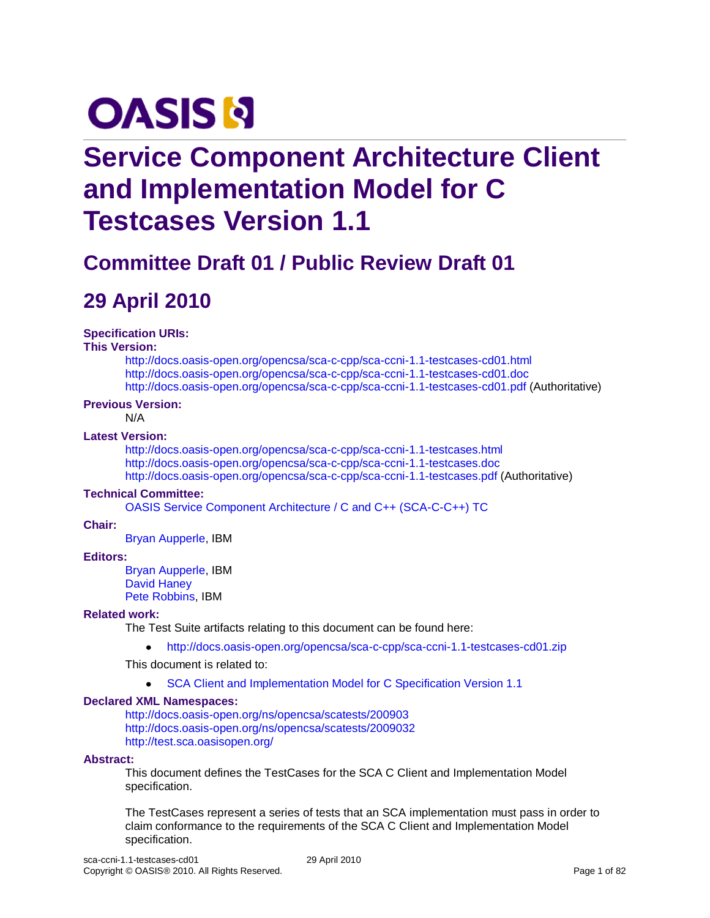# **OASIS N**

# **Service Component Architecture Client and Implementation Model for C Testcases Version 1.1**

# **Committee Draft 01 / Public Review Draft 01**

# **29 April 2010**

#### **Specification URIs:**

#### **This Version:**

<http://docs.oasis-open.org/opencsa/sca-c-cpp/sca-ccni-1.1-testcases-cd01.html> <http://docs.oasis-open.org/opencsa/sca-c-cpp/sca-ccni-1.1-testcases-cd01.doc> <http://docs.oasis-open.org/opencsa/sca-c-cpp/sca-ccni-1.1-testcases-cd01.pdf> (Authoritative)

#### **Previous Version:**

N/A

#### **Latest Version:**

<http://docs.oasis-open.org/opencsa/sca-c-cpp/sca-ccni-1.1-testcases.html> <http://docs.oasis-open.org/opencsa/sca-c-cpp/sca-ccni-1.1-testcases.doc> <http://docs.oasis-open.org/opencsa/sca-c-cpp/sca-ccni-1.1-testcases.pdf> (Authoritative)

#### **Technical Committee:**

[OASIS Service Component Architecture / C and C++ \(SCA-C-C++\) TC](http://www.oasis-open.org/committees/tc_home.php?wg_abbrev=sca-c-cpp)

#### **Chair:**

[Bryan Aupperle,](mailto:aupperle@us.ibm.com) IBM

#### **Editors:**

[Bryan Aupperle,](mailto:aupperle@us.ibm.com) IBM [David Haney](mailto:haney@roguewave.com) [Pete Robbins,](mailto:robbins@uk.ibm.com) IBM

#### **Related work:**

The Test Suite artifacts relating to this document can be found here:

<http://docs.oasis-open.org/opencsa/sca-c-cpp/sca-ccni-1.1-testcases-cd01.zip>  $\bullet$ 

This document is related to:

 $\bullet$ SCA Client [and Implementation Model for C Specification Version 1.1](http://docs.oasis-open.org/opencsa/sca-c-cpp/sca-ccni-1.1-spec.pdf)

#### **Declared XML Namespaces:**

<http://docs.oasis-open.org/ns/opencsa/scatests/200903> <http://docs.oasis-open.org/ns/opencsa/scatests/2009032> <http://test.sca.oasisopen.org/>

#### **Abstract:**

This document defines the TestCases for the SCA C Client and Implementation Model specification.

The TestCases represent a series of tests that an SCA implementation must pass in order to claim conformance to the requirements of the SCA C Client and Implementation Model specification.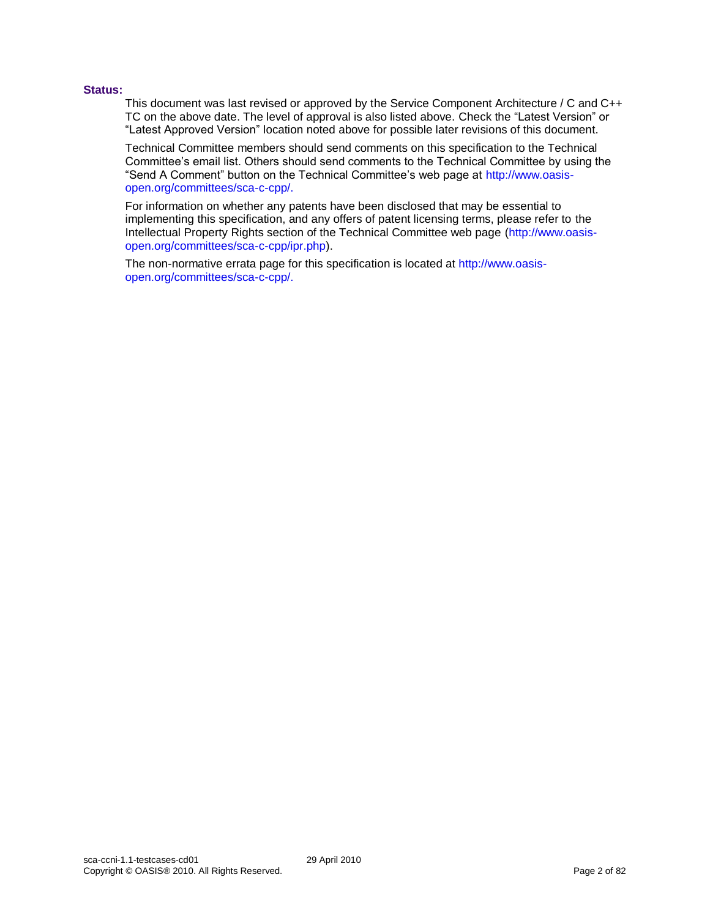#### **Status:**

This document was last revised or approved by the Service Component Architecture / C and C++ TC on the above date. The level of approval is also listed above. Check the "Latest Version" or "Latest Approved Version" location noted above for possible later revisions of this document.

Technical Committee members should send comments on this specification to the Technical Committee's email list. Others should send comments to the Technical Committee by using the "Send A Comment" button on the Technical Committee's web page at [http://www.oasis](http://www.oasis-open.org/committees/sca-c-cpp/)[open.org/committees/sca-c-cpp/.](http://www.oasis-open.org/committees/sca-c-cpp/)

For information on whether any patents have been disclosed that may be essential to implementing this specification, and any offers of patent licensing terms, please refer to the Intellectual Property Rights section of the Technical Committee web page [\(http://www.oasis](http://www.oasis-open.org/committees/sca-c-cpp/ipr.php)[open.org/committees/sca-c-cpp/ipr.php\)](http://www.oasis-open.org/committees/sca-c-cpp/ipr.php).

The non-normative errata page for this specification is located at [http://www.oasis](http://www.oasis-open.org/committees/sca-c-cpp/)[open.org/committees/sca-c-cpp/.](http://www.oasis-open.org/committees/sca-c-cpp/)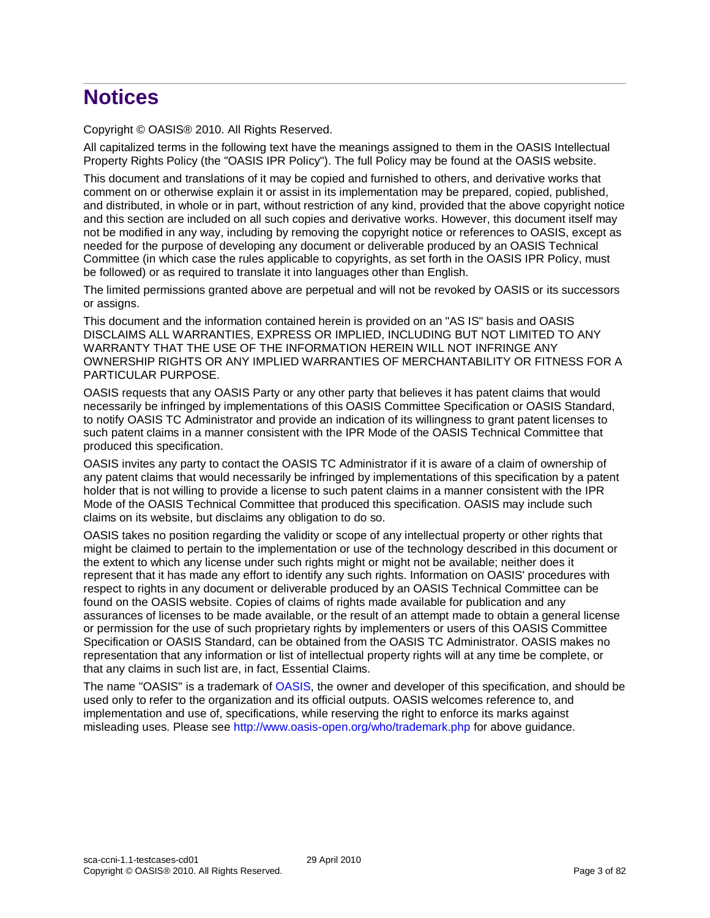# **Notices**

Copyright © OASIS® 2010. All Rights Reserved.

All capitalized terms in the following text have the meanings assigned to them in the OASIS Intellectual Property Rights Policy (the "OASIS IPR Policy"). The full Policy may be found at the OASIS website.

This document and translations of it may be copied and furnished to others, and derivative works that comment on or otherwise explain it or assist in its implementation may be prepared, copied, published, and distributed, in whole or in part, without restriction of any kind, provided that the above copyright notice and this section are included on all such copies and derivative works. However, this document itself may not be modified in any way, including by removing the copyright notice or references to OASIS, except as needed for the purpose of developing any document or deliverable produced by an OASIS Technical Committee (in which case the rules applicable to copyrights, as set forth in the OASIS IPR Policy, must be followed) or as required to translate it into languages other than English.

The limited permissions granted above are perpetual and will not be revoked by OASIS or its successors or assigns.

This document and the information contained herein is provided on an "AS IS" basis and OASIS DISCLAIMS ALL WARRANTIES, EXPRESS OR IMPLIED, INCLUDING BUT NOT LIMITED TO ANY WARRANTY THAT THE USE OF THE INFORMATION HEREIN WILL NOT INFRINGE ANY OWNERSHIP RIGHTS OR ANY IMPLIED WARRANTIES OF MERCHANTABILITY OR FITNESS FOR A PARTICULAR PURPOSE.

OASIS requests that any OASIS Party or any other party that believes it has patent claims that would necessarily be infringed by implementations of this OASIS Committee Specification or OASIS Standard, to notify OASIS TC Administrator and provide an indication of its willingness to grant patent licenses to such patent claims in a manner consistent with the IPR Mode of the OASIS Technical Committee that produced this specification.

OASIS invites any party to contact the OASIS TC Administrator if it is aware of a claim of ownership of any patent claims that would necessarily be infringed by implementations of this specification by a patent holder that is not willing to provide a license to such patent claims in a manner consistent with the IPR Mode of the OASIS Technical Committee that produced this specification. OASIS may include such claims on its website, but disclaims any obligation to do so.

OASIS takes no position regarding the validity or scope of any intellectual property or other rights that might be claimed to pertain to the implementation or use of the technology described in this document or the extent to which any license under such rights might or might not be available; neither does it represent that it has made any effort to identify any such rights. Information on OASIS' procedures with respect to rights in any document or deliverable produced by an OASIS Technical Committee can be found on the OASIS website. Copies of claims of rights made available for publication and any assurances of licenses to be made available, or the result of an attempt made to obtain a general license or permission for the use of such proprietary rights by implementers or users of this OASIS Committee Specification or OASIS Standard, can be obtained from the OASIS TC Administrator. OASIS makes no representation that any information or list of intellectual property rights will at any time be complete, or that any claims in such list are, in fact, Essential Claims.

The name "OASIS" is a trademark of [OASIS,](http://www.oasis-open.org/) the owner and developer of this specification, and should be used only to refer to the organization and its official outputs. OASIS welcomes reference to, and implementation and use of, specifications, while reserving the right to enforce its marks against misleading uses. Please see<http://www.oasis-open.org/who/trademark.php> for above guidance.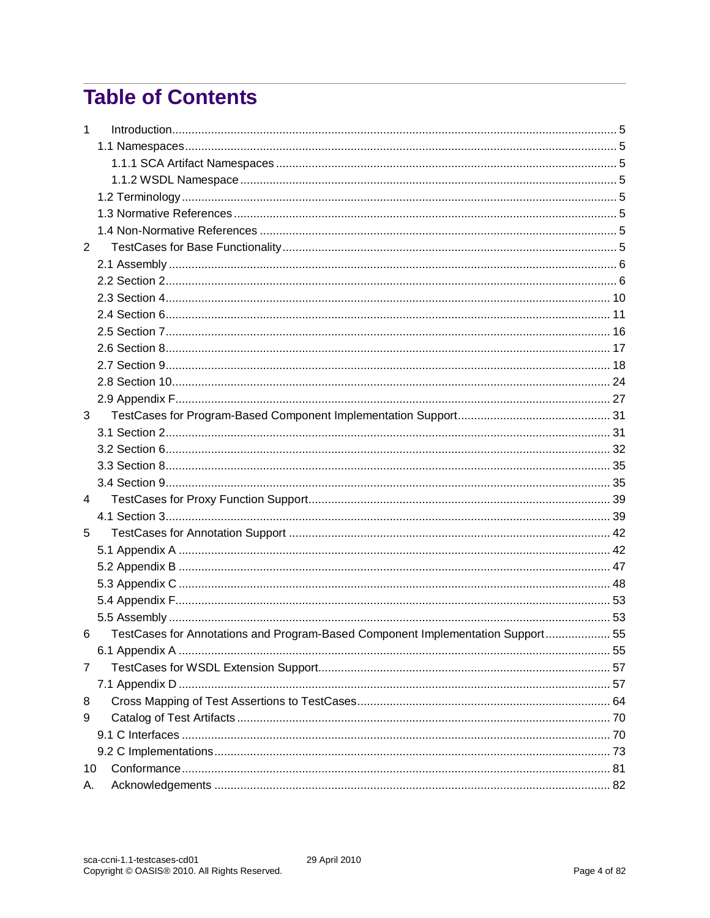# **Table of Contents**

| $\mathbf{1}$   |                                                                                 |  |
|----------------|---------------------------------------------------------------------------------|--|
|                |                                                                                 |  |
|                |                                                                                 |  |
|                |                                                                                 |  |
|                |                                                                                 |  |
|                |                                                                                 |  |
|                |                                                                                 |  |
| $\overline{2}$ |                                                                                 |  |
|                |                                                                                 |  |
|                |                                                                                 |  |
|                |                                                                                 |  |
|                |                                                                                 |  |
|                |                                                                                 |  |
|                |                                                                                 |  |
|                |                                                                                 |  |
|                |                                                                                 |  |
|                |                                                                                 |  |
| 3              |                                                                                 |  |
|                |                                                                                 |  |
|                |                                                                                 |  |
|                |                                                                                 |  |
|                |                                                                                 |  |
| 4              |                                                                                 |  |
|                |                                                                                 |  |
| 5              |                                                                                 |  |
|                |                                                                                 |  |
|                |                                                                                 |  |
|                |                                                                                 |  |
|                |                                                                                 |  |
|                |                                                                                 |  |
| 6              | TestCases for Annotations and Program-Based Component Implementation Support 55 |  |
|                |                                                                                 |  |
| 7              |                                                                                 |  |
|                |                                                                                 |  |
| 8              |                                                                                 |  |
| 9              |                                                                                 |  |
|                |                                                                                 |  |
|                |                                                                                 |  |
| 10             |                                                                                 |  |
| А.             |                                                                                 |  |

29 April 2010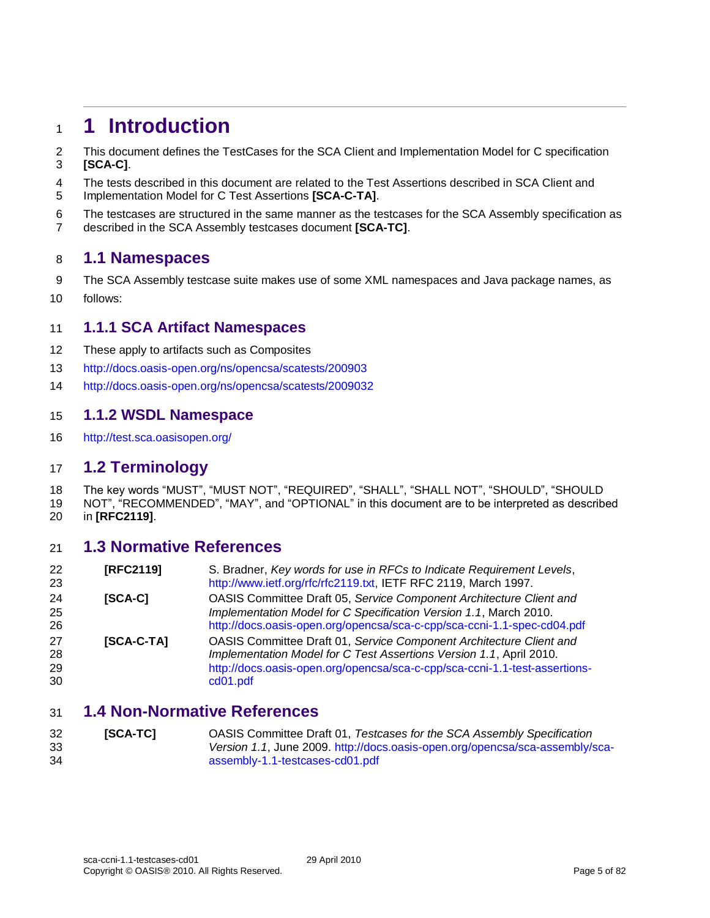# <span id="page-4-0"></span>**1 Introduction**

- This document defines the TestCases for the SCA Client and Implementation Model for C specification **[\[SCA-C\]](#page-4-8)**.
- The tests described in this document are related to the Test Assertions described in SCA Client and
- Implementation Model for C Test Assertions **[\[SCA-C-TA\]](#page-4-9)**.
- The testcases are structured in the same manner as the testcases for the SCA Assembly specification as described in the SCA Assembly testcases document **[\[SCA-TC\]](#page-4-10)**.

### <span id="page-4-1"></span>**1.1 Namespaces**

- The SCA Assembly testcase suite makes use of some XML namespaces and Java package names, as
- follows:

#### <span id="page-4-2"></span>**1.1.1 SCA Artifact Namespaces**

- These apply to artifacts such as Composites
- <http://docs.oasis-open.org/ns/opencsa/scatests/200903>
- <http://docs.oasis-open.org/ns/opencsa/scatests/2009032>

#### <span id="page-4-3"></span>**1.1.2 WSDL Namespace**

<http://test.sca.oasisopen.org/>

### <span id="page-4-4"></span>**1.2 Terminology**

- The key words "MUST", "MUST NOT", "REQUIRED", "SHALL", "SHALL NOT", "SHOULD", "SHOULD
- NOT", "RECOMMENDED", "MAY", and "OPTIONAL" in this document are to be interpreted as described in **[\[RFC2119\]](#page-4-11)**.

#### <span id="page-4-5"></span>**1.3 Normative References**

<span id="page-4-11"></span><span id="page-4-8"></span>

| 22<br>23             | [RFC2119]  | S. Bradner, Key words for use in RFCs to Indicate Requirement Levels,<br>http://www.ietf.org/rfc/rfc2119.txt, IETF RFC 2119, March 1997.                                                                                             |
|----------------------|------------|--------------------------------------------------------------------------------------------------------------------------------------------------------------------------------------------------------------------------------------|
| 24<br>25<br>26       | [SCA-C]    | OASIS Committee Draft 05, Service Component Architecture Client and<br>Implementation Model for C Specification Version 1.1, March 2010.<br>http://docs.oasis-open.org/opencsa/sca-c-cpp/sca-ccni-1.1-spec-cd04.pdf                  |
| 27<br>28<br>29<br>30 | [SCA-C-TA] | OASIS Committee Draft 01, Service Component Architecture Client and<br>Implementation Model for C Test Assertions Version 1.1, April 2010.<br>http://docs.oasis-open.org/opencsa/sca-c-cpp/sca-ccni-1.1-test-assertions-<br>cd01.pdf |

### <span id="page-4-9"></span><span id="page-4-6"></span>**1.4 Non-Normative References**

<span id="page-4-10"></span><span id="page-4-7"></span> **[SCA-TC]** OASIS Committee Draft 01, *Testcases for the SCA Assembly Specification Version 1.1*, June 2009. [http://docs.oasis-open.org/opencsa/sca-assembly/sca-](http://docs.oasis-open.org/opencsa/sca-assembly/sca-assembly-1.1-testcases-cd01.pdf)[assembly-1.1-testcases-cd01.pdf](http://docs.oasis-open.org/opencsa/sca-assembly/sca-assembly-1.1-testcases-cd01.pdf)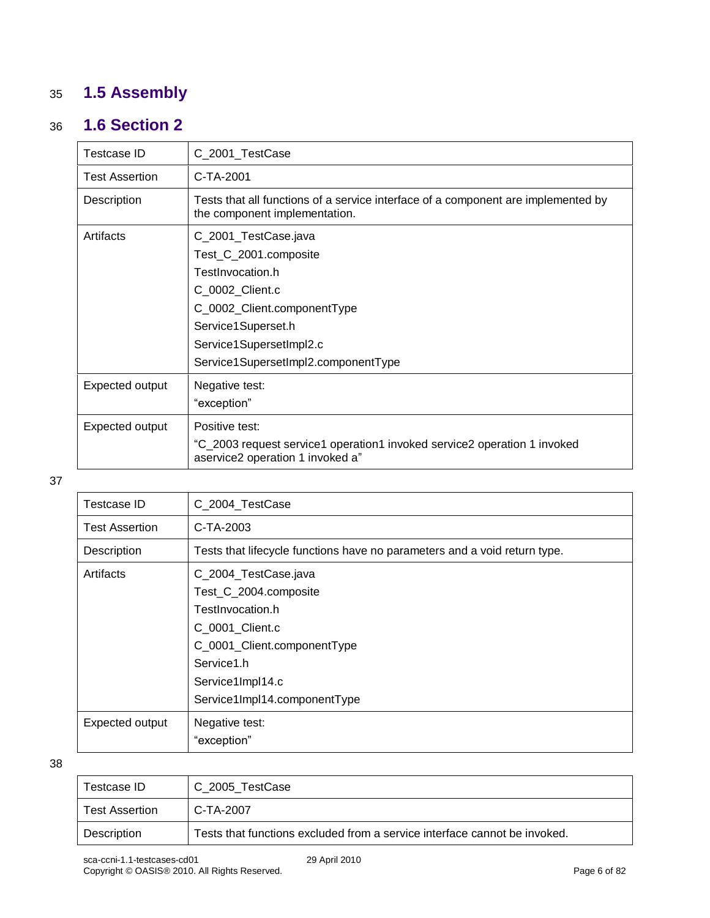# <span id="page-5-0"></span>35 **1.5 Assembly**

# 36 **1.6 Section 2**

<span id="page-5-1"></span>

| Testcase ID     | C_2001_TestCase                                                                                                                                                                                             |
|-----------------|-------------------------------------------------------------------------------------------------------------------------------------------------------------------------------------------------------------|
| Test Assertion  | C-TA-2001                                                                                                                                                                                                   |
| Description     | Tests that all functions of a service interface of a component are implemented by<br>the component implementation.                                                                                          |
| Artifacts       | C_2001_TestCase.java<br>Test_C_2001.composite<br>TestInvocation.h<br>C_0002_Client.c<br>C_0002_Client.componentType<br>Service1Superset.h<br>Service1SupersetImpl2.c<br>Service1SupersetImpl2.componentType |
| Expected output | Negative test:<br>"exception"                                                                                                                                                                               |
| Expected output | Positive test:<br>"C_2003 request service1 operation1 invoked service2 operation 1 invoked<br>aservice2 operation 1 invoked a"                                                                              |

37

| Testcase ID           | C_2004_TestCase                                                           |
|-----------------------|---------------------------------------------------------------------------|
| <b>Test Assertion</b> | C-TA-2003                                                                 |
| Description           | Tests that lifecycle functions have no parameters and a void return type. |
| Artifacts             | C_2004_TestCase.java                                                      |
|                       | Test_C_2004.composite                                                     |
|                       | TestInvocation.h                                                          |
|                       | C_0001_Client.c                                                           |
|                       | C_0001_Client.componentType                                               |
|                       | Service1.h                                                                |
|                       | Service1Impl14.c                                                          |
|                       | Service1Impl14.componentType                                              |
| Expected output       | Negative test:                                                            |
|                       | "exception"                                                               |

| Testcase ID           | C 2005 TestCase                                                           |
|-----------------------|---------------------------------------------------------------------------|
| <b>Test Assertion</b> | C-TA-2007                                                                 |
| Description           | Tests that functions excluded from a service interface cannot be invoked. |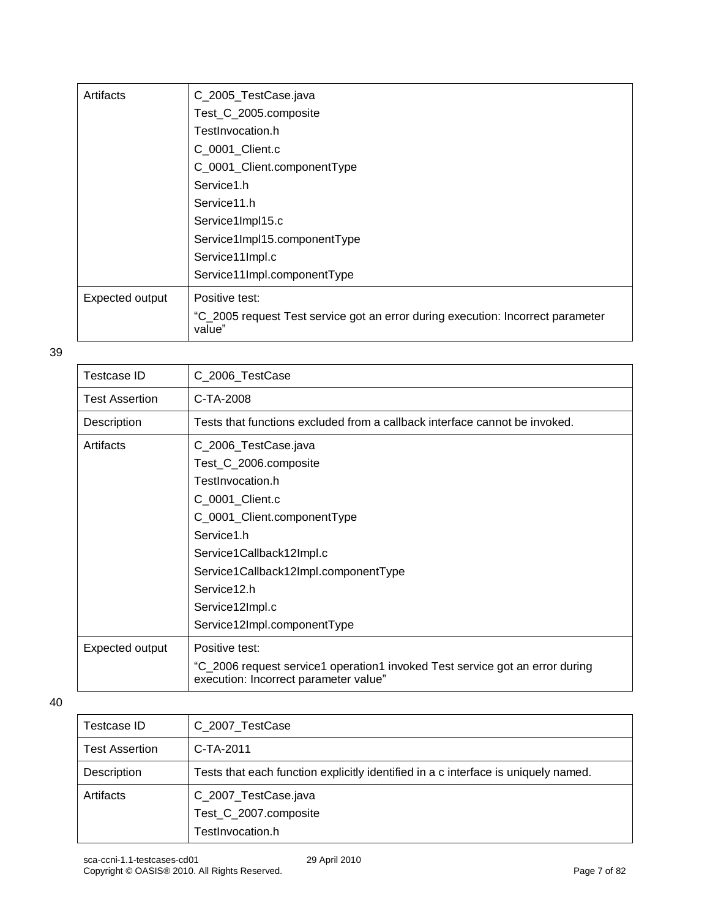| Artifacts       | C_2005_TestCase.java                                                                      |
|-----------------|-------------------------------------------------------------------------------------------|
|                 | Test_C_2005.composite                                                                     |
|                 | TestInvocation.h                                                                          |
|                 | C_0001_Client.c                                                                           |
|                 | C_0001_Client.componentType                                                               |
|                 | Service1.h                                                                                |
|                 | Service11.h                                                                               |
|                 | Service1Impl15.c                                                                          |
|                 | Service1Impl15.componentType                                                              |
|                 | Service11Impl.c                                                                           |
|                 | Service11Impl.componentType                                                               |
| Expected output | Positive test:                                                                            |
|                 | "C_2005 request Test service got an error during execution: Incorrect parameter<br>value" |

| <b>Testcase ID</b>    | C_2006_TestCase                                                                                                       |
|-----------------------|-----------------------------------------------------------------------------------------------------------------------|
| <b>Test Assertion</b> | C-TA-2008                                                                                                             |
| Description           | Tests that functions excluded from a callback interface cannot be invoked.                                            |
| Artifacts             | C_2006_TestCase.java                                                                                                  |
|                       | Test_C_2006.composite                                                                                                 |
|                       | TestInvocation.h                                                                                                      |
|                       | C_0001_Client.c                                                                                                       |
|                       | C_0001_Client.componentType                                                                                           |
|                       | Service1.h                                                                                                            |
|                       | Service1Callback12Impl.c                                                                                              |
|                       | Service1Callback12Impl.componentType                                                                                  |
|                       | Service12.h                                                                                                           |
|                       | Service12Impl.c                                                                                                       |
|                       | Service12Impl.componentType                                                                                           |
| Expected output       | Positive test:                                                                                                        |
|                       | "C_2006 request service1 operation1 invoked Test service got an error during<br>execution: Incorrect parameter value" |
|                       |                                                                                                                       |

| Testcase ID           | C_2007_TestCase                                                                    |
|-----------------------|------------------------------------------------------------------------------------|
| <b>Test Assertion</b> | C-TA-2011                                                                          |
| Description           | Tests that each function explicitly identified in a c interface is uniquely named. |
| Artifacts             | C_2007_TestCase.java                                                               |
|                       | Test_C_2007.composite                                                              |
|                       | TestInvocation.h                                                                   |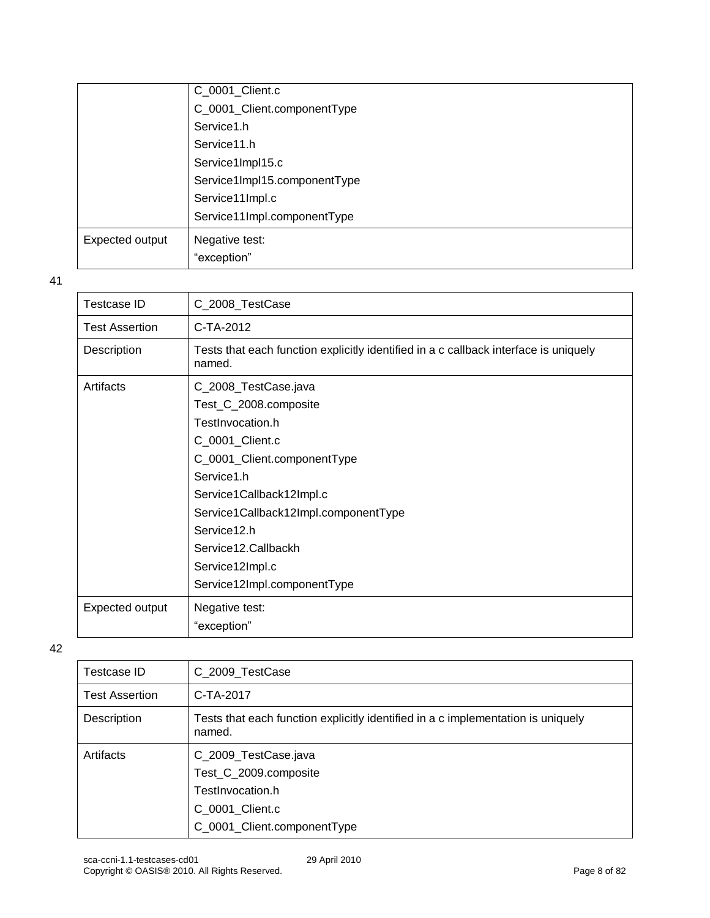|                 | C_0001_Client.c              |
|-----------------|------------------------------|
|                 | C_0001_Client.componentType  |
|                 | Service1.h                   |
|                 | Service11.h                  |
|                 | Service1Impl15.c             |
|                 | Service1Impl15.componentType |
|                 | Service11Impl.c              |
|                 | Service11Impl.componentType  |
| Expected output | Negative test:               |
|                 | "exception"                  |

| <b>Testcase ID</b>    | C_2008_TestCase                                                                                                                                                                                                                                                                               |
|-----------------------|-----------------------------------------------------------------------------------------------------------------------------------------------------------------------------------------------------------------------------------------------------------------------------------------------|
| <b>Test Assertion</b> | C-TA-2012                                                                                                                                                                                                                                                                                     |
| Description           | Tests that each function explicitly identified in a c callback interface is uniquely<br>named.                                                                                                                                                                                                |
| Artifacts             | C_2008_TestCase.java<br>Test_C_2008.composite<br>TestInvocation.h<br>C_0001_Client.c<br>C_0001_Client.componentType<br>Service1.h<br>Service1Callback12Impl.c<br>Service1Callback12Impl.componentType<br>Service12.h<br>Service12.Callbackh<br>Service12Impl.c<br>Service12Impl.componentType |
| Expected output       | Negative test:<br>"exception"                                                                                                                                                                                                                                                                 |

| Testcase ID           | C_2009_TestCase                                                                                                     |
|-----------------------|---------------------------------------------------------------------------------------------------------------------|
| <b>Test Assertion</b> | C-TA-2017                                                                                                           |
| Description           | Tests that each function explicitly identified in a c implementation is uniquely<br>named.                          |
| Artifacts             | C_2009_TestCase.java<br>Test_C_2009.composite<br>TestInvocation.h<br>C 0001 Client.c<br>C_0001_Client.componentType |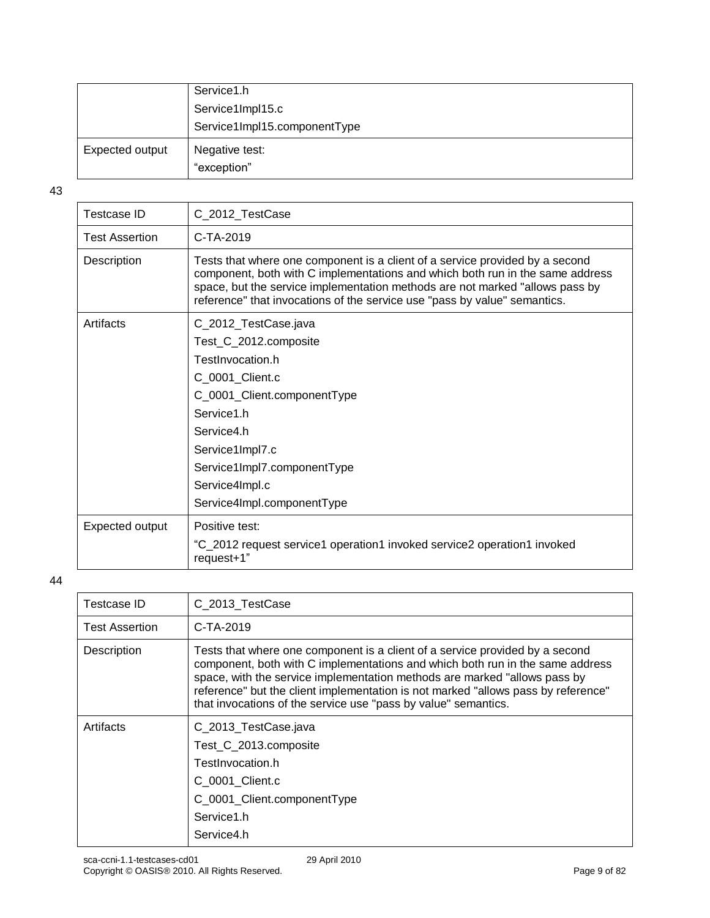|                 | Service1.h                    |
|-----------------|-------------------------------|
|                 | Service1Impl15.c              |
|                 | Service1Impl15.componentType  |
| Expected output | Negative test:<br>"exception" |

| C_2012_TestCase                                                                                                                                                                                                                                                                                                            |
|----------------------------------------------------------------------------------------------------------------------------------------------------------------------------------------------------------------------------------------------------------------------------------------------------------------------------|
| $C-TA-2019$                                                                                                                                                                                                                                                                                                                |
| Tests that where one component is a client of a service provided by a second<br>component, both with C implementations and which both run in the same address<br>space, but the service implementation methods are not marked "allows pass by<br>reference" that invocations of the service use "pass by value" semantics. |
| C_2012_TestCase.java                                                                                                                                                                                                                                                                                                       |
| Test_C_2012.composite                                                                                                                                                                                                                                                                                                      |
| TestInvocation.h                                                                                                                                                                                                                                                                                                           |
| C_0001_Client.c                                                                                                                                                                                                                                                                                                            |
| C_0001_Client.componentType                                                                                                                                                                                                                                                                                                |
| Service1.h                                                                                                                                                                                                                                                                                                                 |
| Service4.h                                                                                                                                                                                                                                                                                                                 |
| Service1Impl7.c                                                                                                                                                                                                                                                                                                            |
| Service1Impl7.componentType                                                                                                                                                                                                                                                                                                |
| Service4Impl.c                                                                                                                                                                                                                                                                                                             |
| Service4Impl.componentType                                                                                                                                                                                                                                                                                                 |
| Positive test:                                                                                                                                                                                                                                                                                                             |
| "C_2012 request service1 operation1 invoked service2 operation1 invoked<br>request+1"                                                                                                                                                                                                                                      |
|                                                                                                                                                                                                                                                                                                                            |

| Testcase ID           | C 2013 TestCase                                                                                                                                                                                                                                                                                                                                                                                   |
|-----------------------|---------------------------------------------------------------------------------------------------------------------------------------------------------------------------------------------------------------------------------------------------------------------------------------------------------------------------------------------------------------------------------------------------|
| <b>Test Assertion</b> | $C-TA-2019$                                                                                                                                                                                                                                                                                                                                                                                       |
| Description           | Tests that where one component is a client of a service provided by a second<br>component, both with C implementations and which both run in the same address<br>space, with the service implementation methods are marked "allows pass by<br>reference" but the client implementation is not marked "allows pass by reference"<br>that invocations of the service use "pass by value" semantics. |
| Artifacts             | C_2013_TestCase.java<br>Test C 2013.composite<br>TestInvocation.h<br>C_0001_Client.c<br>C_0001_Client.componentType<br>Service1.h<br>Service4.h                                                                                                                                                                                                                                                   |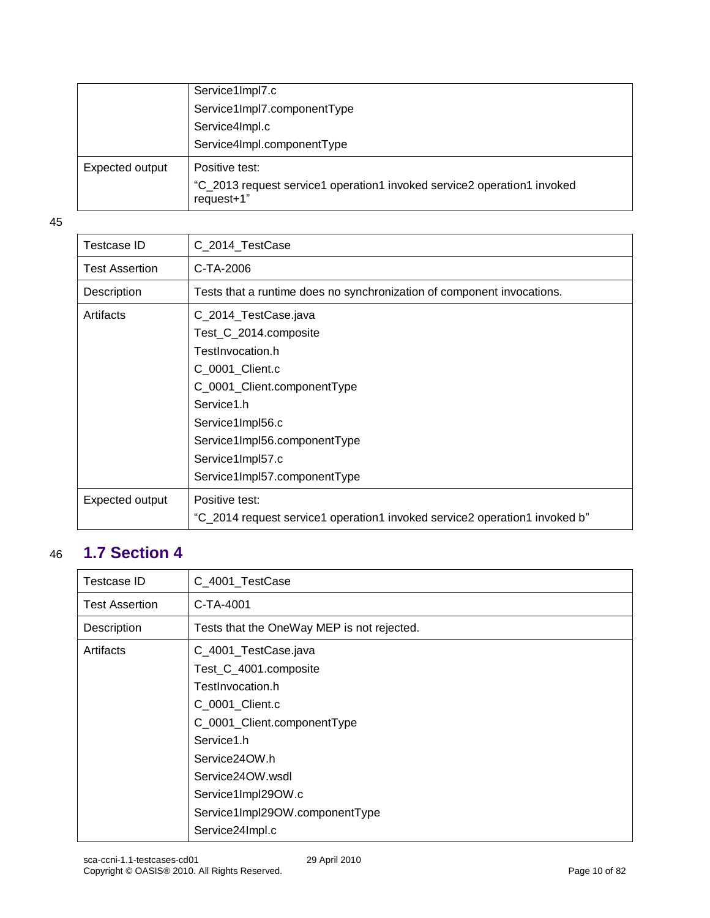|                 | Service1Impl7.c                                                                       |
|-----------------|---------------------------------------------------------------------------------------|
|                 | Service1Impl7.componentType                                                           |
|                 | Service4Impl.c                                                                        |
|                 | Service4Impl.componentType                                                            |
| Expected output | Positive test:                                                                        |
|                 | "C_2013 request service1 operation1 invoked service2 operation1 invoked<br>request+1" |

| Testcase ID           | C_2014_TestCase                                                            |
|-----------------------|----------------------------------------------------------------------------|
| <b>Test Assertion</b> | C-TA-2006                                                                  |
| Description           | Tests that a runtime does no synchronization of component invocations.     |
| Artifacts             | C_2014_TestCase.java                                                       |
|                       | Test_C_2014.composite                                                      |
|                       | TestInvocation.h                                                           |
|                       | C 0001 Client.c                                                            |
|                       | C_0001_Client.componentType                                                |
|                       | Service1.h                                                                 |
|                       | Service1Impl56.c                                                           |
|                       | Service1Impl56.componentType                                               |
|                       | Service1Impl57.c                                                           |
|                       | Service1Impl57.componentType                                               |
| Expected output       | Positive test:                                                             |
|                       | "C_2014 request service1 operation1 invoked service2 operation1 invoked b" |

# <span id="page-9-0"></span>46 **1.7 Section 4**

| Testcase ID           | C_4001_TestCase                            |
|-----------------------|--------------------------------------------|
| <b>Test Assertion</b> | C-TA-4001                                  |
| Description           | Tests that the OneWay MEP is not rejected. |
| Artifacts             | C_4001_TestCase.java                       |
|                       | Test_C_4001.composite                      |
|                       | TestInvocation.h                           |
|                       | C_0001_Client.c                            |
|                       | C_0001_Client.componentType                |
|                       | Service1.h                                 |
|                       | Service24OW.h                              |
|                       | Service24OW.wsdl                           |
|                       | Service1Impl29OW.c                         |
|                       | Service1Impl29OW.componentType             |
|                       | Service24Impl.c                            |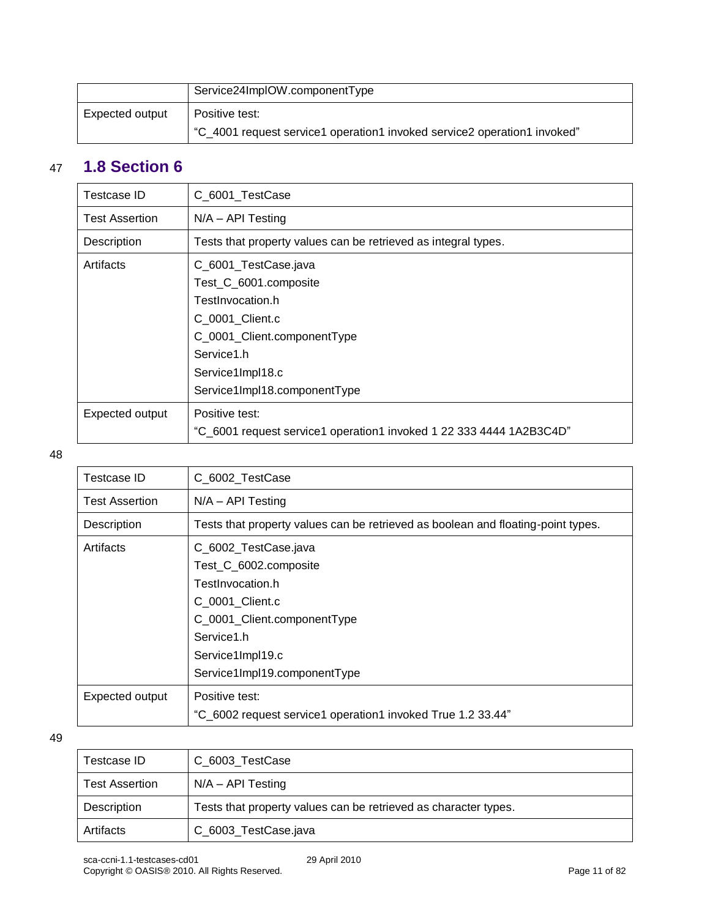|                 | Service24ImpIOW.componentType                                            |
|-----------------|--------------------------------------------------------------------------|
| Expected output | Positive test:                                                           |
|                 | "C_4001 request service1 operation1 invoked service2 operation1 invoked" |

### <span id="page-10-0"></span>47 **1.8 Section 6**

#### 48

| Testcase ID           | C_6002_TestCase                                                                  |
|-----------------------|----------------------------------------------------------------------------------|
| <b>Test Assertion</b> | $N/A - API$ Testing                                                              |
| Description           | Tests that property values can be retrieved as boolean and floating-point types. |
| Artifacts             | C_6002_TestCase.java                                                             |
|                       | Test_C_6002.composite                                                            |
|                       | TestInvocation.h                                                                 |
|                       | C 0001 Client.c                                                                  |
|                       | C_0001_Client.componentType                                                      |
|                       | Service1.h                                                                       |
|                       | Service1Impl19.c                                                                 |
|                       | Service1Impl19.componentType                                                     |
| Expected output       | Positive test:                                                                   |
|                       | "C_6002 request service1 operation1 invoked True 1.2 33.44"                      |

| Testcase ID           | C 6003 TestCase                                                 |
|-----------------------|-----------------------------------------------------------------|
| <b>Test Assertion</b> | $N/A - API$ Testing                                             |
| Description           | Tests that property values can be retrieved as character types. |
| Artifacts             | C_6003_TestCase.java                                            |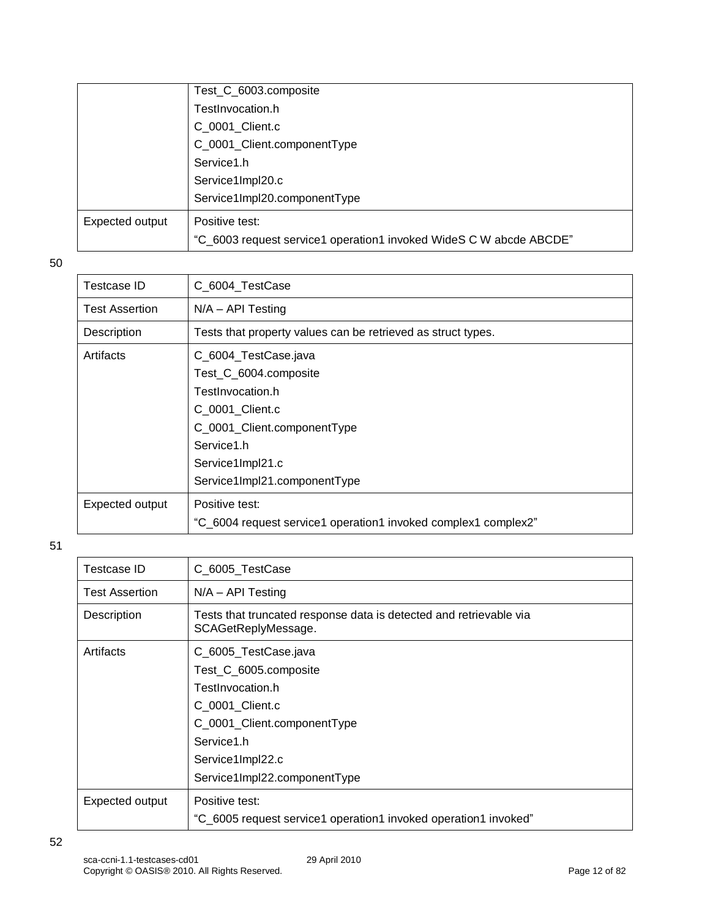|                 | Test_C_6003.composite                                              |
|-----------------|--------------------------------------------------------------------|
|                 | TestInvocation.h                                                   |
|                 | C_0001_Client.c                                                    |
|                 | C_0001_Client.componentType                                        |
|                 | Service1.h                                                         |
|                 | Service1Impl20.c                                                   |
|                 | Service1Impl20.componentType                                       |
| Expected output | Positive test:                                                     |
|                 | "C_6003 request service1 operation1 invoked WideS C W abcde ABCDE" |
|                 |                                                                    |

| Testcase ID           | C 6004 TestCase                                                                                                                                                                       |
|-----------------------|---------------------------------------------------------------------------------------------------------------------------------------------------------------------------------------|
| <b>Test Assertion</b> | $N/A - API Testing$                                                                                                                                                                   |
| Description           | Tests that property values can be retrieved as struct types.                                                                                                                          |
| Artifacts             | C_6004_TestCase.java<br>Test_C_6004.composite<br>TestInvocation.h<br>C 0001 Client.c<br>C_0001_Client.componentType<br>Service1.h<br>Service1Impl21.c<br>Service1Impl21.componentType |
| Expected output       | Positive test:<br>"C_6004 request service1 operation1 invoked complex1 complex2"                                                                                                      |

| Testcase ID           | C_6005_TestCase                                                                           |
|-----------------------|-------------------------------------------------------------------------------------------|
| <b>Test Assertion</b> | $N/A - API$ Testing                                                                       |
| Description           | Tests that truncated response data is detected and retrievable via<br>SCAGetReplyMessage. |
| Artifacts             | C_6005_TestCase.java                                                                      |
|                       | Test_C_6005.composite                                                                     |
|                       | TestInvocation.h                                                                          |
|                       | C 0001 Client.c                                                                           |
|                       | C_0001_Client.componentType                                                               |
|                       | Service1.h                                                                                |
|                       | Service1Impl22.c                                                                          |
|                       | Service1Impl22.componentType                                                              |
| Expected output       | Positive test:                                                                            |
|                       | "C_6005 request service1 operation1 invoked operation1 invoked"                           |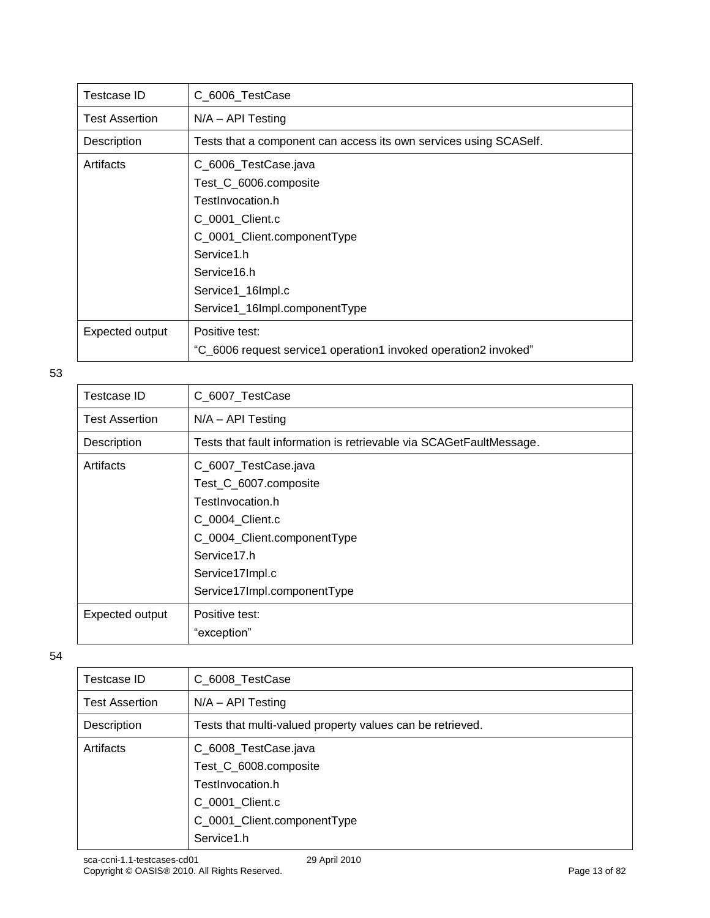| Testcase ID           | C_6006_TestCase                                                   |
|-----------------------|-------------------------------------------------------------------|
| <b>Test Assertion</b> | $N/A - API$ Testing                                               |
| Description           | Tests that a component can access its own services using SCASelf. |
| Artifacts             | C_6006_TestCase.java                                              |
|                       | Test_C_6006.composite                                             |
|                       | TestInvocation.h                                                  |
|                       | C_0001_Client.c                                                   |
|                       | C_0001_Client.componentType                                       |
|                       | Service1.h                                                        |
|                       | Service16.h                                                       |
|                       | Service1_16Impl.c                                                 |
|                       | Service1_16Impl.componentType                                     |
| Expected output       | Positive test:                                                    |
|                       | "C_6006 request service1 operation1 invoked operation2 invoked"   |

| Testcase ID           | C 6007 TestCase                                                     |
|-----------------------|---------------------------------------------------------------------|
|                       |                                                                     |
| <b>Test Assertion</b> | $N/A - API Testing$                                                 |
| Description           | Tests that fault information is retrievable via SCAGetFaultMessage. |
| Artifacts             | C_6007_TestCase.java                                                |
|                       | Test_C_6007.composite                                               |
|                       | TestInvocation.h                                                    |
|                       | C 0004 Client.c                                                     |
|                       | C_0004_Client.componentType                                         |
|                       | Service17.h                                                         |
|                       | Service17Impl.c                                                     |
|                       | Service17Impl.componentType                                         |
| Expected output       | Positive test:                                                      |
|                       | "exception"                                                         |

| Testcase ID           | C_6008_TestCase                                                                                                                   |
|-----------------------|-----------------------------------------------------------------------------------------------------------------------------------|
| <b>Test Assertion</b> | $N/A - API$ Testing                                                                                                               |
| Description           | Tests that multi-valued property values can be retrieved.                                                                         |
| Artifacts             | C_6008_TestCase.java<br>Test_C_6008.composite<br>TestInvocation.h<br>C_0001_Client.c<br>C_0001_Client.componentType<br>Service1.h |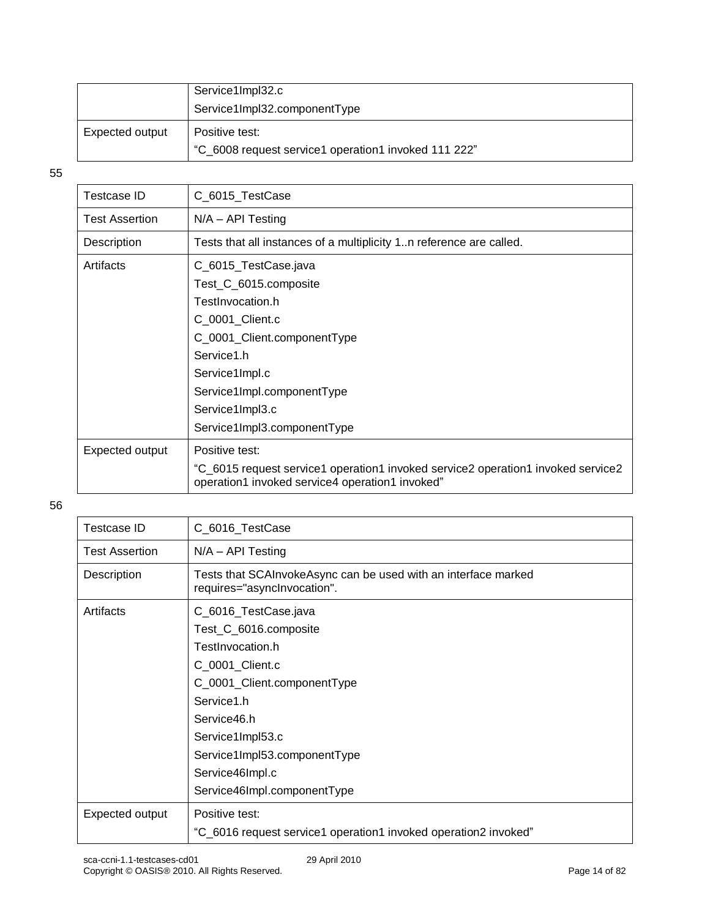|                 | Service1Impl32.c<br>Service1Impl32.componentType                       |
|-----------------|------------------------------------------------------------------------|
| Expected output | Positive test:<br>"C_6008 request service1 operation1 invoked 111 222" |

| <b>Testcase ID</b>    | C_6015_TestCase                                                                                                                     |
|-----------------------|-------------------------------------------------------------------------------------------------------------------------------------|
| <b>Test Assertion</b> | $N/A - API$ Testing                                                                                                                 |
| Description           | Tests that all instances of a multiplicity 1n reference are called.                                                                 |
| Artifacts             | C_6015_TestCase.java                                                                                                                |
|                       | Test_C_6015.composite                                                                                                               |
|                       | TestInvocation.h                                                                                                                    |
|                       | C_0001_Client.c                                                                                                                     |
|                       | C_0001_Client.componentType                                                                                                         |
|                       | Service1.h                                                                                                                          |
|                       | Service1Impl.c                                                                                                                      |
|                       | Service1Impl.componentType                                                                                                          |
|                       | Service1Impl3.c                                                                                                                     |
|                       | Service1Impl3.componentType                                                                                                         |
| Expected output       | Positive test:                                                                                                                      |
|                       | "C_6015 request service1 operation1 invoked service2 operation1 invoked service2<br>operation1 invoked service4 operation1 invoked" |

| Testcase ID           | C_6016_TestCase                                                                               |
|-----------------------|-----------------------------------------------------------------------------------------------|
| <b>Test Assertion</b> | $N/A - API$ Testing                                                                           |
| Description           | Tests that SCAInvokeAsync can be used with an interface marked<br>requires="asynclnvocation". |
| Artifacts             | C_6016_TestCase.java                                                                          |
|                       | Test_C_6016.composite                                                                         |
|                       | TestInvocation.h                                                                              |
|                       | C_0001_Client.c                                                                               |
|                       | C_0001_Client.componentType                                                                   |
|                       | Service1.h                                                                                    |
|                       | Service46.h                                                                                   |
|                       | Service1Impl53.c                                                                              |
|                       | Service1Impl53.componentType                                                                  |
|                       | Service46Impl.c                                                                               |
|                       | Service46Impl.componentType                                                                   |
| Expected output       | Positive test:                                                                                |
|                       | "C_6016 request service1 operation1 invoked operation2 invoked"                               |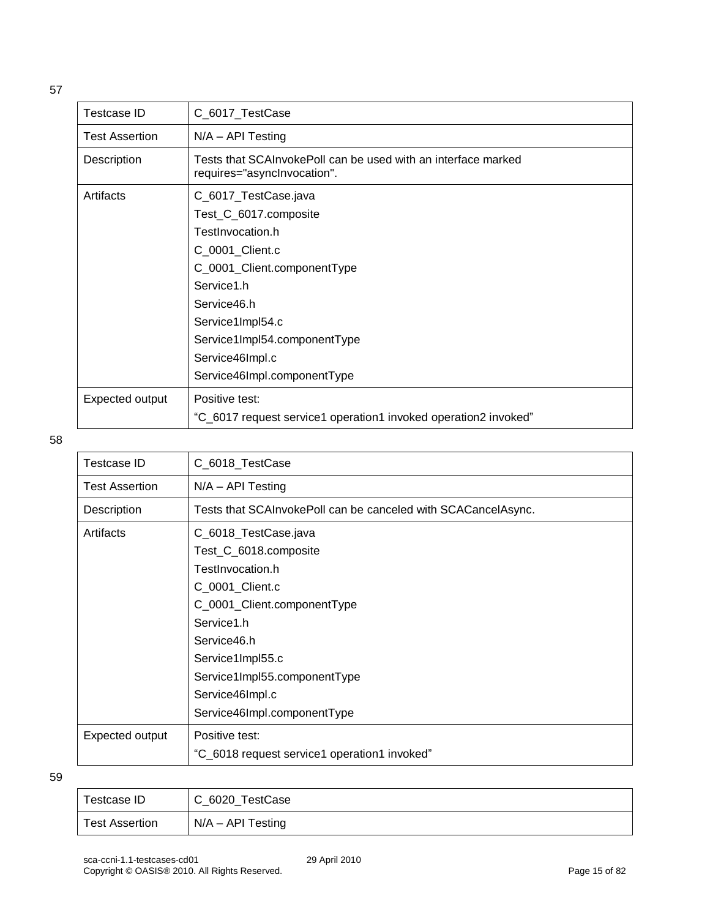| <b>Testcase ID</b>    | C_6017_TestCase                                                                              |
|-----------------------|----------------------------------------------------------------------------------------------|
| <b>Test Assertion</b> | $N/A - API Testing$                                                                          |
| Description           | Tests that SCAInvokePoll can be used with an interface marked<br>requires="asynclnvocation". |
| Artifacts             | C_6017_TestCase.java                                                                         |
|                       | Test_C_6017.composite                                                                        |
|                       | TestInvocation.h                                                                             |
|                       | C_0001_Client.c                                                                              |
|                       | C_0001_Client.componentType                                                                  |
|                       | Service1.h                                                                                   |
|                       | Service46.h                                                                                  |
|                       | Service1Impl54.c                                                                             |
|                       | Service1Impl54.componentType                                                                 |
|                       | Service46Impl.c                                                                              |
|                       | Service46Impl.componentType                                                                  |
| Expected output       | Positive test:                                                                               |
|                       | "C_6017 request service1 operation1 invoked operation2 invoked"                              |

| <b>Testcase ID</b>    | C_6018_TestCase                                               |
|-----------------------|---------------------------------------------------------------|
| <b>Test Assertion</b> | $N/A - API$ Testing                                           |
| Description           | Tests that SCAInvokePoll can be canceled with SCACancelAsync. |
| Artifacts             | C_6018_TestCase.java                                          |
|                       | Test_C_6018.composite                                         |
|                       | TestInvocation.h                                              |
|                       | C_0001_Client.c                                               |
|                       | C_0001_Client.componentType                                   |
|                       | Service1.h                                                    |
|                       | Service46.h                                                   |
|                       | Service1Impl55.c                                              |
|                       | Service1Impl55.componentType                                  |
|                       | Service46Impl.c                                               |
|                       | Service46Impl.componentType                                   |
| Expected output       | Positive test:                                                |
|                       | "C_6018 request service1 operation1 invoked"                  |

| Testcase ID           | C_6020_TestCase     |
|-----------------------|---------------------|
| <b>Test Assertion</b> | $N/A - API$ Testing |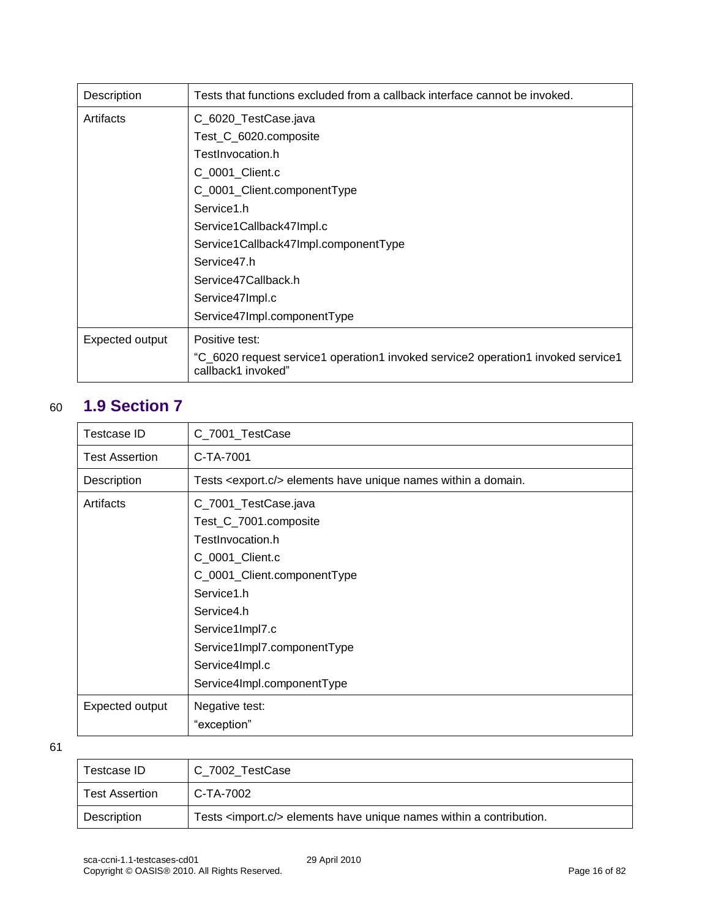| Description     | Tests that functions excluded from a callback interface cannot be invoked.                             |
|-----------------|--------------------------------------------------------------------------------------------------------|
| Artifacts       | C_6020_TestCase.java                                                                                   |
|                 | Test_C_6020.composite                                                                                  |
|                 | TestInvocation.h                                                                                       |
|                 | C_0001_Client.c                                                                                        |
|                 | C_0001_Client.componentType                                                                            |
|                 | Service1.h                                                                                             |
|                 | Service1Callback47Impl.c                                                                               |
|                 | Service1Callback47Impl.componentType                                                                   |
|                 | Service47.h                                                                                            |
|                 | Service47Callback.h                                                                                    |
|                 | Service47Impl.c                                                                                        |
|                 | Service47Impl.componentType                                                                            |
| Expected output | Positive test:                                                                                         |
|                 | "C_6020 request service1 operation1 invoked service2 operation1 invoked service1<br>callback1 invoked" |

# <span id="page-15-0"></span>60 **1.9 Section 7**

| <b>Testcase ID</b>    | C_7001_TestCase                                                                                                                                                                                                                                   |
|-----------------------|---------------------------------------------------------------------------------------------------------------------------------------------------------------------------------------------------------------------------------------------------|
| <b>Test Assertion</b> | C-TA-7001                                                                                                                                                                                                                                         |
| Description           | Tests <export.c></export.c> elements have unique names within a domain.                                                                                                                                                                           |
| Artifacts             | C_7001_TestCase.java<br>Test_C_7001.composite<br>TestInvocation.h<br>C_0001_Client.c<br>C_0001_Client.componentType<br>Service1.h<br>Service4.h<br>Service1Impl7.c<br>Service1Impl7.componentType<br>Service4Impl.c<br>Service4Impl.componentType |
| Expected output       | Negative test:<br>"exception"                                                                                                                                                                                                                     |

| Testcase ID           | C_7002_TestCase                                                               |
|-----------------------|-------------------------------------------------------------------------------|
| <b>Test Assertion</b> | C-TA-7002                                                                     |
| Description           | Tests <import.c></import.c> elements have unique names within a contribution. |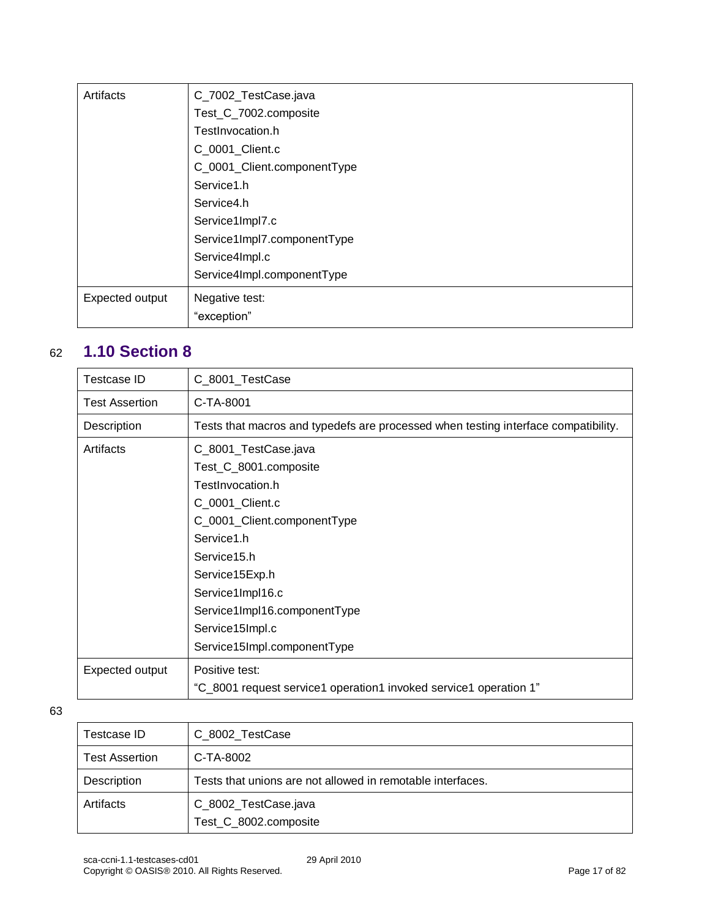| Artifacts       | C_7002_TestCase.java        |
|-----------------|-----------------------------|
|                 | Test_C_7002.composite       |
|                 | TestInvocation.h            |
|                 | C_0001_Client.c             |
|                 | C_0001_Client.componentType |
|                 | Service1.h                  |
|                 | Service4.h                  |
|                 | Service1Impl7.c             |
|                 | Service1Impl7.componentType |
|                 | Service4Impl.c              |
|                 | Service4Impl.componentType  |
| Expected output | Negative test:              |
|                 | "exception"                 |

## <span id="page-16-0"></span>62 **1.10 Section 8**

| Testcase ID           | C_8001_TestCase                                                                    |
|-----------------------|------------------------------------------------------------------------------------|
| <b>Test Assertion</b> | C-TA-8001                                                                          |
| Description           | Tests that macros and typedefs are processed when testing interface compatibility. |
| Artifacts             | C_8001_TestCase.java                                                               |
|                       | Test_C_8001.composite                                                              |
|                       | TestInvocation.h                                                                   |
|                       | C_0001_Client.c                                                                    |
|                       | C_0001_Client.componentType                                                        |
|                       | Service1.h                                                                         |
|                       | Service15.h                                                                        |
|                       | Service15Exp.h                                                                     |
|                       | Service1Impl16.c                                                                   |
|                       | Service1Impl16.componentType                                                       |
|                       | Service15Impl.c                                                                    |
|                       | Service15Impl.componentType                                                        |
| Expected output       | Positive test:                                                                     |
|                       | "C_8001 request service1 operation1 invoked service1 operation 1"                  |

| Testcase ID           | C_8002_TestCase                                            |
|-----------------------|------------------------------------------------------------|
| <b>Test Assertion</b> | C-TA-8002                                                  |
| Description           | Tests that unions are not allowed in remotable interfaces. |
| Artifacts             | C_8002_TestCase.java<br>Test_C_8002.composite              |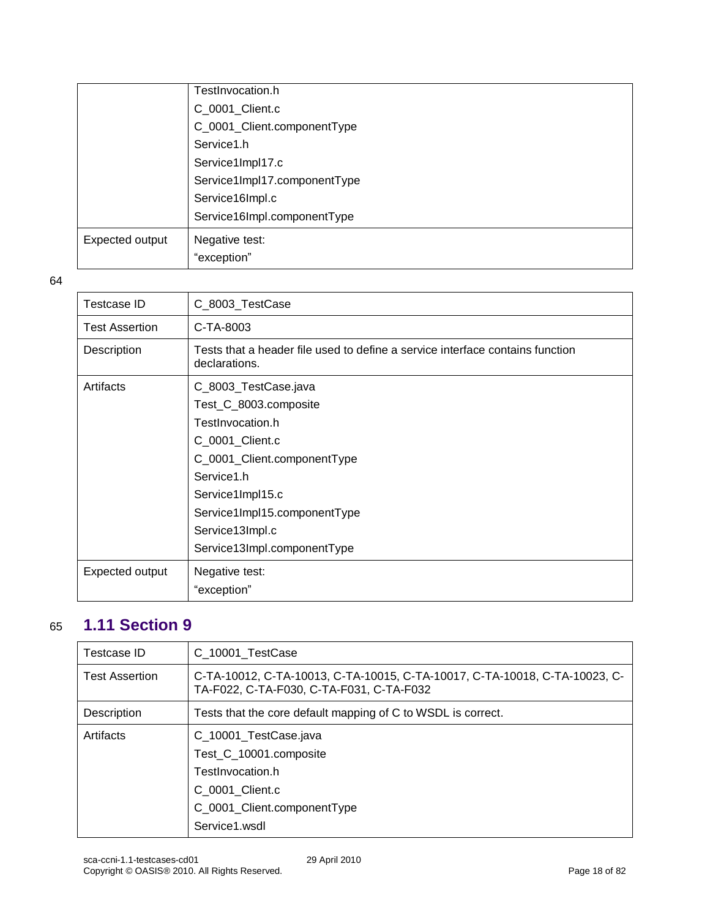|                 | TestInvocation.h             |
|-----------------|------------------------------|
|                 | C_0001_Client.c              |
|                 | C_0001_Client.componentType  |
|                 | Service1.h                   |
|                 | Service1Impl17.c             |
|                 | Service1Impl17.componentType |
|                 | Service16Impl.c              |
|                 | Service16Impl.componentType  |
| Expected output | Negative test:               |
|                 | "exception"                  |

| Testcase ID           | C_8003_TestCase                                                                                |
|-----------------------|------------------------------------------------------------------------------------------------|
| <b>Test Assertion</b> | C-TA-8003                                                                                      |
| Description           | Tests that a header file used to define a service interface contains function<br>declarations. |
| Artifacts             | C_8003_TestCase.java                                                                           |
|                       | Test_C_8003.composite                                                                          |
|                       | TestInvocation.h                                                                               |
|                       | C_0001_Client.c                                                                                |
|                       | C_0001_Client.componentType                                                                    |
|                       | Service1.h                                                                                     |
|                       | Service1Impl15.c                                                                               |
|                       | Service1Impl15.componentType                                                                   |
|                       | Service13Impl.c                                                                                |
|                       | Service13Impl.componentType                                                                    |
| Expected output       | Negative test:                                                                                 |
|                       | "exception"                                                                                    |

### <span id="page-17-0"></span>65 **1.11 Section 9**

| Testcase ID           | C 10001 TestCase                                                                                                       |
|-----------------------|------------------------------------------------------------------------------------------------------------------------|
| <b>Test Assertion</b> | C-TA-10012, C-TA-10013, C-TA-10015, C-TA-10017, C-TA-10018, C-TA-10023, C-<br>TA-F022, C-TA-F030, C-TA-F031, C-TA-F032 |
| Description           | Tests that the core default mapping of C to WSDL is correct.                                                           |
| Artifacts             | C_10001_TestCase.java                                                                                                  |
|                       | Test_C_10001.composite                                                                                                 |
|                       | TestInvocation.h                                                                                                       |
|                       | C 0001 Client.c                                                                                                        |
|                       | C_0001_Client.componentType                                                                                            |
|                       | Service1.wsdl                                                                                                          |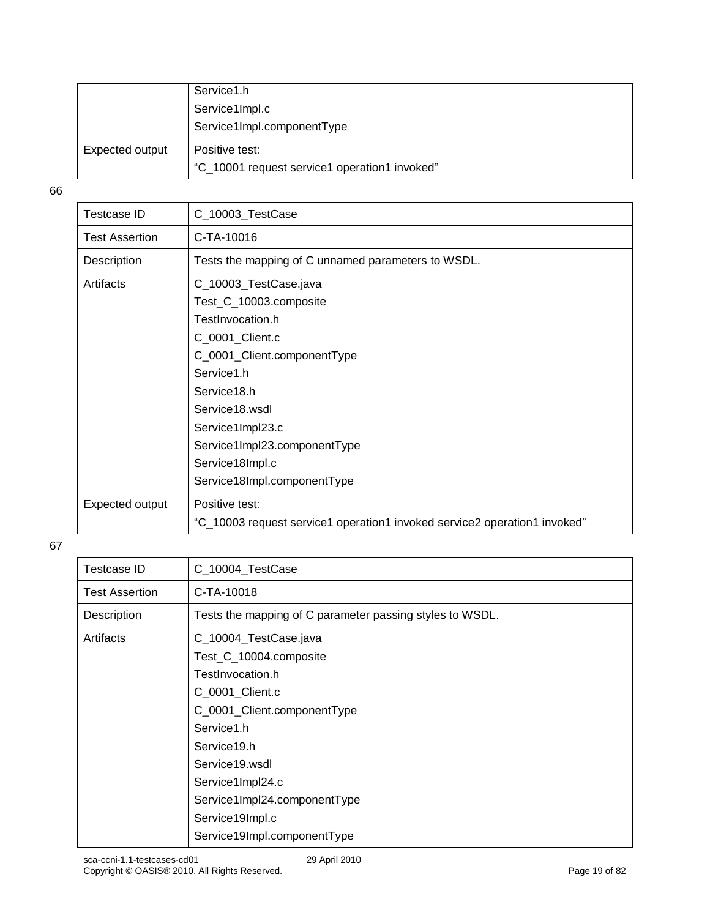|                 | Service1.h                                    |
|-----------------|-----------------------------------------------|
|                 | Service1Impl.c                                |
|                 | Service1Impl.componentType                    |
| Expected output | Positive test:                                |
|                 | "C_10001 request service1 operation1 invoked" |

| Testcase ID           | C_10003_TestCase                                                          |
|-----------------------|---------------------------------------------------------------------------|
| <b>Test Assertion</b> | C-TA-10016                                                                |
| Description           | Tests the mapping of C unnamed parameters to WSDL.                        |
| Artifacts             | C_10003_TestCase.java                                                     |
|                       | Test_C_10003.composite                                                    |
|                       | TestInvocation.h                                                          |
|                       | C_0001_Client.c                                                           |
|                       | C_0001_Client.componentType                                               |
|                       | Service1.h                                                                |
|                       | Service18.h                                                               |
|                       | Service18.wsdl                                                            |
|                       | Service1Impl23.c                                                          |
|                       | Service1Impl23.componentType                                              |
|                       | Service18Impl.c                                                           |
|                       | Service18Impl.componentType                                               |
| Expected output       | Positive test:                                                            |
|                       | "C_10003 request service1 operation1 invoked service2 operation1 invoked" |

| <b>Testcase ID</b>    | C_10004_TestCase                                         |
|-----------------------|----------------------------------------------------------|
| <b>Test Assertion</b> | C-TA-10018                                               |
| Description           | Tests the mapping of C parameter passing styles to WSDL. |
| Artifacts             | C_10004_TestCase.java                                    |
|                       | Test_C_10004.composite                                   |
|                       | TestInvocation.h                                         |
|                       | C_0001_Client.c                                          |
|                       | C_0001_Client.componentType                              |
|                       | Service1.h                                               |
|                       | Service19.h                                              |
|                       | Service19.wsdl                                           |
|                       | Service1Impl24.c                                         |
|                       | Service1Impl24.componentType                             |
|                       | Service19Impl.c                                          |
|                       | Service19Impl.componentType                              |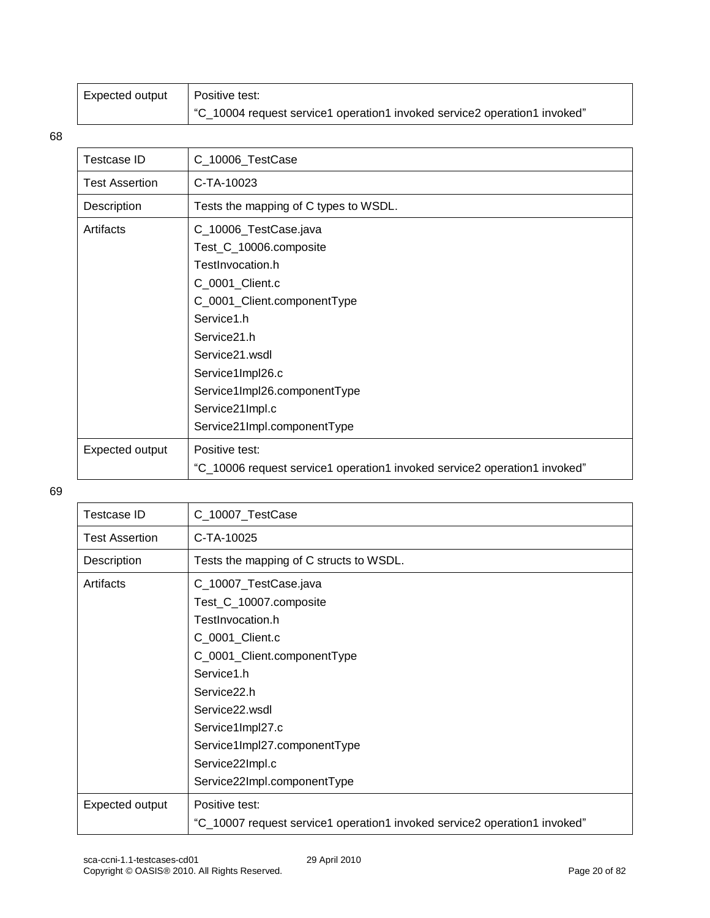| Expected output | Positive test:                                                            |
|-----------------|---------------------------------------------------------------------------|
|                 | "C_10004 request service1 operation1 invoked service2 operation1 invoked" |

| C_10006_TestCase                                                          |
|---------------------------------------------------------------------------|
| C-TA-10023                                                                |
| Tests the mapping of C types to WSDL.                                     |
| C_10006_TestCase.java                                                     |
| Test_C_10006.composite                                                    |
| TestInvocation.h                                                          |
| C_0001_Client.c                                                           |
| C_0001_Client.componentType                                               |
| Service1.h                                                                |
| Service21.h                                                               |
| Service21.wsdl                                                            |
| Service1Impl26.c                                                          |
| Service1Impl26.componentType                                              |
| Service21Impl.c                                                           |
| Service21Impl.componentType                                               |
| Positive test:                                                            |
| "C_10006 request service1 operation1 invoked service2 operation1 invoked" |
|                                                                           |

| <b>Testcase ID</b>    | C_10007_TestCase                                                          |
|-----------------------|---------------------------------------------------------------------------|
| <b>Test Assertion</b> | C-TA-10025                                                                |
| Description           | Tests the mapping of C structs to WSDL.                                   |
| Artifacts             | C_10007_TestCase.java                                                     |
|                       | Test_C_10007.composite                                                    |
|                       | TestInvocation.h                                                          |
|                       | C_0001_Client.c                                                           |
|                       | C_0001_Client.componentType                                               |
|                       | Service1.h                                                                |
|                       | Service <sub>22.h</sub>                                                   |
|                       | Service22.wsdl                                                            |
|                       | Service1Impl27.c                                                          |
|                       | Service1Impl27.componentType                                              |
|                       | Service22Impl.c                                                           |
|                       | Service22Impl.componentType                                               |
| Expected output       | Positive test:                                                            |
|                       | "C_10007 request service1 operation1 invoked service2 operation1 invoked" |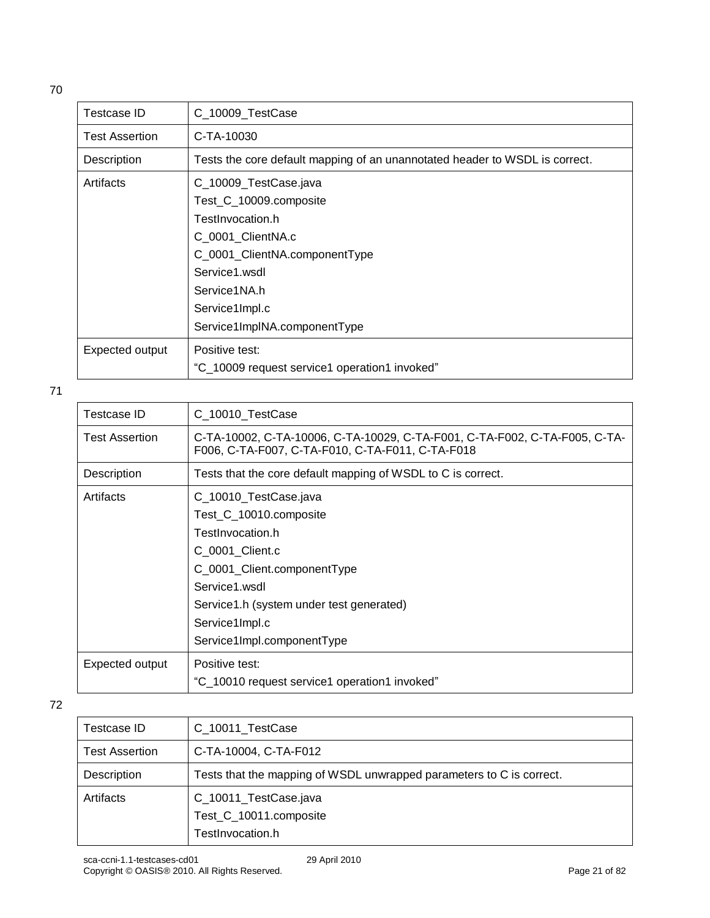| I<br>I<br>×<br>۰. |
|-------------------|

| Testcase ID           | C_10009_TestCase                                                            |
|-----------------------|-----------------------------------------------------------------------------|
| <b>Test Assertion</b> | C-TA-10030                                                                  |
| Description           | Tests the core default mapping of an unannotated header to WSDL is correct. |
| Artifacts             | C_10009_TestCase.java                                                       |
|                       | Test_C_10009.composite                                                      |
|                       | TestInvocation.h                                                            |
|                       | C_0001_ClientNA.c                                                           |
|                       | C_0001_ClientNA.componentType                                               |
|                       | Service1.wsdl                                                               |
|                       | Service1NA.h                                                                |
|                       | Service1Impl.c                                                              |
|                       | Service1ImpINA.componentType                                                |
| Expected output       | Positive test:                                                              |
|                       | "C_10009 request service1 operation1 invoked"                               |

| Testcase ID           | C_10010_TestCase                                                                                                               |
|-----------------------|--------------------------------------------------------------------------------------------------------------------------------|
| <b>Test Assertion</b> | C-TA-10002, C-TA-10006, C-TA-10029, C-TA-F001, C-TA-F002, C-TA-F005, C-TA-<br>F006, C-TA-F007, C-TA-F010, C-TA-F011, C-TA-F018 |
| Description           | Tests that the core default mapping of WSDL to C is correct.                                                                   |
| Artifacts             | C_10010_TestCase.java                                                                                                          |
|                       | Test_C_10010.composite                                                                                                         |
|                       | TestInvocation.h                                                                                                               |
|                       | C 0001 Client.c                                                                                                                |
|                       | C_0001_Client.componentType                                                                                                    |
|                       | Service1.wsdl                                                                                                                  |
|                       | Service1.h (system under test generated)                                                                                       |
|                       | Service1Impl.c                                                                                                                 |
|                       | Service1Impl.componentType                                                                                                     |
| Expected output       | Positive test:                                                                                                                 |
|                       | "C_10010 request service1 operation1 invoked"                                                                                  |
|                       |                                                                                                                                |

| C_10011_TestCase                                                     |
|----------------------------------------------------------------------|
| C-TA-10004, C-TA-F012                                                |
| Tests that the mapping of WSDL unwrapped parameters to C is correct. |
| C_10011_TestCase.java<br>Test_C_10011.composite<br>TestInvocation.h  |
|                                                                      |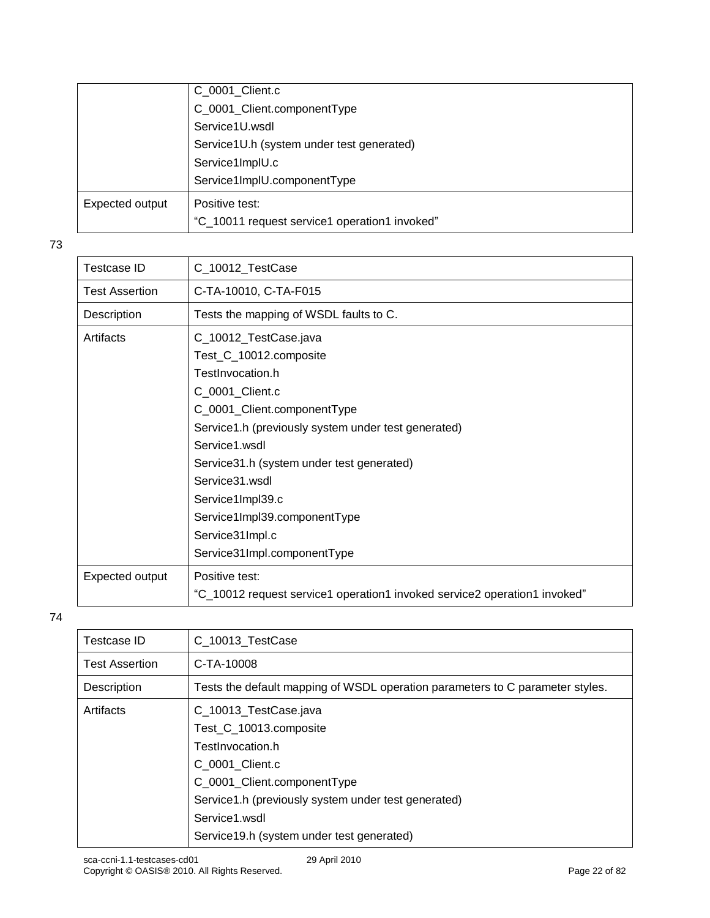|                 | C_0001_Client.c                               |
|-----------------|-----------------------------------------------|
|                 | C_0001_Client.componentType                   |
|                 | Service1U.wsdl                                |
|                 | Service1U.h (system under test generated)     |
|                 | Service1ImplU.c                               |
|                 | Service1ImplU.componentType                   |
| Expected output | Positive test:                                |
|                 | "C_10011 request service1 operation1 invoked" |

| Testcase ID           | C_10012_TestCase                                                          |
|-----------------------|---------------------------------------------------------------------------|
| <b>Test Assertion</b> | C-TA-10010, C-TA-F015                                                     |
| Description           | Tests the mapping of WSDL faults to C.                                    |
| Artifacts             | C_10012_TestCase.java                                                     |
|                       | Test_C_10012.composite                                                    |
|                       | TestInvocation.h                                                          |
|                       | C_0001_Client.c                                                           |
|                       | C_0001_Client.componentType                                               |
|                       | Service1.h (previously system under test generated)                       |
|                       | Service1.wsdl                                                             |
|                       | Service31.h (system under test generated)                                 |
|                       | Service31.wsdl                                                            |
|                       | Service1Impl39.c                                                          |
|                       | Service1Impl39.componentType                                              |
|                       | Service31Impl.c                                                           |
|                       | Service31Impl.componentType                                               |
| Expected output       | Positive test:                                                            |
|                       | "C_10012 request service1 operation1 invoked service2 operation1 invoked" |

| Testcase ID           | C_10013_TestCase                                                              |
|-----------------------|-------------------------------------------------------------------------------|
| <b>Test Assertion</b> | C-TA-10008                                                                    |
| Description           | Tests the default mapping of WSDL operation parameters to C parameter styles. |
| Artifacts             | C_10013_TestCase.java                                                         |
|                       | Test C 10013.composite                                                        |
|                       | TestInvocation.h                                                              |
|                       | C 0001 Client.c                                                               |
|                       | C_0001_Client.componentType                                                   |
|                       | Service1.h (previously system under test generated)                           |
|                       | Service1.wsdl                                                                 |
|                       | Service 19. h (system under test generated)                                   |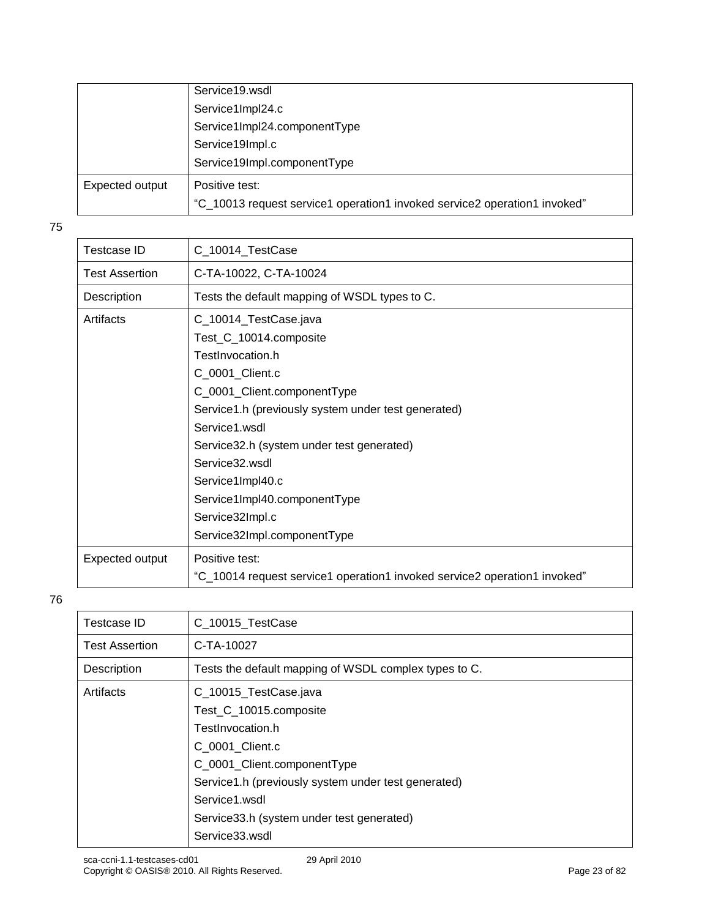|                 | Service19.wsdl                                                            |
|-----------------|---------------------------------------------------------------------------|
|                 | Service1Impl24.c                                                          |
|                 | Service1Impl24.componentType                                              |
|                 | Service19Impl.c                                                           |
|                 | Service19Impl.componentType                                               |
| Expected output | Positive test:                                                            |
|                 | "C_10013 request service1 operation1 invoked service2 operation1 invoked" |

| <b>Testcase ID</b>    | C_10014_TestCase                                                                                                                                                                                                                                                                                                                    |
|-----------------------|-------------------------------------------------------------------------------------------------------------------------------------------------------------------------------------------------------------------------------------------------------------------------------------------------------------------------------------|
| <b>Test Assertion</b> | C-TA-10022, C-TA-10024                                                                                                                                                                                                                                                                                                              |
| Description           | Tests the default mapping of WSDL types to C.                                                                                                                                                                                                                                                                                       |
| Artifacts             | C_10014_TestCase.java<br>Test_C_10014.composite<br>TestInvocation.h<br>C_0001_Client.c<br>C_0001_Client.componentType<br>Service1.h (previously system under test generated)<br>Service1.wsdl<br>Service32.h (system under test generated)<br>Service32 wsdl<br>Service1Impl40.c<br>Service1Impl40.componentType<br>Service32Impl.c |
|                       | Service32Impl.componentType                                                                                                                                                                                                                                                                                                         |
| Expected output       | Positive test:<br>"C_10014 request service1 operation1 invoked service2 operation1 invoked"                                                                                                                                                                                                                                         |

| Testcase ID           | C_10015_TestCase                                      |
|-----------------------|-------------------------------------------------------|
|                       |                                                       |
| <b>Test Assertion</b> | C-TA-10027                                            |
| Description           | Tests the default mapping of WSDL complex types to C. |
| Artifacts             | C_10015_TestCase.java                                 |
|                       | Test_C_10015.composite                                |
|                       | TestInvocation.h                                      |
|                       | C 0001 Client.c                                       |
|                       | C_0001_Client.componentType                           |
|                       | Service1.h (previously system under test generated)   |
|                       | Service1.wsdl                                         |
|                       | Service33.h (system under test generated)             |
|                       | Service33.wsdl                                        |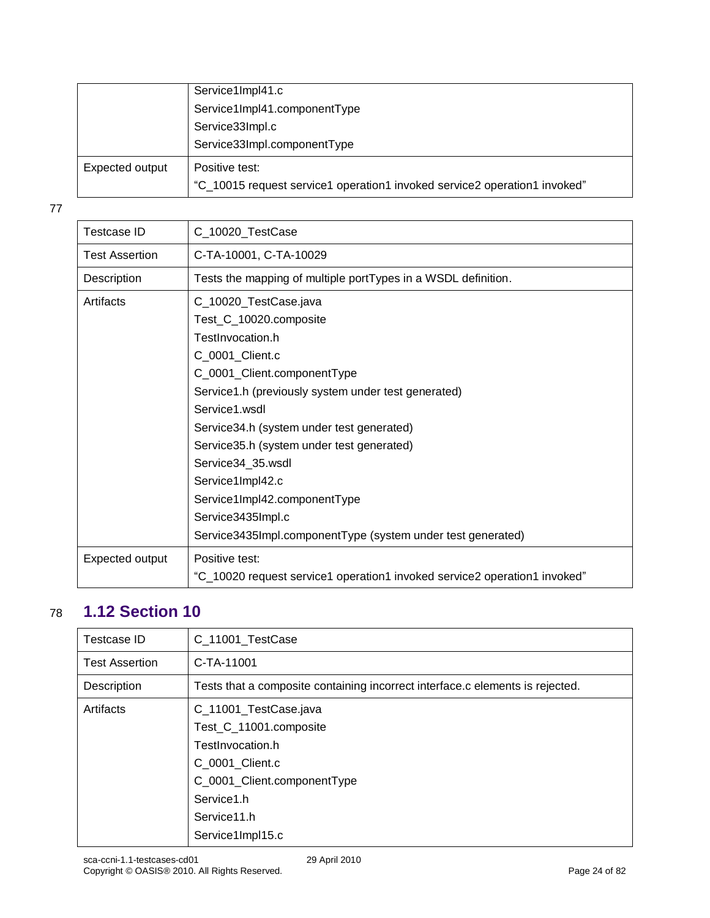|                 | Service1Impl41.c                                                                            |
|-----------------|---------------------------------------------------------------------------------------------|
|                 | Service1Impl41.componentType                                                                |
|                 | Service33Impl.c                                                                             |
|                 | Service33Impl.componentType                                                                 |
| Expected output | Positive test:<br>"C_10015 request service1 operation1 invoked service2 operation1 invoked" |

| <b>Testcase ID</b>    | C_10020_TestCase                                                          |
|-----------------------|---------------------------------------------------------------------------|
| <b>Test Assertion</b> | C-TA-10001, C-TA-10029                                                    |
| Description           | Tests the mapping of multiple portTypes in a WSDL definition.             |
| Artifacts             | C_10020_TestCase.java                                                     |
|                       | Test_C_10020.composite                                                    |
|                       | TestInvocation.h                                                          |
|                       | C_0001_Client.c                                                           |
|                       | C_0001_Client.componentType                                               |
|                       | Service1.h (previously system under test generated)                       |
|                       | Service1.wsdl                                                             |
|                       | Service34.h (system under test generated)                                 |
|                       | Service35.h (system under test generated)                                 |
|                       | Service34_35.wsdl                                                         |
|                       | Service1Impl42.c                                                          |
|                       | Service1Impl42.componentType                                              |
|                       | Service3435Impl.c                                                         |
|                       | Service3435Impl.componentType (system under test generated)               |
| Expected output       | Positive test:                                                            |
|                       | "C_10020 request service1 operation1 invoked service2 operation1 invoked" |
|                       |                                                                           |

# <span id="page-23-0"></span>78 **1.12 Section 10**

| <b>Testcase ID</b>    | C_11001_TestCase                                                              |
|-----------------------|-------------------------------------------------------------------------------|
| <b>Test Assertion</b> | C-TA-11001                                                                    |
| Description           | Tests that a composite containing incorrect interface.c elements is rejected. |
| Artifacts             | C_11001_TestCase.java                                                         |
|                       | Test_C_11001.composite                                                        |
|                       | TestInvocation.h                                                              |
|                       | C 0001 Client.c                                                               |
|                       | C_0001_Client.componentType                                                   |
|                       | Service1.h                                                                    |
|                       | Service11.h                                                                   |
|                       | Service1Impl15.c                                                              |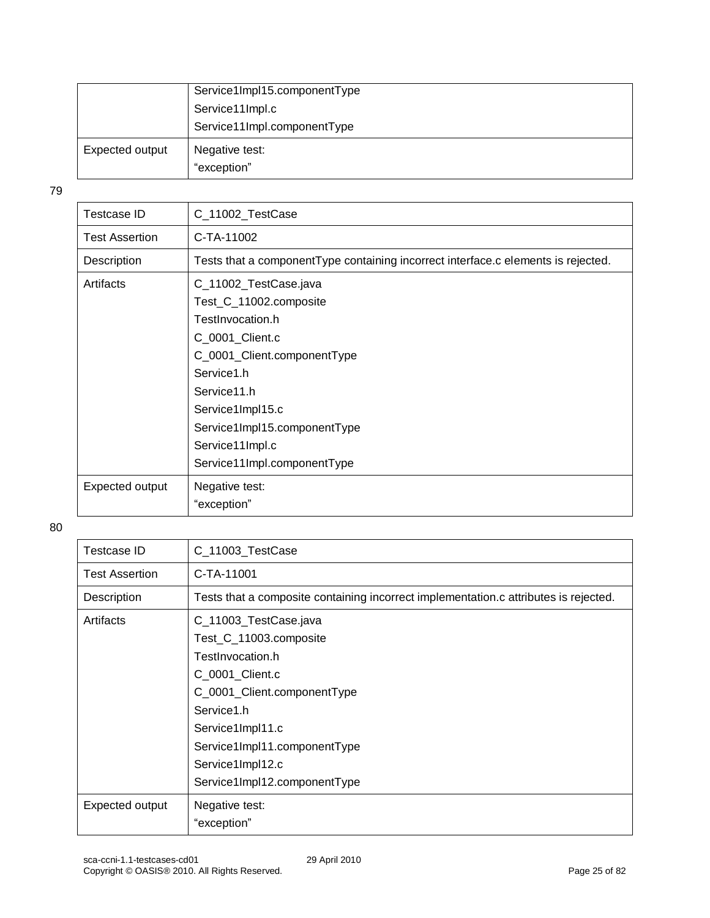|                 | Service1Impl15.componentType  |
|-----------------|-------------------------------|
|                 | Service11Impl.c               |
|                 | Service11Impl.componentType   |
| Expected output | Negative test:<br>"exception" |

| Testcase ID           | C_11002_TestCase                                                                                                                                                                                                                                         |
|-----------------------|----------------------------------------------------------------------------------------------------------------------------------------------------------------------------------------------------------------------------------------------------------|
| <b>Test Assertion</b> | C-TA-11002                                                                                                                                                                                                                                               |
| Description           | Tests that a componentType containing incorrect interface.c elements is rejected.                                                                                                                                                                        |
| Artifacts             | C_11002_TestCase.java<br>Test_C_11002.composite<br>TestInvocation.h<br>C_0001_Client.c<br>C_0001_Client.componentType<br>Service1.h<br>Service11.h<br>Service1Impl15.c<br>Service1Impl15.componentType<br>Service11Impl.c<br>Service11Impl.componentType |
| Expected output       | Negative test:<br>"exception"                                                                                                                                                                                                                            |

| Testcase ID           | C_11003_TestCase                                                                                                                                                                                                                            |
|-----------------------|---------------------------------------------------------------------------------------------------------------------------------------------------------------------------------------------------------------------------------------------|
| <b>Test Assertion</b> | C-TA-11001                                                                                                                                                                                                                                  |
| Description           | Tests that a composite containing incorrect implementation.c attributes is rejected.                                                                                                                                                        |
| Artifacts             | C_11003_TestCase.java<br>Test_C_11003.composite<br>TestInvocation.h<br>C_0001_Client.c<br>C_0001_Client.componentType<br>Service1.h<br>Service1Impl11.c<br>Service1Impl11.componentType<br>Service1Impl12.c<br>Service1Impl12.componentType |
| Expected output       | Negative test:<br>"exception"                                                                                                                                                                                                               |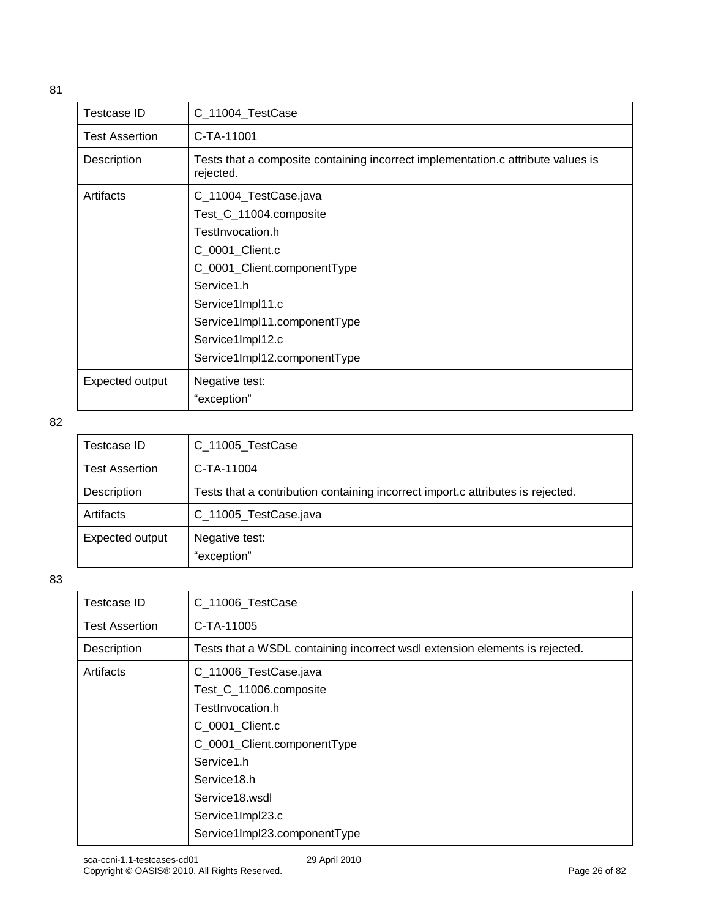| Testcase ID           | C_11004_TestCase                                                                              |
|-----------------------|-----------------------------------------------------------------------------------------------|
| <b>Test Assertion</b> | C-TA-11001                                                                                    |
| Description           | Tests that a composite containing incorrect implementation.c attribute values is<br>rejected. |
| Artifacts             | C_11004_TestCase.java                                                                         |
|                       | Test_C_11004.composite                                                                        |
|                       | TestInvocation.h                                                                              |
|                       | C_0001_Client.c                                                                               |
|                       | C_0001_Client.componentType                                                                   |
|                       | Service1.h                                                                                    |
|                       | Service1Impl11.c                                                                              |
|                       | Service1Impl11.componentType                                                                  |
|                       | Service1Impl12.c                                                                              |
|                       | Service1Impl12.componentType                                                                  |
| Expected output       | Negative test:                                                                                |
|                       | "exception"                                                                                   |

| Testcase ID           | C_11005_TestCase                                                                |
|-----------------------|---------------------------------------------------------------------------------|
| <b>Test Assertion</b> | C-TA-11004                                                                      |
| Description           | Tests that a contribution containing incorrect import.c attributes is rejected. |
| Artifacts             | C_11005_TestCase.java                                                           |
| Expected output       | Negative test:<br>"exception"                                                   |

| <b>Testcase ID</b>    | C_11006_TestCase                                                            |
|-----------------------|-----------------------------------------------------------------------------|
| <b>Test Assertion</b> | C-TA-11005                                                                  |
| Description           | Tests that a WSDL containing incorrect wsdl extension elements is rejected. |
| Artifacts             | C_11006_TestCase.java                                                       |
|                       | Test_C_11006.composite                                                      |
|                       | TestInvocation.h                                                            |
|                       | C_0001_Client.c                                                             |
|                       | C_0001_Client.componentType                                                 |
|                       | Service1.h                                                                  |
|                       | Service18.h                                                                 |
|                       | Service18.wsdl                                                              |
|                       | Service1Impl23.c                                                            |
|                       | Service1Impl23.componentType                                                |
|                       |                                                                             |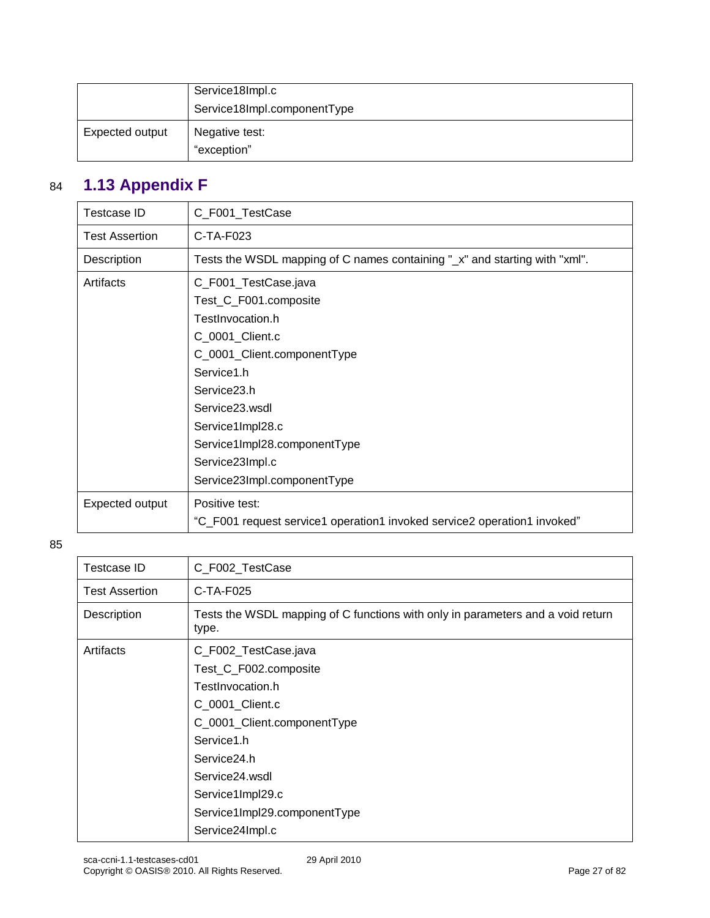|                 | Service18Impl.c               |
|-----------------|-------------------------------|
|                 | Service18Impl.componentType   |
| Expected output | Negative test:<br>"exception" |

# <span id="page-26-0"></span>84 **1.13 Appendix F**

| <b>Testcase ID</b>    | C_F001_TestCase                                                                        |
|-----------------------|----------------------------------------------------------------------------------------|
| <b>Test Assertion</b> | $C-TA-F023$                                                                            |
| Description           | Tests the WSDL mapping of C names containing " $\mathbf{x}$ " and starting with "xml". |
| Artifacts             | C_F001_TestCase.java                                                                   |
|                       | Test_C_F001.composite                                                                  |
|                       | TestInvocation.h                                                                       |
|                       | C_0001_Client.c                                                                        |
|                       | C_0001_Client.componentType                                                            |
|                       | Service1.h                                                                             |
|                       | Service <sub>23.h</sub>                                                                |
|                       | Service23.wsdl                                                                         |
|                       | Service1Impl28.c                                                                       |
|                       | Service1Impl28.componentType                                                           |
|                       | Service23Impl.c                                                                        |
|                       | Service23Impl.componentType                                                            |
| Expected output       | Positive test:                                                                         |
|                       | "C_F001 request service1 operation1 invoked service2 operation1 invoked"               |

| <b>Testcase ID</b>    | C_F002_TestCase                                                                          |
|-----------------------|------------------------------------------------------------------------------------------|
| <b>Test Assertion</b> | C-TA-F025                                                                                |
| Description           | Tests the WSDL mapping of C functions with only in parameters and a void return<br>type. |
| Artifacts             | C_F002_TestCase.java                                                                     |
|                       | Test_C_F002.composite                                                                    |
|                       | TestInvocation.h                                                                         |
|                       | C_0001_Client.c                                                                          |
|                       | C_0001_Client.componentType                                                              |
|                       | Service1.h                                                                               |
|                       | Service24.h                                                                              |
|                       | Service24.wsdl                                                                           |
|                       | Service1Impl29.c                                                                         |
|                       | Service1Impl29.componentType                                                             |
|                       | Service24Impl.c                                                                          |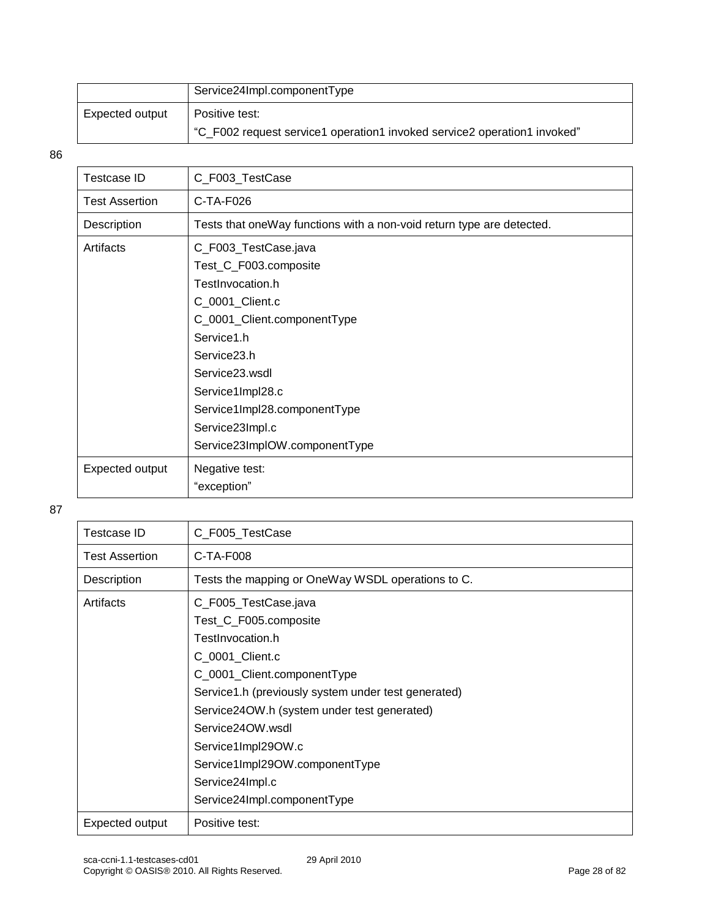|                 | Service24Impl.componentType                                              |
|-----------------|--------------------------------------------------------------------------|
| Expected output | Positive test:                                                           |
|                 | "C_F002 request service1 operation1 invoked service2 operation1 invoked" |

| Testcase ID           | C_F003_TestCase                                                       |
|-----------------------|-----------------------------------------------------------------------|
| <b>Test Assertion</b> | $C-TA-F026$                                                           |
| Description           | Tests that oneWay functions with a non-void return type are detected. |
| Artifacts             | C_F003_TestCase.java                                                  |
|                       | Test_C_F003.composite                                                 |
|                       | TestInvocation.h                                                      |
|                       | C_0001_Client.c                                                       |
|                       | C_0001_Client.componentType                                           |
|                       | Service1.h                                                            |
|                       | Service <sub>23</sub> .h                                              |
|                       | Service23.wsdl                                                        |
|                       | Service1Impl28.c                                                      |
|                       | Service1Impl28.componentType                                          |
|                       | Service23Impl.c                                                       |
|                       | Service23ImpIOW.componentType                                         |
| Expected output       | Negative test:                                                        |
|                       | "exception"                                                           |

| Testcase ID           | C_F005_TestCase                                                                                                                                                                                                                                                                                                                                         |
|-----------------------|---------------------------------------------------------------------------------------------------------------------------------------------------------------------------------------------------------------------------------------------------------------------------------------------------------------------------------------------------------|
| <b>Test Assertion</b> | $C-TA-F008$                                                                                                                                                                                                                                                                                                                                             |
| Description           | Tests the mapping or OneWay WSDL operations to C.                                                                                                                                                                                                                                                                                                       |
| Artifacts             | C_F005_TestCase.java<br>Test_C_F005.composite<br>TestInvocation.h<br>C_0001_Client.c<br>C_0001_Client.componentType<br>Service1.h (previously system under test generated)<br>Service24OW.h (system under test generated)<br>Service24OW.wsdl<br>Service1Impl29OW.c<br>Service1Impl29OW.componentType<br>Service24Impl.c<br>Service24Impl.componentType |
| Expected output       | Positive test:                                                                                                                                                                                                                                                                                                                                          |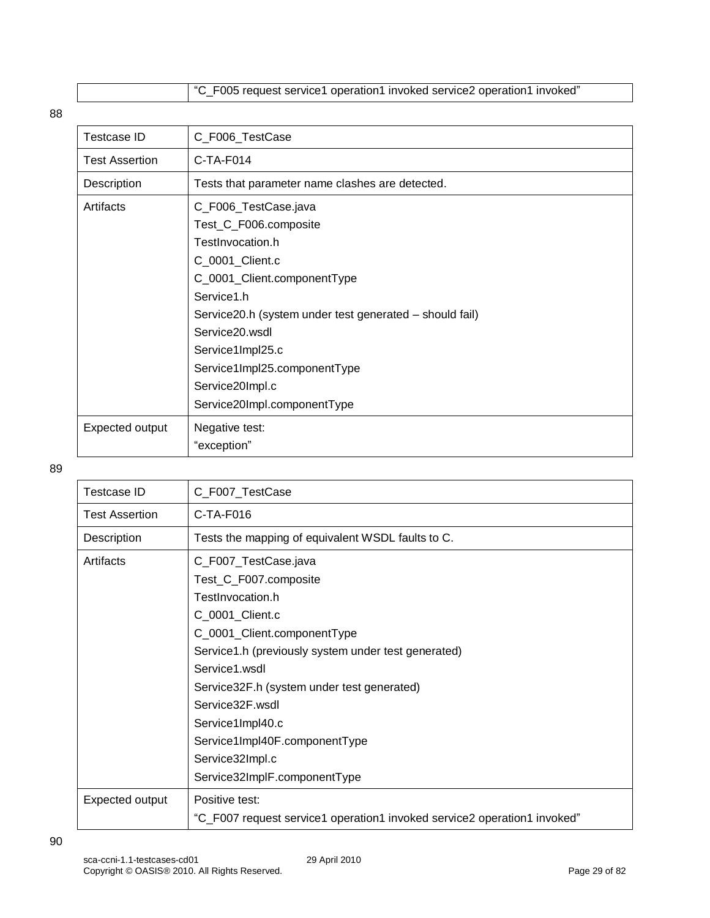"C\_F005 request service1 operation1 invoked service2 operation1 invoked"

88

| <b>Testcase ID</b>    | C_F006_TestCase                                          |
|-----------------------|----------------------------------------------------------|
| <b>Test Assertion</b> | C-TA-F014                                                |
| Description           | Tests that parameter name clashes are detected.          |
| Artifacts             | C_F006_TestCase.java                                     |
|                       | Test_C_F006.composite                                    |
|                       | TestInvocation.h                                         |
|                       | C_0001_Client.c                                          |
|                       | C_0001_Client.componentType                              |
|                       | Service1.h                                               |
|                       | Service 20.h (system under test generated – should fail) |
|                       | Service20.wsdl                                           |
|                       | Service1Impl25.c                                         |
|                       | Service1Impl25.componentType                             |
|                       | Service20Impl.c                                          |
|                       | Service20Impl.componentType                              |
| Expected output       | Negative test:                                           |
|                       | "exception"                                              |

| Testcase ID           | C_F007_TestCase                                                          |
|-----------------------|--------------------------------------------------------------------------|
| <b>Test Assertion</b> | $C-TA-F016$                                                              |
| Description           | Tests the mapping of equivalent WSDL faults to C.                        |
| Artifacts             | C_F007_TestCase.java                                                     |
|                       | Test_C_F007.composite                                                    |
|                       | TestInvocation.h                                                         |
|                       | C_0001_Client.c                                                          |
|                       | C_0001_Client.componentType                                              |
|                       | Service1.h (previously system under test generated)                      |
|                       | Service1 wsdl                                                            |
|                       | Service32F.h (system under test generated)                               |
|                       | Service32F.wsdl                                                          |
|                       | Service1Impl40.c                                                         |
|                       | Service1Impl40F.componentType                                            |
|                       | Service32Impl.c                                                          |
|                       | Service32ImplF.componentType                                             |
| Expected output       | Positive test:                                                           |
|                       | "C_F007 request service1 operation1 invoked service2 operation1 invoked" |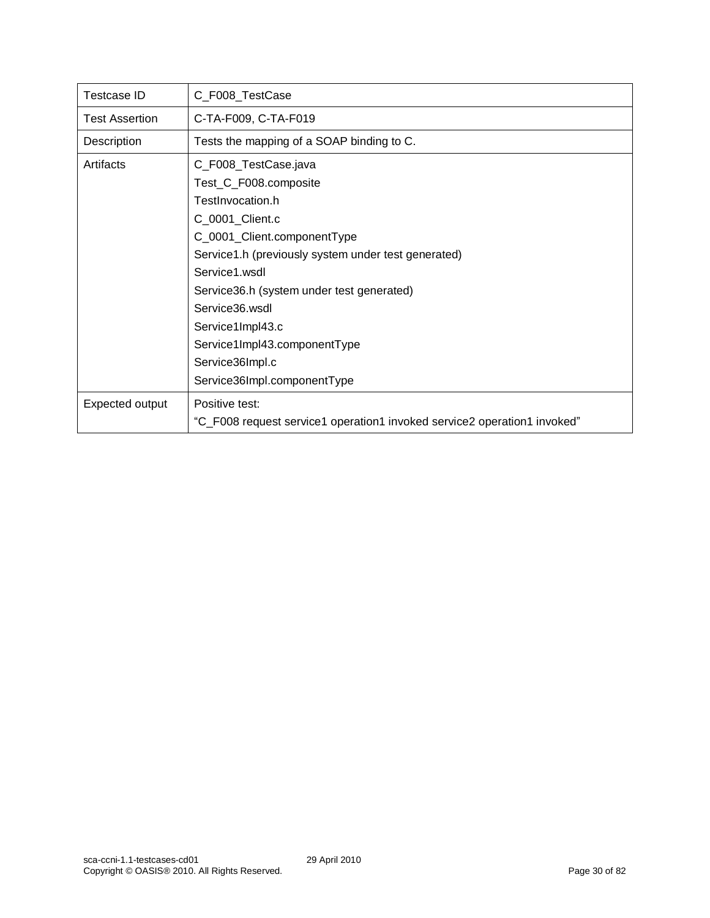| Testcase ID           | C_F008_TestCase                                                          |
|-----------------------|--------------------------------------------------------------------------|
| <b>Test Assertion</b> | C-TA-F009, C-TA-F019                                                     |
| Description           | Tests the mapping of a SOAP binding to C.                                |
| Artifacts             | C_F008_TestCase.java                                                     |
|                       | Test_C_F008.composite                                                    |
|                       | TestInvocation.h                                                         |
|                       | C_0001_Client.c                                                          |
|                       | C_0001_Client.componentType                                              |
|                       | Service1.h (previously system under test generated)                      |
|                       | Service1 wsdl                                                            |
|                       | Service36.h (system under test generated)                                |
|                       | Service36 wsdl                                                           |
|                       | Service1Impl43.c                                                         |
|                       | Service1Impl43.componentType                                             |
|                       | Service36Impl.c                                                          |
|                       | Service36Impl.componentType                                              |
| Expected output       | Positive test:                                                           |
|                       | "C_F008 request service1 operation1 invoked service2 operation1 invoked" |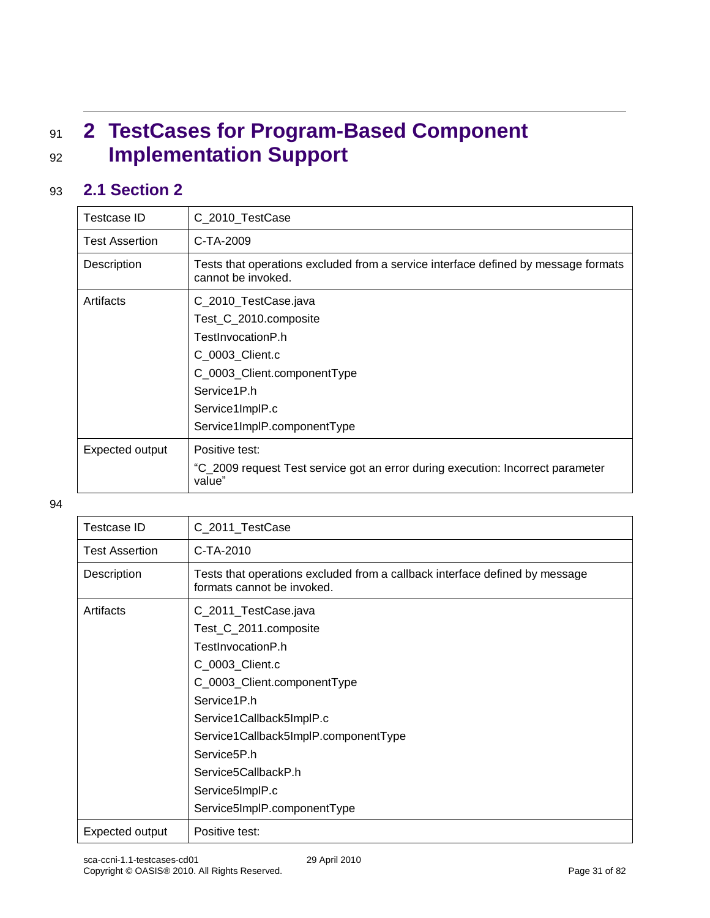# <span id="page-30-0"></span><sup>91</sup> **2 TestCases for Program-Based Component**  <sup>92</sup> **Implementation Support**

### <span id="page-30-1"></span>93 **2.1 Section 2**

| Testcase ID           | C 2010 TestCase                                                                                          |
|-----------------------|----------------------------------------------------------------------------------------------------------|
| <b>Test Assertion</b> | C-TA-2009                                                                                                |
| Description           | Tests that operations excluded from a service interface defined by message formats<br>cannot be invoked. |
| Artifacts             | C_2010_TestCase.java                                                                                     |
|                       | Test_C_2010.composite                                                                                    |
|                       | TestInvocationP.h                                                                                        |
|                       | C 0003 Client.c                                                                                          |
|                       | C_0003_Client.componentType                                                                              |
|                       | Service1P.h                                                                                              |
|                       | Service1ImplP.c                                                                                          |
|                       | Service1ImplP.componentType                                                                              |
| Expected output       | Positive test:                                                                                           |
|                       | "C_2009 request Test service got an error during execution: Incorrect parameter<br>value"                |

| <b>Testcase ID</b>    | C_2011_TestCase                                                                                                                                                                                                                                                               |
|-----------------------|-------------------------------------------------------------------------------------------------------------------------------------------------------------------------------------------------------------------------------------------------------------------------------|
| <b>Test Assertion</b> | $C-TA-2010$                                                                                                                                                                                                                                                                   |
| Description           | Tests that operations excluded from a callback interface defined by message<br>formats cannot be invoked.                                                                                                                                                                     |
| Artifacts             | C_2011_TestCase.java<br>Test_C_2011.composite<br>TestInvocationP.h<br>C_0003_Client.c<br>C_0003_Client.componentType<br>Service1P.h<br>Service1Callback5ImplP.c<br>Service1Callback5ImplP.componentType<br>Service <sub>5</sub> P.h<br>Service5CallbackP.h<br>Service5ImplP.c |
| Expected output       | Service5ImpIP.componentType<br>Positive test:                                                                                                                                                                                                                                 |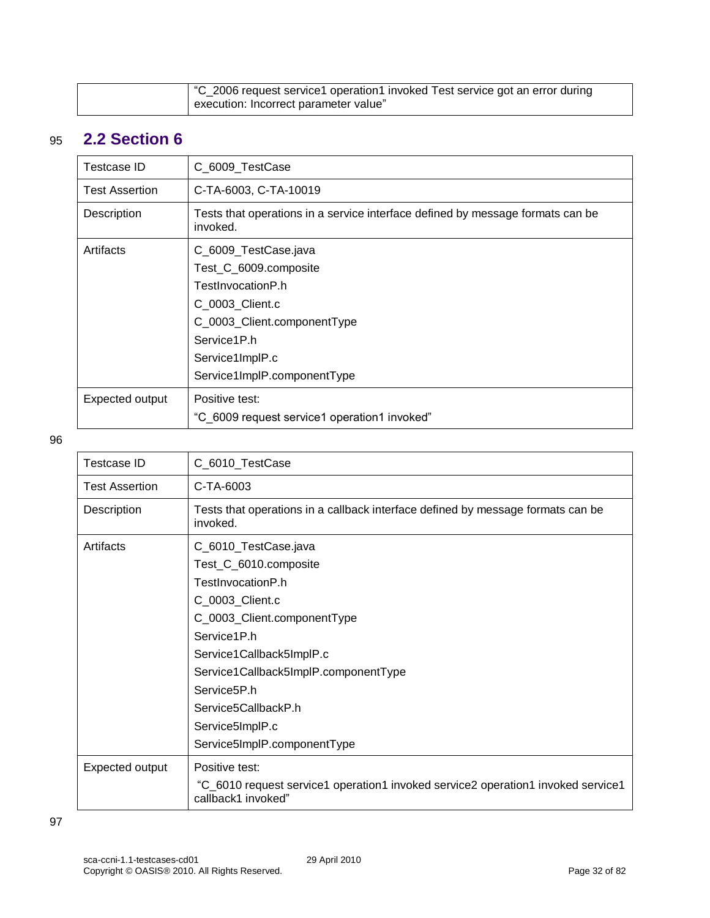<span id="page-31-0"></span>

| C_2006 request service1 operation1 invoked Test service got an error during |
|-----------------------------------------------------------------------------|
| execution: Incorrect parameter value"                                       |

# 95 **2.2 Section 6**

| Testcase ID           | C_6009_TestCase                                                                            |
|-----------------------|--------------------------------------------------------------------------------------------|
| <b>Test Assertion</b> | C-TA-6003, C-TA-10019                                                                      |
| Description           | Tests that operations in a service interface defined by message formats can be<br>invoked. |
| Artifacts             | C_6009_TestCase.java                                                                       |
|                       | Test_C_6009.composite                                                                      |
|                       | TestInvocationP.h                                                                          |
|                       | C 0003 Client.c                                                                            |
|                       | C_0003_Client.componentType                                                                |
|                       | Service1P.h                                                                                |
|                       | Service1ImplP.c                                                                            |
|                       | Service1ImplP.componentType                                                                |
| Expected output       | Positive test:                                                                             |
|                       | "C 6009 request service1 operation1 invoked"                                               |

| Testcase ID           | C_6010_TestCase                                                                                        |
|-----------------------|--------------------------------------------------------------------------------------------------------|
| <b>Test Assertion</b> | C-TA-6003                                                                                              |
| Description           | Tests that operations in a callback interface defined by message formats can be<br>invoked.            |
| Artifacts             | C_6010_TestCase.java                                                                                   |
|                       | Test_C_6010.composite                                                                                  |
|                       | TestInvocationP.h                                                                                      |
|                       | C_0003_Client.c                                                                                        |
|                       | C_0003_Client.componentType                                                                            |
|                       | Service1P.h                                                                                            |
|                       | Service1Callback5ImplP.c                                                                               |
|                       | Service1Callback5ImplP.componentType                                                                   |
|                       | Service <sub>5</sub> P.h                                                                               |
|                       | Service5CallbackP.h                                                                                    |
|                       | Service5ImplP.c                                                                                        |
|                       | Service5ImpIP.componentType                                                                            |
| Expected output       | Positive test:                                                                                         |
|                       | "C_6010 request service1 operation1 invoked service2 operation1 invoked service1<br>callback1 invoked" |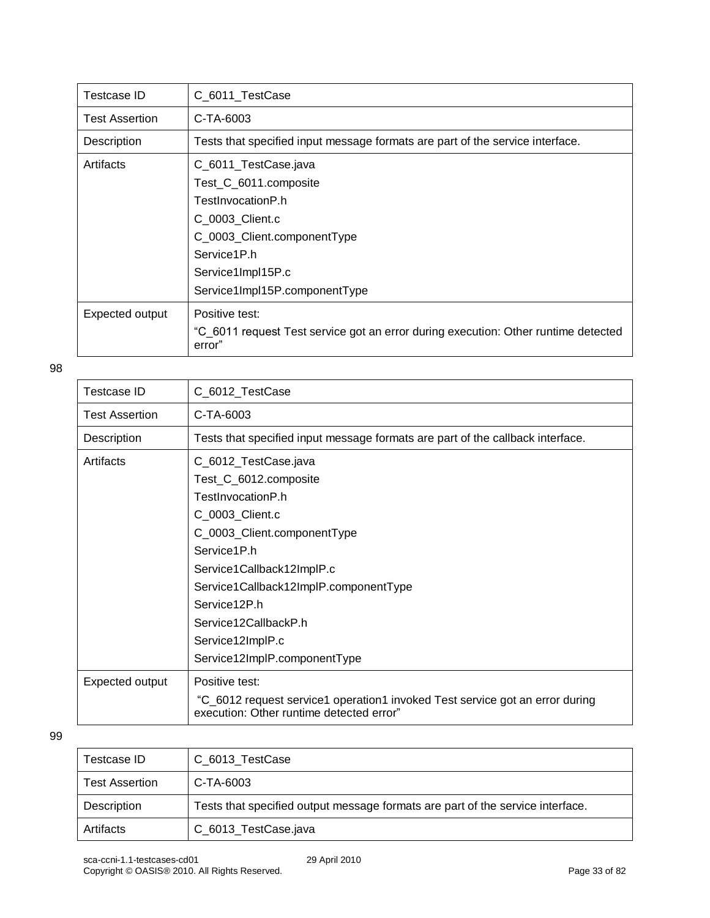| Testcase ID     | C_6011_TestCase                                                                              |
|-----------------|----------------------------------------------------------------------------------------------|
| Test Assertion  | C-TA-6003                                                                                    |
| Description     | Tests that specified input message formats are part of the service interface.                |
| Artifacts       | C_6011_TestCase.java                                                                         |
|                 | Test_C_6011.composite                                                                        |
|                 | TestInvocationP.h                                                                            |
|                 | C_0003_Client.c                                                                              |
|                 | C 0003 Client.componentType                                                                  |
|                 | Service1P.h                                                                                  |
|                 | Service1Impl15P.c                                                                            |
|                 | Service1Impl15P.componentType                                                                |
| Expected output | Positive test:                                                                               |
|                 | "C 6011 request Test service got an error during execution: Other runtime detected<br>error" |

| <b>Testcase ID</b>    | C_6012_TestCase                                                                                                          |
|-----------------------|--------------------------------------------------------------------------------------------------------------------------|
| <b>Test Assertion</b> | C-TA-6003                                                                                                                |
| Description           | Tests that specified input message formats are part of the callback interface.                                           |
| Artifacts             | C_6012_TestCase.java                                                                                                     |
|                       | Test_C_6012.composite                                                                                                    |
|                       | TestInvocationP.h                                                                                                        |
|                       | C_0003_Client.c                                                                                                          |
|                       | C_0003_Client.componentType                                                                                              |
|                       | Service1P.h                                                                                                              |
|                       | Service1Callback12ImplP.c                                                                                                |
|                       | Service1Callback12ImplP.componentType                                                                                    |
|                       | Service12P.h                                                                                                             |
|                       | Service12CallbackP.h                                                                                                     |
|                       | Service12ImplP.c                                                                                                         |
|                       | Service12ImplP.componentType                                                                                             |
| Expected output       | Positive test:                                                                                                           |
|                       | "C_6012 request service1 operation1 invoked Test service got an error during<br>execution: Other runtime detected error" |

| Testcase ID           | C 6013 TestCase                                                                |
|-----------------------|--------------------------------------------------------------------------------|
| <b>Test Assertion</b> | C-TA-6003                                                                      |
| Description           | Tests that specified output message formats are part of the service interface. |
| Artifacts             | C_6013_TestCase.java                                                           |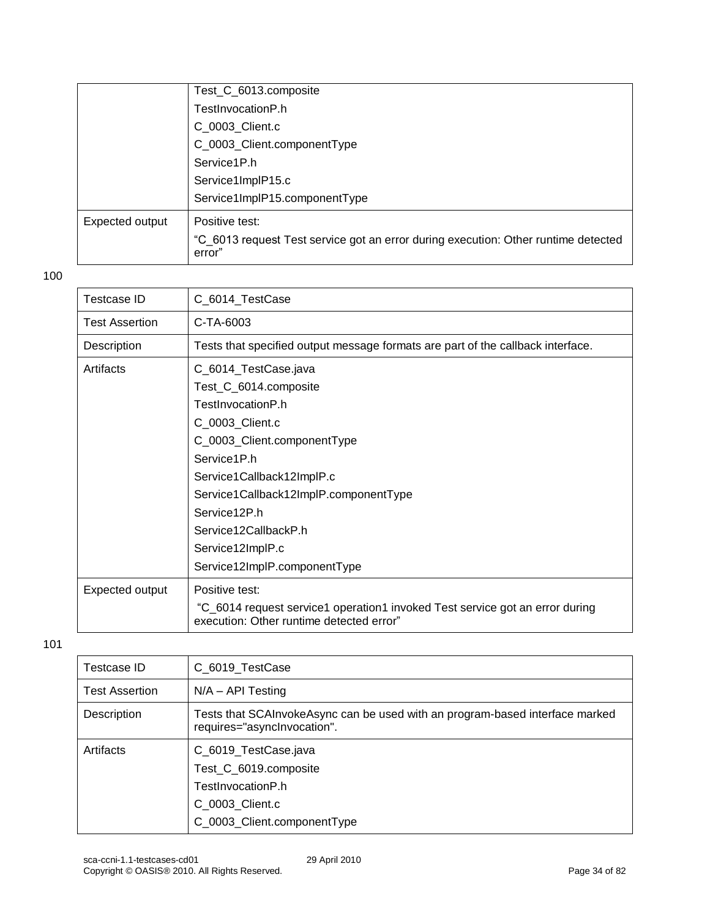|                 | Test_C_6013.composite                                                                        |
|-----------------|----------------------------------------------------------------------------------------------|
|                 | TestInvocationP.h                                                                            |
|                 | C_0003_Client.c                                                                              |
|                 | C_0003_Client.componentType                                                                  |
|                 | Service1P.h                                                                                  |
|                 | Service1ImplP15.c                                                                            |
|                 | Service1ImplP15.componentType                                                                |
| Expected output | Positive test:                                                                               |
|                 | "C 6013 request Test service got an error during execution: Other runtime detected<br>error" |

| Testcase ID           | C_6014_TestCase                                                                                                                                                                                                                                                                                       |
|-----------------------|-------------------------------------------------------------------------------------------------------------------------------------------------------------------------------------------------------------------------------------------------------------------------------------------------------|
| <b>Test Assertion</b> | C-TA-6003                                                                                                                                                                                                                                                                                             |
| Description           | Tests that specified output message formats are part of the callback interface.                                                                                                                                                                                                                       |
| Artifacts             | C_6014_TestCase.java<br>Test_C_6014.composite<br>TestInvocationP.h<br>C_0003_Client.c<br>C_0003_Client.componentType<br>Service1P.h<br>Service1Callback12ImplP.c<br>Service1Callback12ImplP.componentType<br>Service12P.h<br>Service12CallbackP.h<br>Service12ImplP.c<br>Service12ImplP.componentType |
| Expected output       | Positive test:<br>"C_6014 request service1 operation1 invoked Test service got an error during<br>execution: Other runtime detected error"                                                                                                                                                            |

| Testcase ID           | C_6019_TestCase                                                                                                      |
|-----------------------|----------------------------------------------------------------------------------------------------------------------|
| <b>Test Assertion</b> | $N/A - API$ Testing                                                                                                  |
| Description           | Tests that SCAInvokeAsync can be used with an program-based interface marked<br>requires="asynclnvocation".          |
| Artifacts             | C_6019_TestCase.java<br>Test_C_6019.composite<br>TestInvocationP.h<br>C 0003 Client.c<br>C_0003_Client.componentType |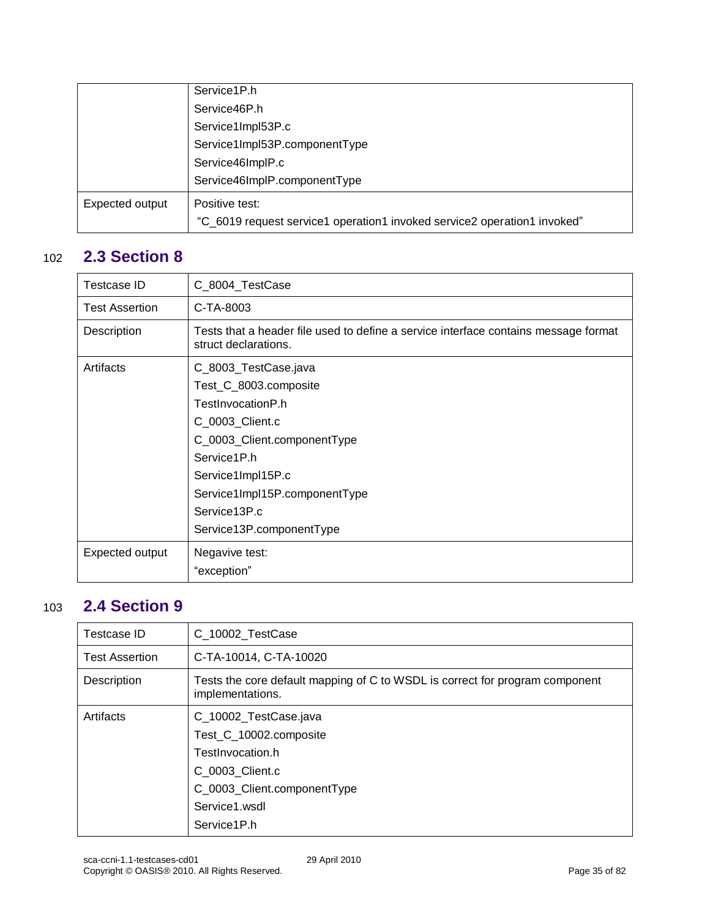|                 | Service1P.h                                                              |
|-----------------|--------------------------------------------------------------------------|
|                 | Service46P.h                                                             |
|                 | Service1Impl53P.c                                                        |
|                 | Service1Impl53P.componentType                                            |
|                 | Service46ImplP.c                                                         |
|                 | Service46ImplP.componentType                                             |
| Expected output | Positive test:                                                           |
|                 | "C_6019 request service1 operation1 invoked service2 operation1 invoked" |

### 102 **2.3 Section 8**

<span id="page-34-0"></span>

| <b>Testcase ID</b>    | C_8004_TestCase                                                                                                                                                                                                                       |
|-----------------------|---------------------------------------------------------------------------------------------------------------------------------------------------------------------------------------------------------------------------------------|
| <b>Test Assertion</b> | C-TA-8003                                                                                                                                                                                                                             |
| Description           | Tests that a header file used to define a service interface contains message format<br>struct declarations.                                                                                                                           |
| Artifacts             | C_8003_TestCase.java<br>Test_C_8003.composite<br>TestInvocationP.h<br>C_0003_Client.c<br>C_0003_Client.componentType<br>Service1P.h<br>Service1Impl15P.c<br>Service1Impl15P.componentType<br>Service13P.c<br>Service13P.componentType |
| Expected output       | Negavive test:                                                                                                                                                                                                                        |
|                       | "exception"                                                                                                                                                                                                                           |

### 103 **2.4 Section 9**

<span id="page-34-1"></span>

| Testcase ID           | C_10002_TestCase                                                                                                                                      |
|-----------------------|-------------------------------------------------------------------------------------------------------------------------------------------------------|
| <b>Test Assertion</b> | C-TA-10014, C-TA-10020                                                                                                                                |
| Description           | Tests the core default mapping of C to WSDL is correct for program component<br>implementations.                                                      |
| Artifacts             | C_10002_TestCase.java<br>Test C 10002.composite<br>TestInvocation.h<br>C 0003 Client.c<br>C_0003_Client.componentType<br>Service1.wsdl<br>Service1P.h |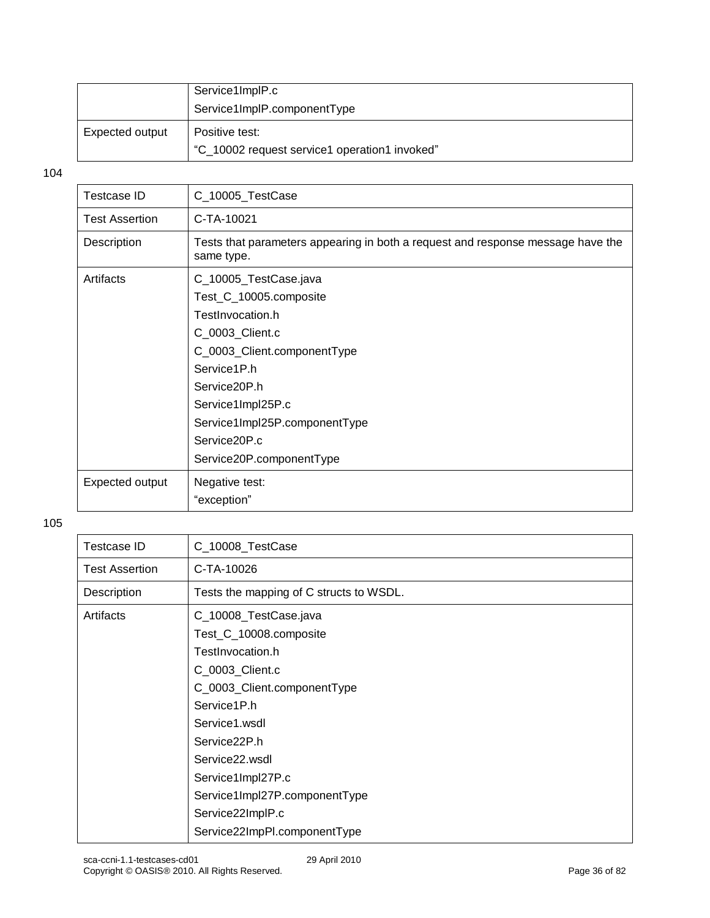|                 | Service1ImplP.c                                                 |
|-----------------|-----------------------------------------------------------------|
|                 | Service1ImplP.componentType                                     |
| Expected output | Positive test:<br>"C_10002 request service1 operation1 invoked" |

| Testcase ID           | C_10005_TestCase                                                                              |
|-----------------------|-----------------------------------------------------------------------------------------------|
| <b>Test Assertion</b> | C-TA-10021                                                                                    |
| Description           | Tests that parameters appearing in both a request and response message have the<br>same type. |
| Artifacts             | C_10005_TestCase.java                                                                         |
|                       | Test_C_10005.composite                                                                        |
|                       | TestInvocation.h                                                                              |
|                       | C_0003_Client.c                                                                               |
|                       | C_0003_Client.componentType                                                                   |
|                       | Service1P.h                                                                                   |
|                       | Service20P.h                                                                                  |
|                       | Service1Impl25P.c                                                                             |
|                       | Service1Impl25P.componentType                                                                 |
|                       | Service20P.c                                                                                  |
|                       | Service20P.componentType                                                                      |
| Expected output       | Negative test:                                                                                |
|                       | "exception"                                                                                   |
|                       |                                                                                               |

| <b>Testcase ID</b>    | C_10008_TestCase                        |
|-----------------------|-----------------------------------------|
| <b>Test Assertion</b> | C-TA-10026                              |
| Description           | Tests the mapping of C structs to WSDL. |
| Artifacts             | C_10008_TestCase.java                   |
|                       | Test_C_10008.composite                  |
|                       | TestInvocation.h                        |
|                       | C_0003_Client.c                         |
|                       | C_0003_Client.componentType             |
|                       | Service1P.h                             |
|                       | Service1.wsdl                           |
|                       | Service22P.h                            |
|                       | Service <sub>22.wsdl</sub>              |
|                       | Service1Impl27P.c                       |
|                       | Service1Impl27P.componentType           |
|                       | Service22ImplP.c                        |
|                       | Service22ImpPl.componentType            |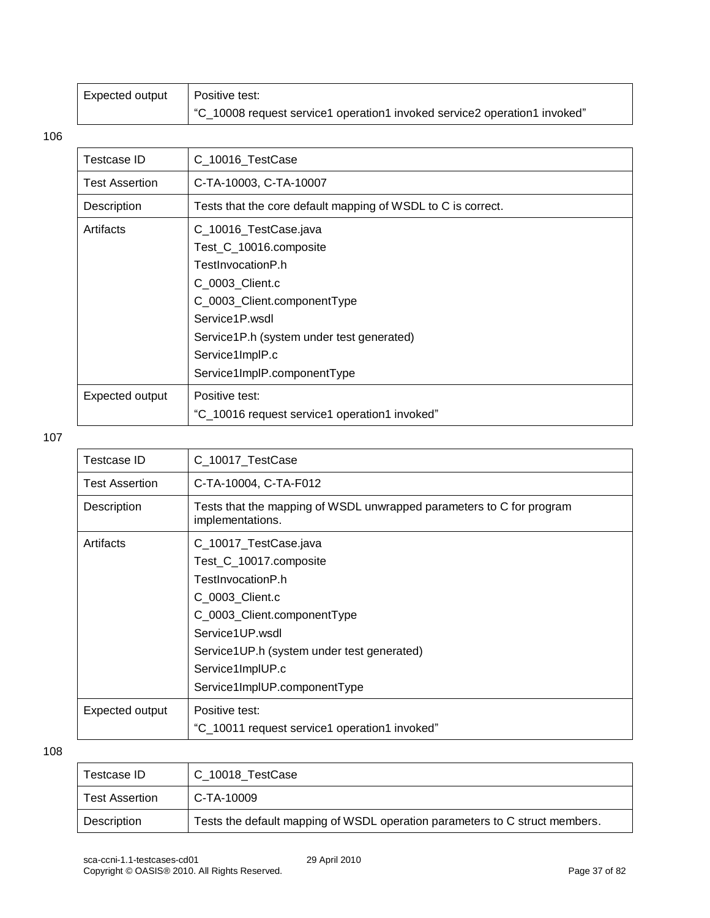| Expected output | Positive test:                                                            |
|-----------------|---------------------------------------------------------------------------|
|                 | "C_10008 request service1 operation1 invoked service2 operation1 invoked" |

| Testcase ID           | C_10016_TestCase                                             |
|-----------------------|--------------------------------------------------------------|
| <b>Test Assertion</b> | C-TA-10003, C-TA-10007                                       |
| Description           | Tests that the core default mapping of WSDL to C is correct. |
| Artifacts             | C_10016_TestCase.java                                        |
|                       | Test_C_10016.composite                                       |
|                       | TestInvocationP.h                                            |
|                       | C_0003_Client.c                                              |
|                       | C_0003_Client.componentType                                  |
|                       | Service1P.wsdl                                               |
|                       | Service1P.h (system under test generated)                    |
|                       | Service1ImplP.c                                              |
|                       | Service1ImplP.componentType                                  |
| Expected output       | Positive test:                                               |
|                       | "C_10016 request service1 operation1 invoked"                |

#### 107

| Testcase ID           | C_10017_TestCase                                                                         |
|-----------------------|------------------------------------------------------------------------------------------|
| <b>Test Assertion</b> | C-TA-10004, C-TA-F012                                                                    |
| Description           | Tests that the mapping of WSDL unwrapped parameters to C for program<br>implementations. |
| Artifacts             | C_10017_TestCase.java                                                                    |
|                       | Test_C_10017.composite                                                                   |
|                       | TestInvocationP.h                                                                        |
|                       | C 0003 Client.c                                                                          |
|                       | C_0003_Client.componentType                                                              |
|                       | Service1UP.wsdl                                                                          |
|                       | Service1UP.h (system under test generated)                                               |
|                       | Service1ImpIUP.c                                                                         |
|                       | Service1ImpIUP.componentType                                                             |
| Expected output       | Positive test:                                                                           |
|                       | "C_10011 request service1 operation1 invoked"                                            |

| Testcase ID           | C 10018 TestCase                                                            |
|-----------------------|-----------------------------------------------------------------------------|
| <b>Test Assertion</b> | C-TA-10009                                                                  |
| Description           | Tests the default mapping of WSDL operation parameters to C struct members. |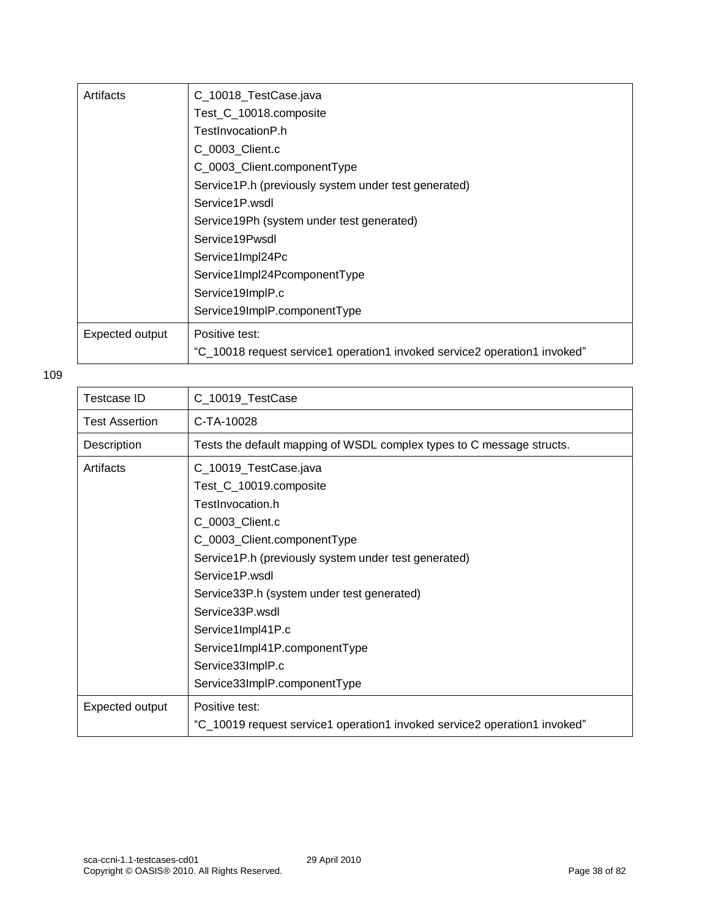| Artifacts       | C_10018_TestCase.java                                                     |
|-----------------|---------------------------------------------------------------------------|
|                 | Test_C_10018.composite                                                    |
|                 | TestInvocationP.h                                                         |
|                 | C 0003 Client.c                                                           |
|                 | C_0003_Client.componentType                                               |
|                 | Service1P.h (previously system under test generated)                      |
|                 | Service1P.wsdl                                                            |
|                 | Service19Ph (system under test generated)                                 |
|                 | Service19Pwsdl                                                            |
|                 | Service1Impl24Pc                                                          |
|                 | Service1Impl24PcomponentType                                              |
|                 | Service19ImplP.c                                                          |
|                 | Service19ImplP.componentType                                              |
| Expected output | Positive test:                                                            |
|                 | "C_10018 request service1 operation1 invoked service2 operation1 invoked" |

| Testcase ID           | C_10019_TestCase                                                                                                                                                                                                                                                                                                                           |
|-----------------------|--------------------------------------------------------------------------------------------------------------------------------------------------------------------------------------------------------------------------------------------------------------------------------------------------------------------------------------------|
| <b>Test Assertion</b> | C-TA-10028                                                                                                                                                                                                                                                                                                                                 |
| Description           | Tests the default mapping of WSDL complex types to C message structs.                                                                                                                                                                                                                                                                      |
| Artifacts             | C_10019_TestCase.java<br>Test_C_10019.composite<br>TestInvocation.h<br>C_0003_Client.c<br>C_0003_Client.componentType<br>Service1P.h (previously system under test generated)<br>Service1P.wsdl<br>Service33P.h (system under test generated)<br>Service33P.wsdl<br>Service1Impl41P.c<br>Service1Impl41P.componentType<br>Service33ImplP.c |
|                       | Service33ImplP.componentType                                                                                                                                                                                                                                                                                                               |
| Expected output       | Positive test:<br>"C_10019 request service1 operation1 invoked service2 operation1 invoked"                                                                                                                                                                                                                                                |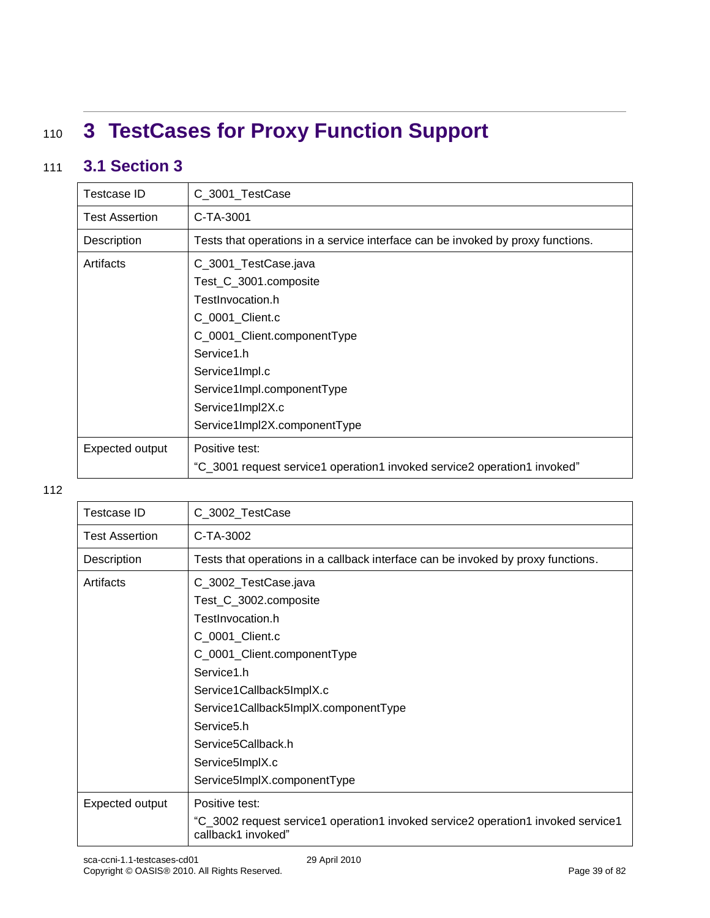# <sup>110</sup> **3 TestCases for Proxy Function Support**

### 111 **3.1 Section 3**

| Testcase ID           | C_3001_TestCase                                                                 |
|-----------------------|---------------------------------------------------------------------------------|
| <b>Test Assertion</b> | C-TA-3001                                                                       |
| Description           | Tests that operations in a service interface can be invoked by proxy functions. |
| Artifacts             | C_3001_TestCase.java                                                            |
|                       | Test_C_3001.composite                                                           |
|                       | TestInvocation.h                                                                |
|                       | C_0001_Client.c                                                                 |
|                       | C_0001_Client.componentType                                                     |
|                       | Service1.h                                                                      |
|                       | Service1Impl.c                                                                  |
|                       | Service1Impl.componentType                                                      |
|                       | Service1Impl2X.c                                                                |
|                       | Service1Impl2X.componentType                                                    |
| Expected output       | Positive test:                                                                  |
|                       | "C_3001 request service1 operation1 invoked service2 operation1 invoked"        |

| <b>Testcase ID</b>    | C_3002_TestCase                                                                                        |
|-----------------------|--------------------------------------------------------------------------------------------------------|
| <b>Test Assertion</b> | C-TA-3002                                                                                              |
| Description           | Tests that operations in a callback interface can be invoked by proxy functions.                       |
| Artifacts             | C_3002_TestCase.java<br>Test_C_3002.composite<br>TestInvocation.h                                      |
|                       | C_0001_Client.c                                                                                        |
|                       | C_0001_Client.componentType                                                                            |
|                       | Service1.h                                                                                             |
|                       | Service1Callback5ImplX.c                                                                               |
|                       | Service1Callback5ImplX.componentType                                                                   |
|                       | Service <sub>5.h</sub>                                                                                 |
|                       | Service5Callback.h                                                                                     |
|                       | Service5ImplX.c                                                                                        |
|                       | Service5ImplX.componentType                                                                            |
| Expected output       | Positive test:                                                                                         |
|                       | "C_3002 request service1 operation1 invoked service2 operation1 invoked service1<br>callback1 invoked" |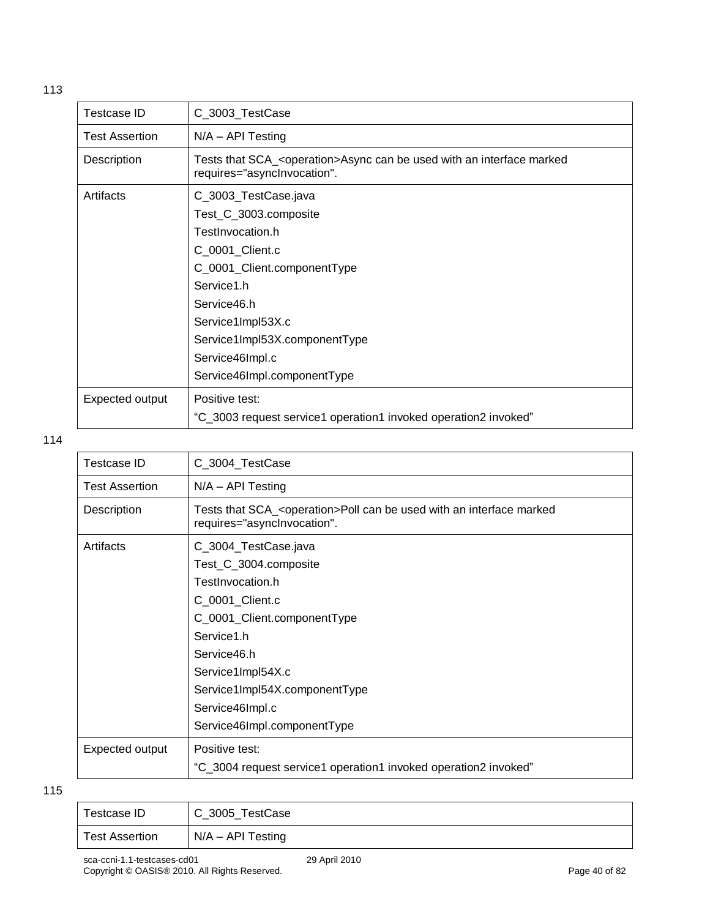| <b>Testcase ID</b>    | C_3003_TestCase                                                                                                   |
|-----------------------|-------------------------------------------------------------------------------------------------------------------|
| <b>Test Assertion</b> | $N/A - API Testing$                                                                                               |
| Description           | Tests that SCA_ <operation>Async can be used with an interface marked<br/>requires="asynclnvocation".</operation> |
| Artifacts             | C_3003_TestCase.java                                                                                              |
|                       | Test_C_3003.composite                                                                                             |
|                       | TestInvocation.h                                                                                                  |
|                       | C_0001_Client.c                                                                                                   |
|                       | C_0001_Client.componentType                                                                                       |
|                       | Service1.h                                                                                                        |
|                       | Service46.h                                                                                                       |
|                       | Service1Impl53X.c                                                                                                 |
|                       | Service1Impl53X.componentType                                                                                     |
|                       | Service46Impl.c                                                                                                   |
|                       | Service46Impl.componentType                                                                                       |
| Expected output       | Positive test:                                                                                                    |
|                       | "C_3003 request service1 operation1 invoked operation2 invoked"                                                   |

| Testcase ID           | C_3004_TestCase                                                                                                  |
|-----------------------|------------------------------------------------------------------------------------------------------------------|
| <b>Test Assertion</b> | $N/A - API$ Testing                                                                                              |
| Description           | Tests that SCA_ <operation>Poll can be used with an interface marked<br/>requires="asynclnvocation".</operation> |
| Artifacts             | C_3004_TestCase.java                                                                                             |
|                       | Test_C_3004.composite                                                                                            |
|                       | TestInvocation.h                                                                                                 |
|                       | C_0001_Client.c                                                                                                  |
|                       | C_0001_Client.componentType                                                                                      |
|                       | Service1.h                                                                                                       |
|                       | Service46.h                                                                                                      |
|                       | Service1Impl54X.c                                                                                                |
|                       | Service1Impl54X.componentType                                                                                    |
|                       | Service46Impl.c                                                                                                  |
|                       | Service46Impl.componentType                                                                                      |
| Expected output       | Positive test:                                                                                                   |
|                       | "C_3004 request service1 operation1 invoked operation2 invoked"                                                  |
|                       |                                                                                                                  |

| Testcase ID           | C_3005_TestCase     |
|-----------------------|---------------------|
| <b>Test Assertion</b> | $N/A - API$ Testing |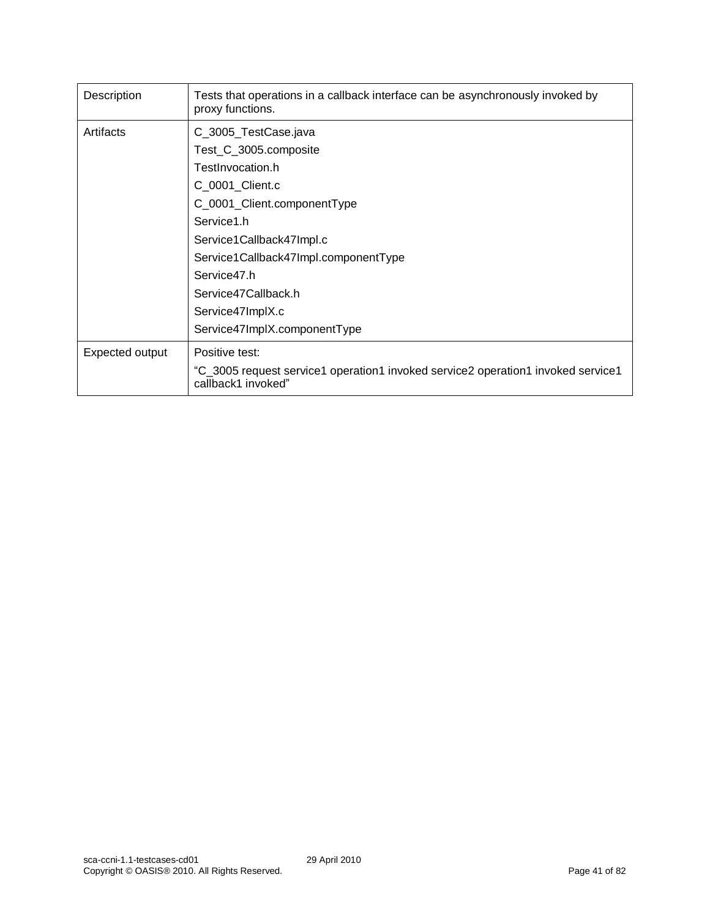| Description     | Tests that operations in a callback interface can be asynchronously invoked by<br>proxy functions.     |
|-----------------|--------------------------------------------------------------------------------------------------------|
| Artifacts       | C_3005_TestCase.java                                                                                   |
|                 | Test_C_3005.composite                                                                                  |
|                 | TestInvocation.h                                                                                       |
|                 | C_0001_Client.c                                                                                        |
|                 | C_0001_Client.componentType                                                                            |
|                 | Service1.h                                                                                             |
|                 | Service1Callback47Impl.c                                                                               |
|                 | Service1Callback47Impl.componentType                                                                   |
|                 | Service47.h                                                                                            |
|                 | Service47Callback.h                                                                                    |
|                 | Service47ImplX.c                                                                                       |
|                 | Service47ImplX.componentType                                                                           |
| Expected output | Positive test:                                                                                         |
|                 | "C_3005 request service1 operation1 invoked service2 operation1 invoked service1<br>callback1 invoked" |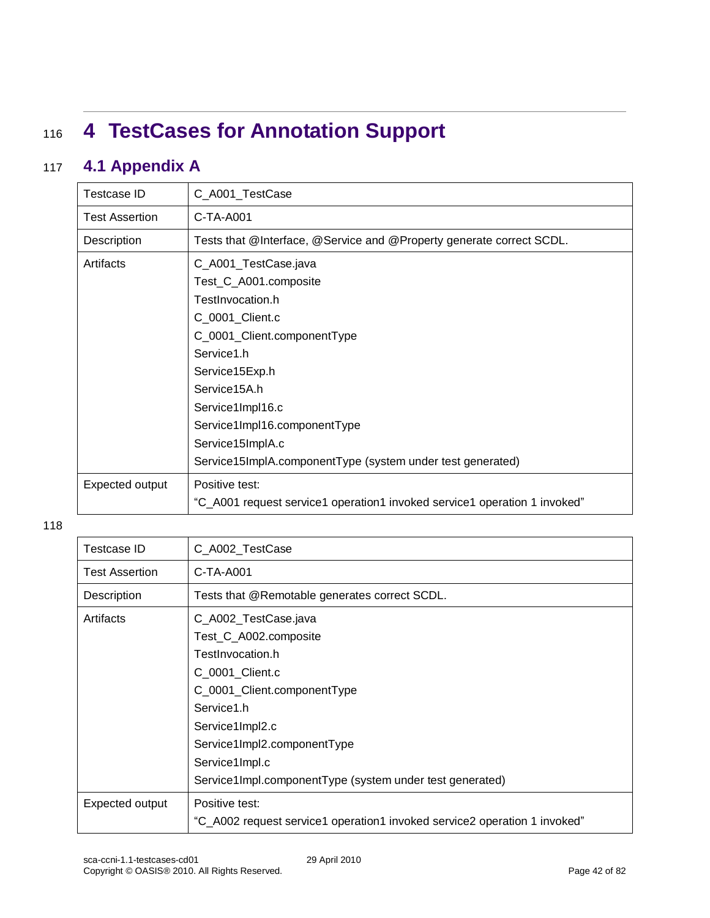# <sup>116</sup> **4 TestCases for Annotation Support**

### 117 **4.1 Appendix A**

| <b>Testcase ID</b>    | C_A001_TestCase                                                           |
|-----------------------|---------------------------------------------------------------------------|
| <b>Test Assertion</b> | C-TA-A001                                                                 |
| Description           | Tests that @Interface, @Service and @Property generate correct SCDL.      |
| Artifacts             | C_A001_TestCase.java                                                      |
|                       | Test_C_A001.composite                                                     |
|                       | TestInvocation.h                                                          |
|                       | C_0001_Client.c                                                           |
|                       | C_0001_Client.componentType                                               |
|                       | Service1.h                                                                |
|                       | Service15Exp.h                                                            |
|                       | Service15A.h                                                              |
|                       | Service1Impl16.c                                                          |
|                       | Service1Impl16.componentType                                              |
|                       | Service15ImplA.c                                                          |
|                       | Service15ImpIA.componentType (system under test generated)                |
| Expected output       | Positive test:                                                            |
|                       | "C_A001 request service1 operation1 invoked service1 operation 1 invoked" |

| Testcase ID           | C_A002_TestCase                                                                                                                                                                                       |
|-----------------------|-------------------------------------------------------------------------------------------------------------------------------------------------------------------------------------------------------|
| <b>Test Assertion</b> | $C-TA-A001$                                                                                                                                                                                           |
| Description           | Tests that @Remotable generates correct SCDL.                                                                                                                                                         |
| Artifacts             | C_A002_TestCase.java<br>Test_C_A002.composite<br>TestInvocation.h<br>C_0001_Client.c<br>C_0001_Client.componentType<br>Service1.h<br>Service1Impl2.c<br>Service1Impl2.componentType<br>Service1Impl.c |
|                       | Service1Impl.componentType (system under test generated)                                                                                                                                              |
| Expected output       | Positive test:<br>"C_A002 request service1 operation1 invoked service2 operation 1 invoked"                                                                                                           |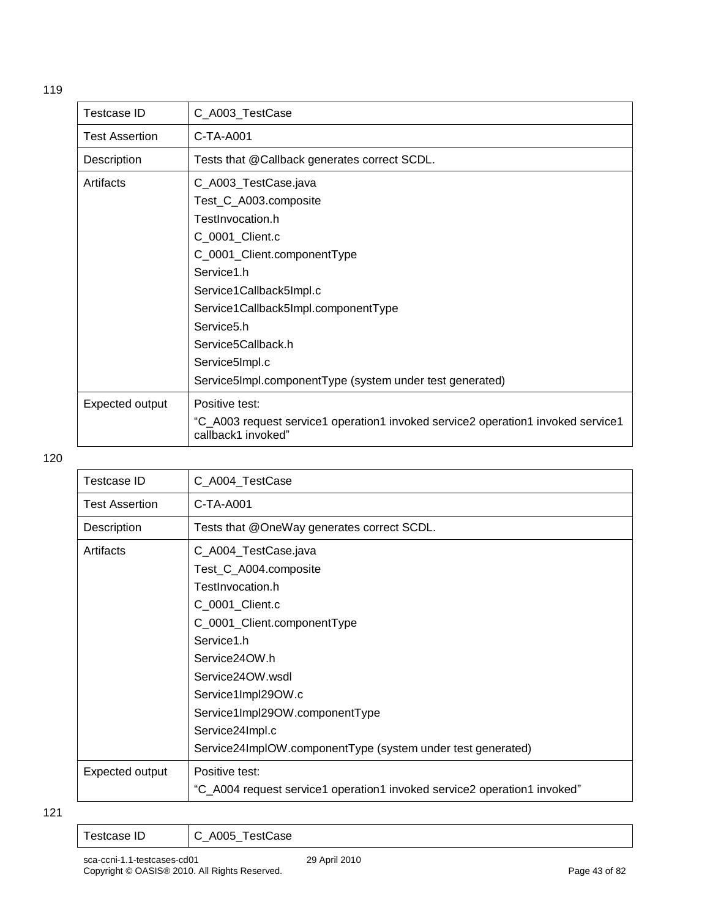| <b>Testcase ID</b>    | C_A003_TestCase                                                                                                                                                                                                                                                                                                                    |
|-----------------------|------------------------------------------------------------------------------------------------------------------------------------------------------------------------------------------------------------------------------------------------------------------------------------------------------------------------------------|
| <b>Test Assertion</b> | $C-TA-A001$                                                                                                                                                                                                                                                                                                                        |
| Description           | Tests that @Callback generates correct SCDL.                                                                                                                                                                                                                                                                                       |
| Artifacts             | C_A003_TestCase.java<br>Test_C_A003.composite<br>TestInvocation.h<br>C_0001_Client.c<br>C_0001_Client.componentType<br>Service1.h<br>Service1Callback5Impl.c<br>Service1Callback5Impl.componentType<br>Service <sub>5</sub> .h<br>Service5Callback.h<br>Service5Impl.c<br>Service5Impl.componentType (system under test generated) |
| Expected output       | Positive test:<br>"C_A003 request service1 operation1 invoked service2 operation1 invoked service1<br>callback1 invoked"                                                                                                                                                                                                           |

| Testcase ID           | C_A004_TestCase                                                          |
|-----------------------|--------------------------------------------------------------------------|
| <b>Test Assertion</b> | C-TA-A001                                                                |
| Description           | Tests that @OneWay generates correct SCDL.                               |
| Artifacts             | C_A004_TestCase.java                                                     |
|                       | Test_C_A004.composite                                                    |
|                       | TestInvocation.h                                                         |
|                       | C_0001_Client.c                                                          |
|                       | C_0001_Client.componentType                                              |
|                       | Service1.h                                                               |
|                       | Service24OW.h                                                            |
|                       | Service24OW wsdl                                                         |
|                       | Service1Impl29OW.c                                                       |
|                       | Service1Impl29OW.componentType                                           |
|                       | Service24Impl.c                                                          |
|                       | Service24ImpIOW.componentType (system under test generated)              |
| Expected output       | Positive test:                                                           |
|                       | "C_A004 request service1 operation1 invoked service2 operation1 invoked" |

| $\overline{\phantom{0}}$ | $\overline{\phantom{a}}$ |
|--------------------------|--------------------------|
| P                        | .ase                     |
| . se                     | $\overline{\phantom{0}}$ |
|                          |                          |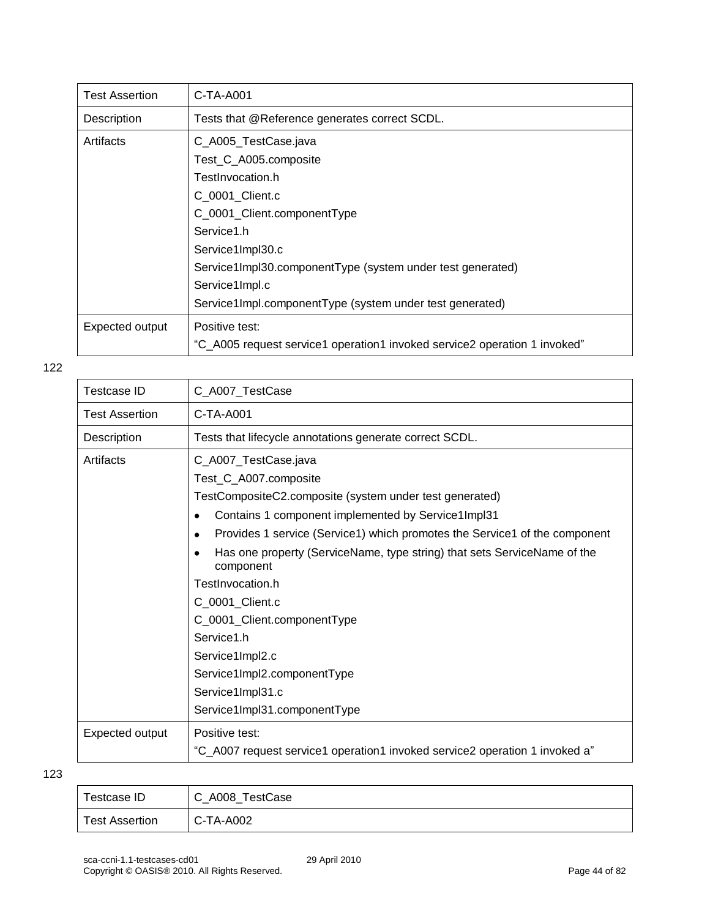| <b>Test Assertion</b> | C-TA-A001                                                                 |
|-----------------------|---------------------------------------------------------------------------|
| Description           | Tests that @Reference generates correct SCDL.                             |
| Artifacts             | C_A005_TestCase.java                                                      |
|                       | Test_C_A005.composite                                                     |
|                       | TestInvocation.h                                                          |
|                       | C 0001 Client.c                                                           |
|                       | C_0001_Client.componentType                                               |
|                       | Service1.h                                                                |
|                       | Service1Impl30.c                                                          |
|                       | Service1Impl30.componentType (system under test generated)                |
|                       | Service1Impl.c                                                            |
|                       | Service1Impl.componentType (system under test generated)                  |
| Expected output       | Positive test:                                                            |
|                       | "C_A005 request service1 operation1 invoked service2 operation 1 invoked" |

| Testcase ID           | C_A007_TestCase                                                                                                                                                                                                                                                                                                                                                                                                                                                                                                                              |
|-----------------------|----------------------------------------------------------------------------------------------------------------------------------------------------------------------------------------------------------------------------------------------------------------------------------------------------------------------------------------------------------------------------------------------------------------------------------------------------------------------------------------------------------------------------------------------|
| <b>Test Assertion</b> | $C-TA-A001$                                                                                                                                                                                                                                                                                                                                                                                                                                                                                                                                  |
| Description           | Tests that lifecycle annotations generate correct SCDL.                                                                                                                                                                                                                                                                                                                                                                                                                                                                                      |
| Artifacts             | C_A007_TestCase.java<br>Test_C_A007.composite<br>TestCompositeC2.composite (system under test generated)<br>Contains 1 component implemented by Service1Impl31<br>$\bullet$<br>Provides 1 service (Service1) which promotes the Service1 of the component<br>Has one property (ServiceName, type string) that sets ServiceName of the<br>component<br>TestInvocation.h<br>C_0001_Client.c<br>C_0001_Client.componentType<br>Service1.h<br>Service1Impl2.c<br>Service1Impl2.componentType<br>Service1Impl31.c<br>Service1Impl31.componentType |
| Expected output       | Positive test:<br>"C_A007 request service1 operation1 invoked service2 operation 1 invoked a"                                                                                                                                                                                                                                                                                                                                                                                                                                                |

| Testcase ID           | C_A008_TestCase |
|-----------------------|-----------------|
| <b>Test Assertion</b> | C-TA-A002       |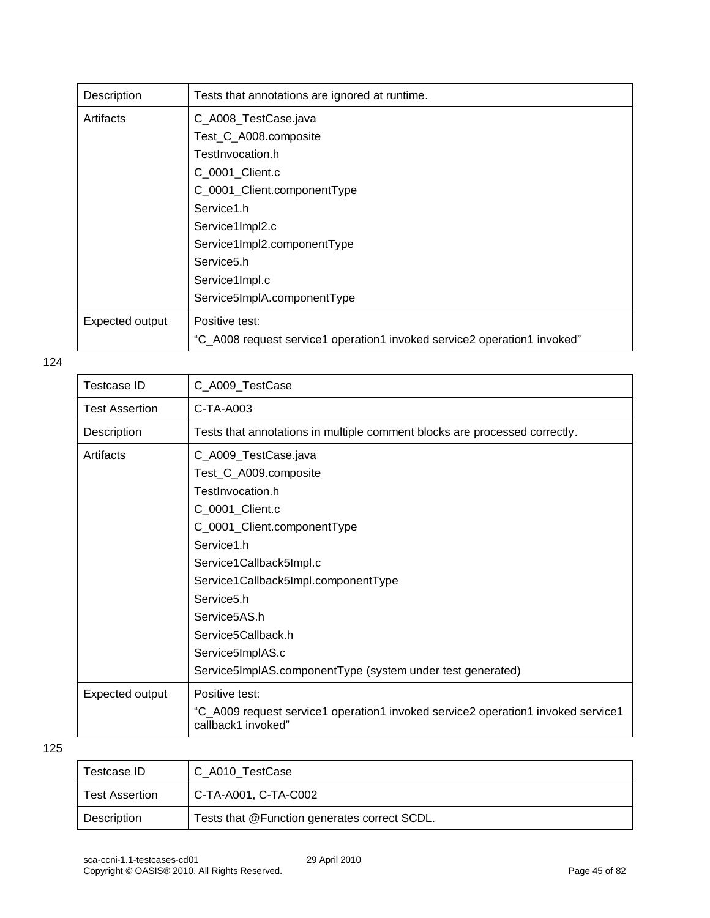| Description     | Tests that annotations are ignored at runtime.                           |
|-----------------|--------------------------------------------------------------------------|
| Artifacts       | C_A008_TestCase.java                                                     |
|                 | Test_C_A008.composite                                                    |
|                 | TestInvocation.h                                                         |
|                 | C_0001_Client.c                                                          |
|                 | C_0001_Client.componentType                                              |
|                 | Service1.h                                                               |
|                 | Service1Impl2.c                                                          |
|                 | Service1Impl2.componentType                                              |
|                 | Service <sub>5.h</sub>                                                   |
|                 | Service1Impl.c                                                           |
|                 | Service5ImpIA.componentType                                              |
| Expected output | Positive test:                                                           |
|                 | "C_A008 request service1 operation1 invoked service2 operation1 invoked" |

| Testcase ID           | C_A009_TestCase                                                                                        |
|-----------------------|--------------------------------------------------------------------------------------------------------|
| <b>Test Assertion</b> | $C-TA-A003$                                                                                            |
| Description           | Tests that annotations in multiple comment blocks are processed correctly.                             |
| Artifacts             | C_A009_TestCase.java                                                                                   |
|                       | Test_C_A009.composite                                                                                  |
|                       | TestInvocation.h                                                                                       |
|                       | C_0001_Client.c                                                                                        |
|                       | C_0001_Client.componentType                                                                            |
|                       | Service1.h                                                                                             |
|                       | Service1Callback5Impl.c                                                                                |
|                       | Service1Callback5Impl.componentType                                                                    |
|                       | Service <sub>5.h</sub>                                                                                 |
|                       | Service5AS.h                                                                                           |
|                       | Service5Callback.h                                                                                     |
|                       | Service5ImpIAS.c                                                                                       |
|                       | Service5ImpIAS.componentType (system under test generated)                                             |
| Expected output       | Positive test:                                                                                         |
|                       | "C_A009 request service1 operation1 invoked service2 operation1 invoked service1<br>callback1 invoked" |

| Testcase ID           | C A010 TestCase                              |
|-----------------------|----------------------------------------------|
| <b>Test Assertion</b> | C-TA-A001, C-TA-C002                         |
| Description           | Tests that @Function generates correct SCDL. |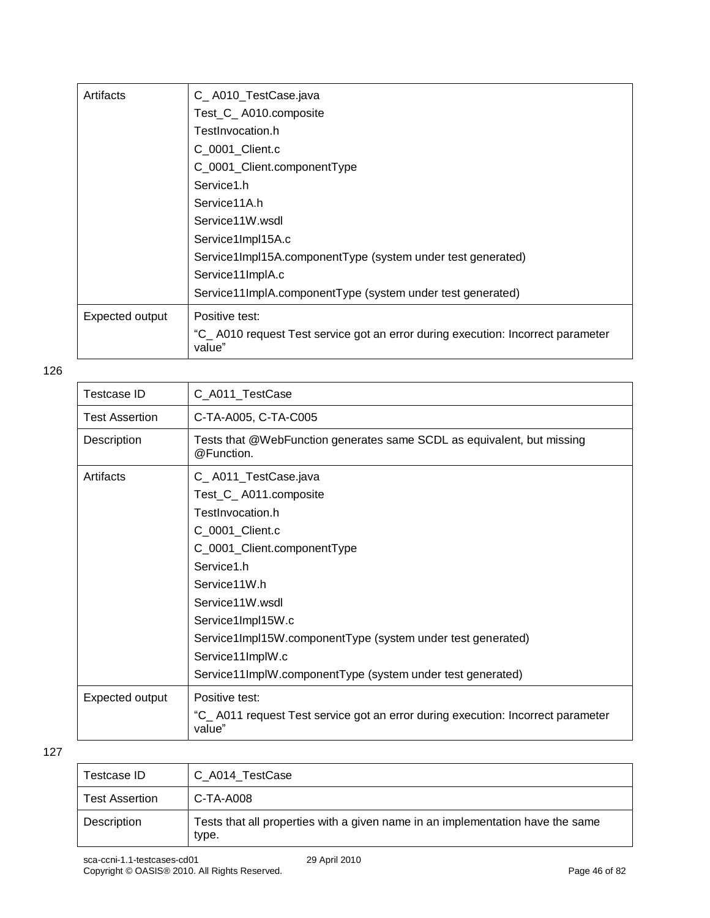| Artifacts       | C_A010_TestCase.java                                                                      |
|-----------------|-------------------------------------------------------------------------------------------|
|                 | Test_C_A010.composite                                                                     |
|                 | TestInvocation.h                                                                          |
|                 | C 0001 Client.c                                                                           |
|                 | C_0001_Client.componentType                                                               |
|                 | Service1.h                                                                                |
|                 | Service11A.h                                                                              |
|                 | Service11W.wsdl                                                                           |
|                 | Service1Impl15A.c                                                                         |
|                 | Service1Impl15A.componentType (system under test generated)                               |
|                 | Service11ImplA.c                                                                          |
|                 | Service11ImplA.componentType (system under test generated)                                |
| Expected output | Positive test:                                                                            |
|                 | "C_A010 request Test service got an error during execution: Incorrect parameter<br>value" |

| Testcase ID     | C_A011_TestCase                                                                                                                                                                                                                                                                                                                            |
|-----------------|--------------------------------------------------------------------------------------------------------------------------------------------------------------------------------------------------------------------------------------------------------------------------------------------------------------------------------------------|
| Test Assertion  | C-TA-A005, C-TA-C005                                                                                                                                                                                                                                                                                                                       |
| Description     | Tests that @WebFunction generates same SCDL as equivalent, but missing<br>@Function.                                                                                                                                                                                                                                                       |
| Artifacts       | C_A011_TestCase.java<br>Test_C_A011.composite<br>TestInvocation.h<br>C_0001_Client.c<br>C_0001_Client.componentType<br>Service1.h<br>Service11W.h<br>Service11W.wsdl<br>Service1Impl15W.c<br>Service1ImpI15W.componentType (system under test generated)<br>Service11ImplW.c<br>Service11ImplW.componentType (system under test generated) |
| Expected output | Positive test:<br>"C_A011 request Test service got an error during execution: Incorrect parameter<br>value"                                                                                                                                                                                                                                |

| Testcase ID           | C A014 TestCase                                                                         |
|-----------------------|-----------------------------------------------------------------------------------------|
| <b>Test Assertion</b> | C-TA-A008                                                                               |
| Description           | Tests that all properties with a given name in an implementation have the same<br>type. |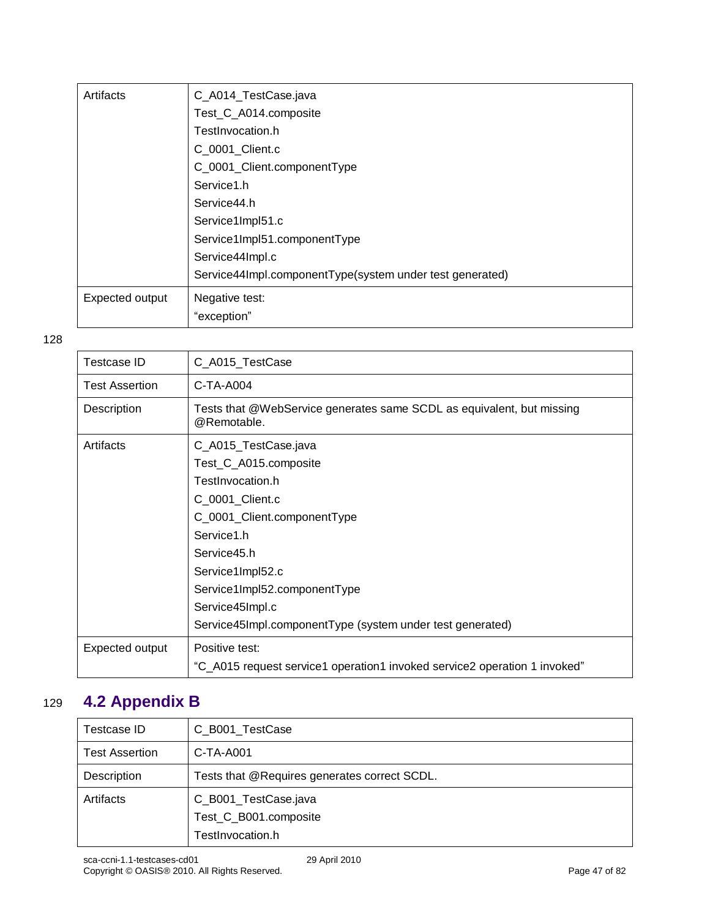| Artifacts       | C_A014_TestCase.java                                     |
|-----------------|----------------------------------------------------------|
|                 | Test_C_A014.composite                                    |
|                 | TestInvocation.h                                         |
|                 | C_0001_Client.c                                          |
|                 | C_0001_Client.componentType                              |
|                 | Service1.h                                               |
|                 | Service44.h                                              |
|                 | Service1Impl51.c                                         |
|                 | Service1Impl51.componentType                             |
|                 | Service44Impl.c                                          |
|                 | Service44Impl.componentType(system under test generated) |
| Expected output | Negative test:                                           |
|                 | "exception"                                              |

| <b>Testcase ID</b>    | C_A015_TestCase                                                                      |
|-----------------------|--------------------------------------------------------------------------------------|
| <b>Test Assertion</b> | C-TA-A004                                                                            |
| Description           | Tests that @WebService generates same SCDL as equivalent, but missing<br>@Remotable. |
| Artifacts             | C_A015_TestCase.java                                                                 |
|                       | Test_C_A015.composite                                                                |
|                       | TestInvocation.h                                                                     |
|                       | C_0001_Client.c                                                                      |
|                       | C_0001_Client.componentType                                                          |
|                       | Service1.h                                                                           |
|                       | Service45.h                                                                          |
|                       | Service1Impl52.c                                                                     |
|                       | Service1Impl52.componentType                                                         |
|                       | Service45Impl.c                                                                      |
|                       | Service45Impl.componentType (system under test generated)                            |
| Expected output       | Positive test:                                                                       |
|                       | "C_A015 request service1 operation1 invoked service2 operation 1 invoked"            |

## 129 **4.2 Appendix B**

| Testcase ID           | C_B001_TestCase                              |
|-----------------------|----------------------------------------------|
| <b>Test Assertion</b> | $C$ -TA-A001                                 |
| Description           | Tests that @Requires generates correct SCDL. |
| Artifacts             | C_B001_TestCase.java                         |
|                       | Test_C_B001.composite                        |
|                       | TestInvocation.h                             |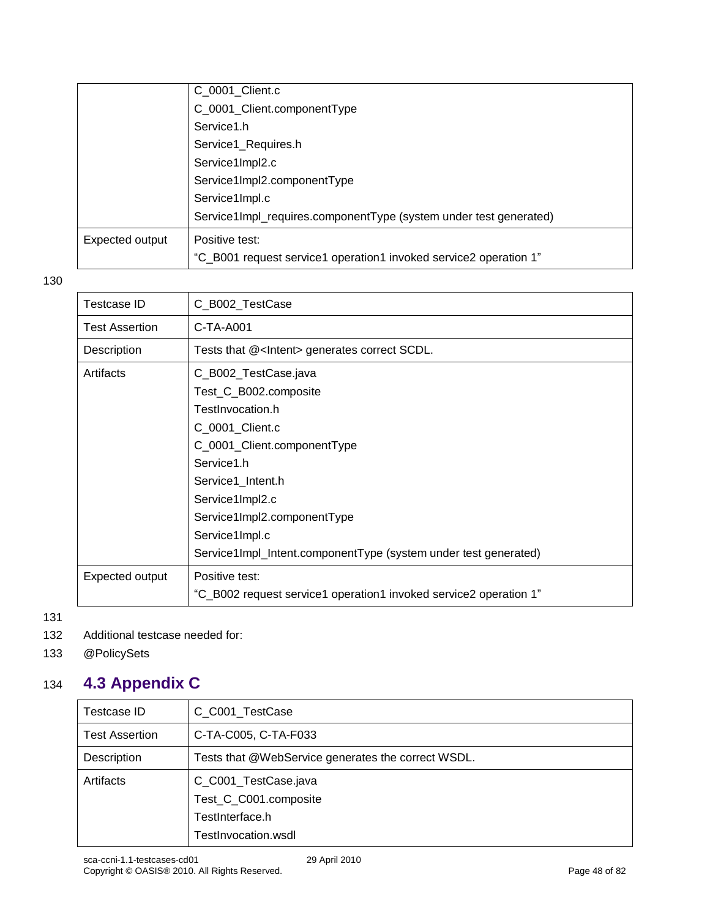|                 | C_0001_Client.c                                                   |
|-----------------|-------------------------------------------------------------------|
|                 | C_0001_Client.componentType                                       |
|                 | Service1.h                                                        |
|                 | Service1_Requires.h                                               |
|                 | Service1Impl2.c                                                   |
|                 | Service1Impl2.componentType                                       |
|                 | Service1Impl.c                                                    |
|                 | Service1Impl_requires.componentType (system under test generated) |
| Expected output | Positive test:                                                    |
|                 | "C_B001 request service1 operation1 invoked service2 operation 1" |
|                 |                                                                   |

| C_B002_TestCase                                                   |
|-------------------------------------------------------------------|
| C-TA-A001                                                         |
| Tests that @ <intent> generates correct SCDL.</intent>            |
| C_B002_TestCase.java                                              |
| Test_C_B002.composite                                             |
| TestInvocation.h                                                  |
| C_0001_Client.c                                                   |
| C_0001_Client.componentType                                       |
| Service1.h                                                        |
| Service1_Intent.h                                                 |
| Service1Impl2.c                                                   |
| Service1Impl2.componentType                                       |
| Service1Impl.c                                                    |
| Service1Impl_Intent.componentType (system under test generated)   |
| Positive test:                                                    |
| "C_B002 request service1 operation1 invoked service2 operation 1" |
|                                                                   |

131

- 132 Additional testcase needed for:
- 133 @PolicySets

## 134 **4.3 Appendix C**

| Testcase ID    | C_C001_TestCase                                                                         |
|----------------|-----------------------------------------------------------------------------------------|
| Test Assertion | C-TA-C005, C-TA-F033                                                                    |
| Description    | Tests that @WebService generates the correct WSDL.                                      |
| Artifacts      | C_C001_TestCase.java<br>Test_C_C001.composite<br>TestInterface.h<br>TestInvocation.wsdl |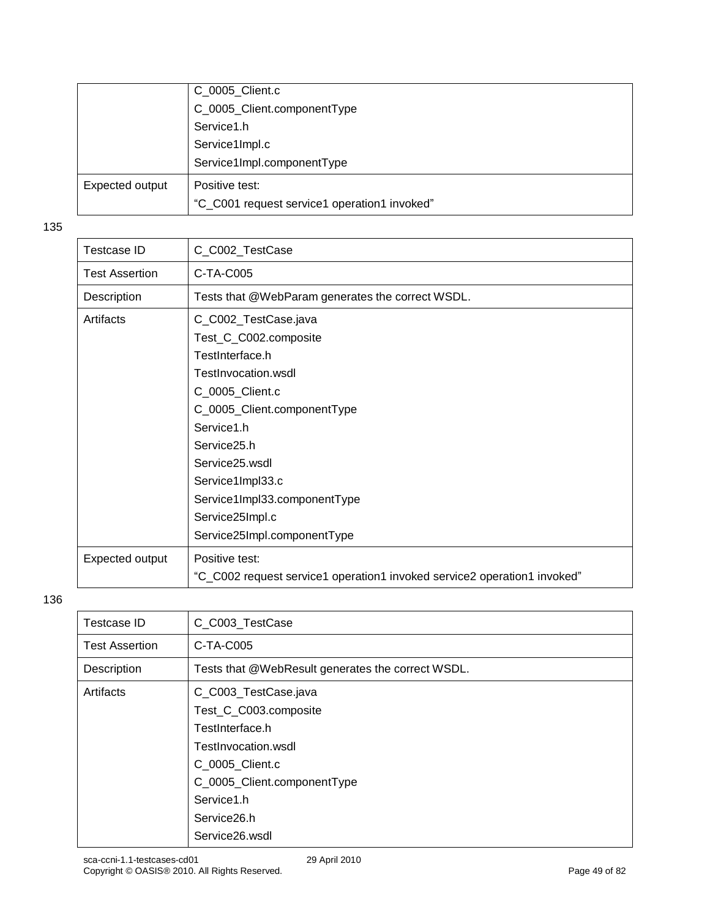|                 | C_0005_Client.c                              |
|-----------------|----------------------------------------------|
|                 | C_0005_Client.componentType                  |
|                 | Service1.h                                   |
|                 | Service1Impl.c                               |
|                 | Service1Impl.componentType                   |
| Expected output | Positive test:                               |
|                 | "C_C001 request service1 operation1 invoked" |

| <b>Testcase ID</b>    | C_C002_TestCase                                                                                                                                                                                                                                          |
|-----------------------|----------------------------------------------------------------------------------------------------------------------------------------------------------------------------------------------------------------------------------------------------------|
| <b>Test Assertion</b> | C-TA-C005                                                                                                                                                                                                                                                |
| Description           | Tests that @WebParam generates the correct WSDL.                                                                                                                                                                                                         |
| Artifacts             | C_C002_TestCase.java<br>Test_C_C002.composite<br>TestInterface.h<br>TestInvocation.wsdl<br>C_0005_Client.c<br>C_0005_Client.componentType<br>Service1.h<br>Service <sub>25.h</sub><br>Service25.wsdl<br>Service1Impl33.c<br>Service1Impl33.componentType |
|                       | Service25Impl.c<br>Service25Impl.componentType                                                                                                                                                                                                           |
|                       |                                                                                                                                                                                                                                                          |
| Expected output       | Positive test:                                                                                                                                                                                                                                           |
|                       | "C_C002 request service1 operation1 invoked service2 operation1 invoked"                                                                                                                                                                                 |
|                       |                                                                                                                                                                                                                                                          |

| Testcase ID           | C_C003_TestCase                                   |
|-----------------------|---------------------------------------------------|
| <b>Test Assertion</b> | C-TA-C005                                         |
| Description           | Tests that @WebResult generates the correct WSDL. |
| Artifacts             | C_C003_TestCase.java                              |
|                       | Test_C_C003.composite                             |
|                       | TestInterface.h                                   |
|                       | TestInvocation.wsdl                               |
|                       | C 0005 Client.c                                   |
|                       | C_0005_Client.componentType                       |
|                       | Service1.h                                        |
|                       | Service26.h                                       |
|                       | Service26.wsdl                                    |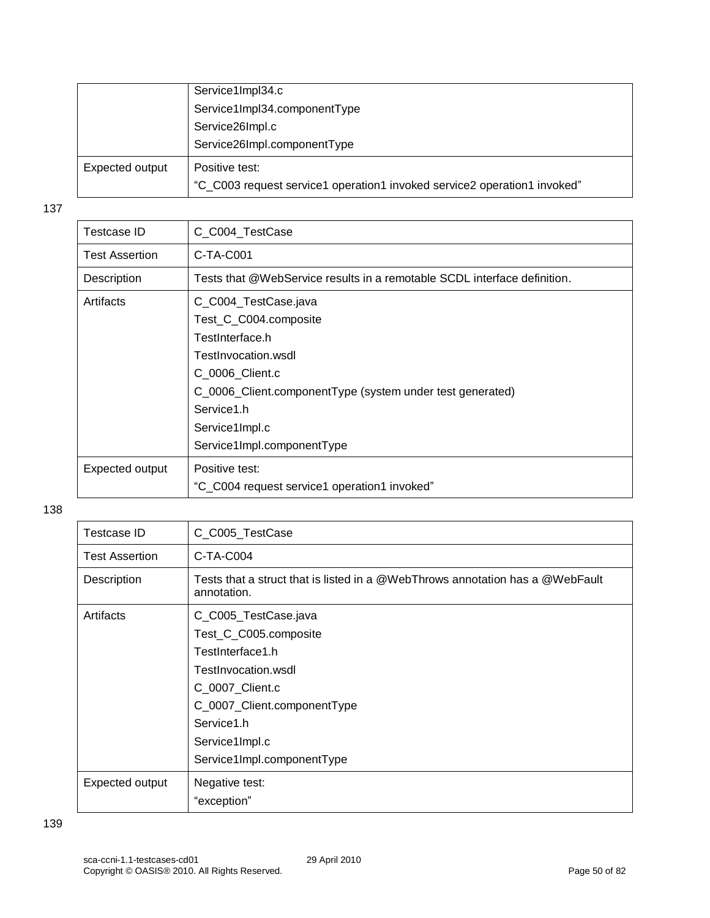|                 | Service1Impl34.c                                                         |
|-----------------|--------------------------------------------------------------------------|
|                 | Service1Impl34.componentType                                             |
|                 | Service26Impl.c                                                          |
|                 | Service26Impl.componentType                                              |
| Expected output | Positive test:                                                           |
|                 | "C_C003 request service1 operation1 invoked service2 operation1 invoked" |

| C_C004_TestCase<br>Testcase ID<br>C-TA-C001<br><b>Test Assertion</b><br>Tests that @WebService results in a remotable SCDL interface definition.<br>Description<br>Artifacts<br>C_C004_TestCase.java<br>Test_C_C004.composite<br>TestInterface.h<br>TestInvocation.wsdl<br>C 0006 Client.c<br>C_0006_Client.componentType (system under test generated)<br>Service1.h<br>Service1Impl.c<br>Service1Impl.componentType<br>Expected output<br>Positive test:<br>"C_C004 request service1 operation1 invoked" |  |
|------------------------------------------------------------------------------------------------------------------------------------------------------------------------------------------------------------------------------------------------------------------------------------------------------------------------------------------------------------------------------------------------------------------------------------------------------------------------------------------------------------|--|
|                                                                                                                                                                                                                                                                                                                                                                                                                                                                                                            |  |
|                                                                                                                                                                                                                                                                                                                                                                                                                                                                                                            |  |
|                                                                                                                                                                                                                                                                                                                                                                                                                                                                                                            |  |
|                                                                                                                                                                                                                                                                                                                                                                                                                                                                                                            |  |
|                                                                                                                                                                                                                                                                                                                                                                                                                                                                                                            |  |
|                                                                                                                                                                                                                                                                                                                                                                                                                                                                                                            |  |
|                                                                                                                                                                                                                                                                                                                                                                                                                                                                                                            |  |
|                                                                                                                                                                                                                                                                                                                                                                                                                                                                                                            |  |
|                                                                                                                                                                                                                                                                                                                                                                                                                                                                                                            |  |
|                                                                                                                                                                                                                                                                                                                                                                                                                                                                                                            |  |
|                                                                                                                                                                                                                                                                                                                                                                                                                                                                                                            |  |
|                                                                                                                                                                                                                                                                                                                                                                                                                                                                                                            |  |
|                                                                                                                                                                                                                                                                                                                                                                                                                                                                                                            |  |
|                                                                                                                                                                                                                                                                                                                                                                                                                                                                                                            |  |

| Testcase ID           | C_C005_TestCase                                                                              |
|-----------------------|----------------------------------------------------------------------------------------------|
| <b>Test Assertion</b> | $C-TA-C004$                                                                                  |
| Description           | Tests that a struct that is listed in a @WebThrows annotation has a @WebFault<br>annotation. |
| Artifacts             | C_C005_TestCase.java                                                                         |
|                       | Test_C_C005.composite                                                                        |
|                       | TestInterface1.h                                                                             |
|                       | TestInvocation.wsdl                                                                          |
|                       | C_0007_Client.c                                                                              |
|                       | C_0007_Client.componentType                                                                  |
|                       | Service1.h                                                                                   |
|                       | Service1Impl.c                                                                               |
|                       | Service1Impl.componentType                                                                   |
| Expected output       | Negative test:                                                                               |
|                       | "exception"                                                                                  |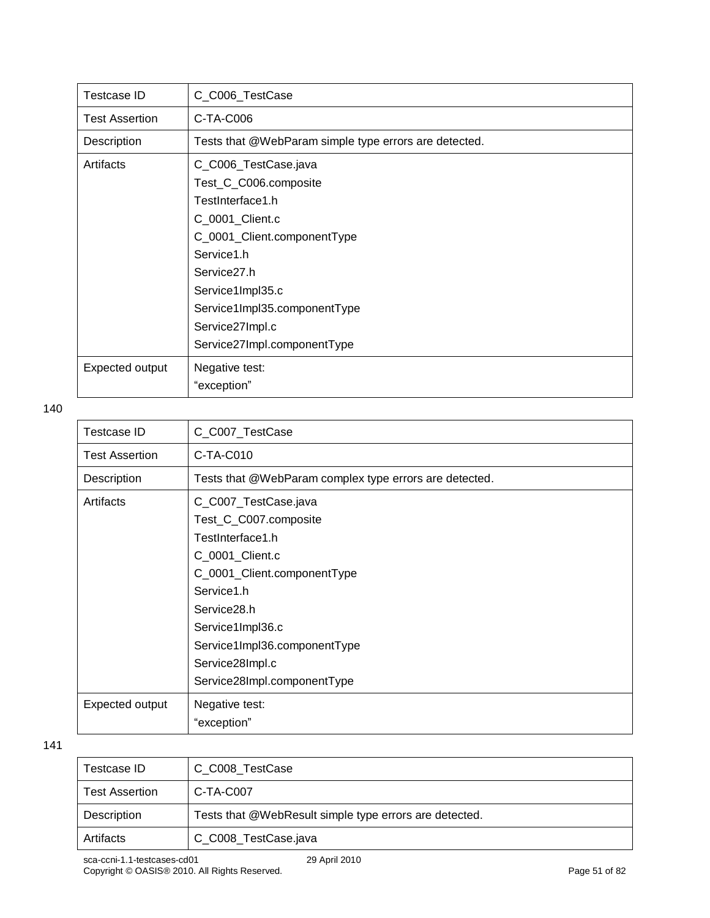| Testcase ID           | C_C006_TestCase                                       |
|-----------------------|-------------------------------------------------------|
| <b>Test Assertion</b> | C-TA-C006                                             |
| Description           | Tests that @WebParam simple type errors are detected. |
| Artifacts             | C_C006_TestCase.java                                  |
|                       | Test_C_C006.composite                                 |
|                       | TestInterface1.h                                      |
|                       | C_0001_Client.c                                       |
|                       | C_0001_Client.componentType                           |
|                       | Service1.h                                            |
|                       | Service <sub>27.h</sub>                               |
|                       | Service1Impl35.c                                      |
|                       | Service1Impl35.componentType                          |
|                       | Service27Impl.c                                       |
|                       | Service27Impl.componentType                           |
| Expected output       | Negative test:                                        |
|                       | "exception"                                           |

| Testcase ID           | C_C007_TestCase                                        |
|-----------------------|--------------------------------------------------------|
| <b>Test Assertion</b> | C-TA-C010                                              |
| Description           | Tests that @WebParam complex type errors are detected. |
| Artifacts             | C_C007_TestCase.java                                   |
|                       | Test_C_C007.composite                                  |
|                       | TestInterface1.h                                       |
|                       | C_0001_Client.c                                        |
|                       | C_0001_Client.componentType                            |
|                       | Service1.h                                             |
|                       | Service28.h                                            |
|                       | Service1Impl36.c                                       |
|                       | Service1Impl36.componentType                           |
|                       | Service28Impl.c                                        |
|                       | Service28Impl.componentType                            |
| Expected output       | Negative test:                                         |
|                       | "exception"                                            |
|                       |                                                        |

| Testcase ID           | C C008 TestCase                                        |
|-----------------------|--------------------------------------------------------|
| <b>Test Assertion</b> | C-TA-C007                                              |
| Description           | Tests that @WebResult simple type errors are detected. |
| Artifacts             | C C008 TestCase.java                                   |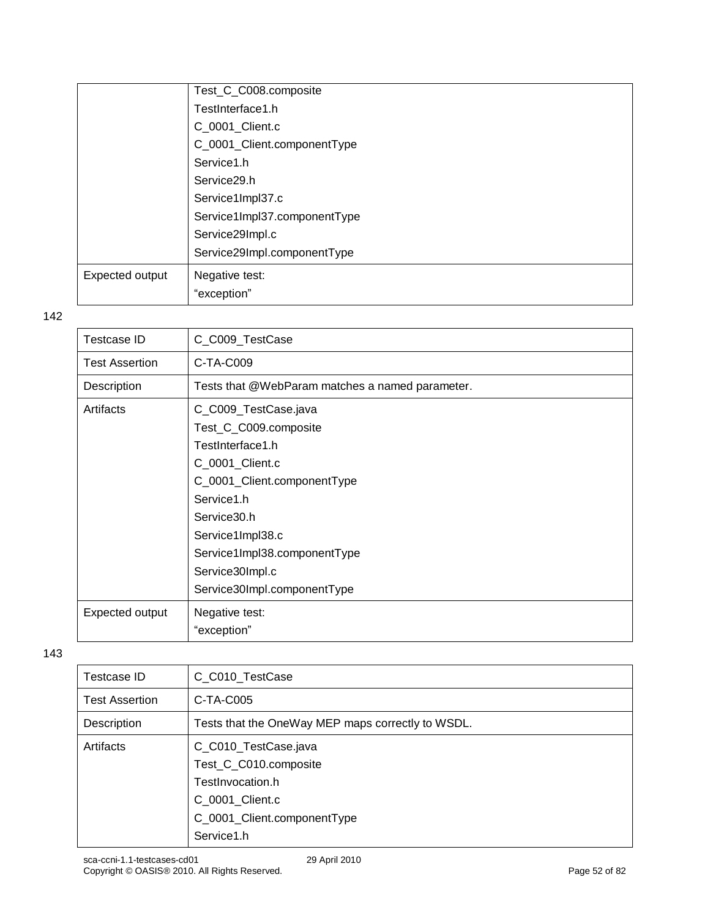|                 | Test_C_C008.composite        |
|-----------------|------------------------------|
|                 | TestInterface1.h             |
|                 | C_0001_Client.c              |
|                 | C_0001_Client.componentType  |
|                 | Service1.h                   |
|                 | Service29.h                  |
|                 | Service1Impl37.c             |
|                 | Service1Impl37.componentType |
|                 | Service29Impl.c              |
|                 | Service29Impl.componentType  |
| Expected output | Negative test:               |
|                 | "exception"                  |

| <b>Testcase ID</b>    | C_C009_TestCase                                 |
|-----------------------|-------------------------------------------------|
| <b>Test Assertion</b> | C-TA-C009                                       |
| Description           | Tests that @WebParam matches a named parameter. |
| Artifacts             | C_C009_TestCase.java                            |
|                       | Test_C_C009.composite                           |
|                       | TestInterface1.h                                |
|                       | C_0001_Client.c                                 |
|                       | C_0001_Client.componentType                     |
|                       | Service1.h                                      |
|                       | Service30.h                                     |
|                       | Service1Impl38.c                                |
|                       | Service1Impl38.componentType                    |
|                       | Service30Impl.c                                 |
|                       | Service30Impl.componentType                     |
| Expected output       | Negative test:                                  |
|                       | "exception"                                     |

| Testcase ID           | C_C010_TestCase                                                                                                     |
|-----------------------|---------------------------------------------------------------------------------------------------------------------|
| <b>Test Assertion</b> | C-TA-C005                                                                                                           |
| Description           | Tests that the OneWay MEP maps correctly to WSDL.                                                                   |
| Artifacts             | C_C010_TestCase.java<br>Test_C_C010.composite<br>TestInvocation.h<br>C 0001 Client.c<br>C_0001_Client.componentType |
|                       | Service1.h                                                                                                          |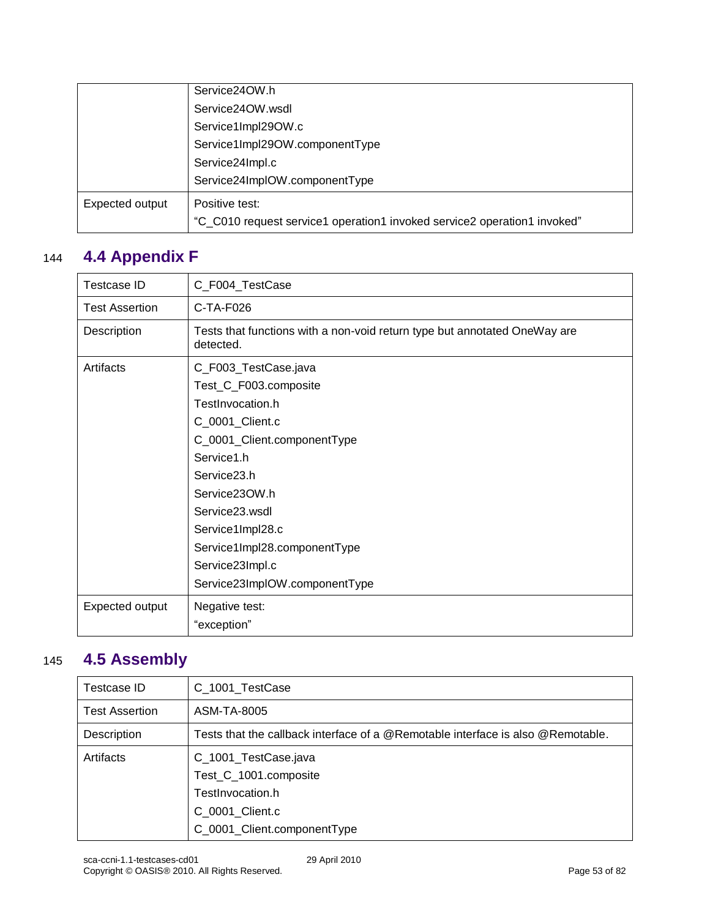|                 | Service24OW.h                                                            |
|-----------------|--------------------------------------------------------------------------|
|                 | Service24OW.wsdl                                                         |
|                 | Service1Impl29OW.c                                                       |
|                 | Service1Impl29OW.componentType                                           |
|                 | Service24Impl.c                                                          |
|                 | Service24ImpIOW.componentType                                            |
| Expected output | Positive test:                                                           |
|                 | "C_C010 request service1 operation1 invoked service2 operation1 invoked" |

## 144 **4.4 Appendix F**

| Testcase ID           | C_F004_TestCase                                                                                                                                                                                                                                                                                         |
|-----------------------|---------------------------------------------------------------------------------------------------------------------------------------------------------------------------------------------------------------------------------------------------------------------------------------------------------|
| <b>Test Assertion</b> | C-TA-F026                                                                                                                                                                                                                                                                                               |
| Description           | Tests that functions with a non-void return type but annotated OneWay are<br>detected.                                                                                                                                                                                                                  |
| Artifacts             | C_F003_TestCase.java<br>Test_C_F003.composite<br>TestInvocation.h<br>C_0001_Client.c<br>C_0001_Client.componentType<br>Service1.h<br>Service <sub>23.h</sub><br>Service230W.h<br>Service23.wsdl<br>Service1Impl28.c<br>Service1Impl28.componentType<br>Service23Impl.c<br>Service23ImpIOW.componentType |
| Expected output       | Negative test:<br>"exception"                                                                                                                                                                                                                                                                           |

## 145 **4.5 Assembly**

| Testcase ID           | C_1001_TestCase                                                                 |
|-----------------------|---------------------------------------------------------------------------------|
| <b>Test Assertion</b> | ASM-TA-8005                                                                     |
| Description           | Tests that the callback interface of a @Remotable interface is also @Remotable. |
| Artifacts             | C_1001_TestCase.java                                                            |
|                       | Test_C_1001.composite                                                           |
|                       | TestInvocation.h                                                                |
|                       | C 0001 Client.c                                                                 |
|                       | C_0001_Client.componentType                                                     |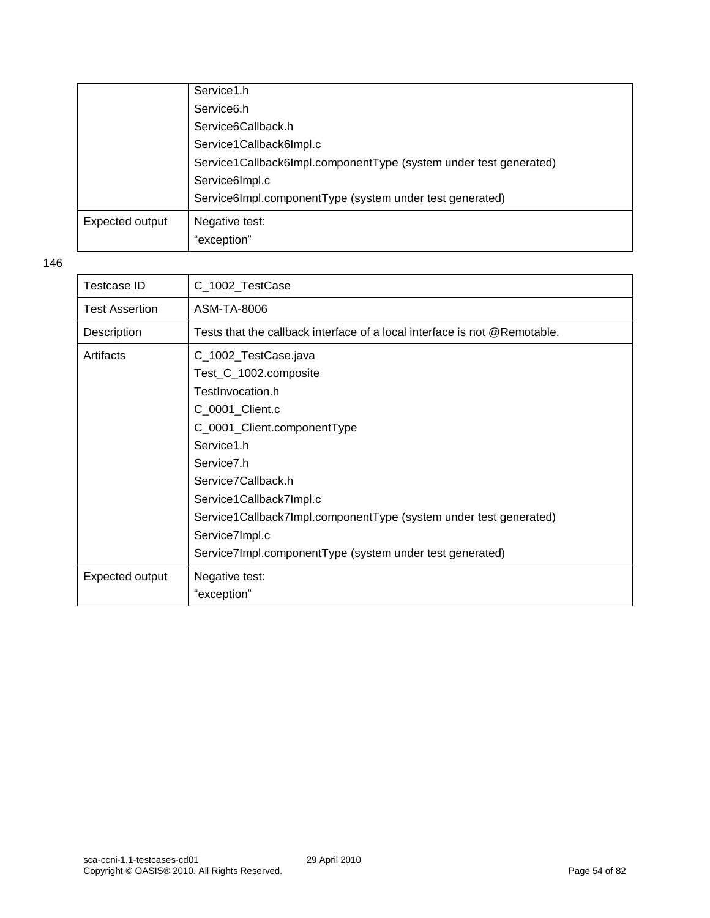|                 | Service1.h                                                        |
|-----------------|-------------------------------------------------------------------|
|                 | Service <sub>6.h</sub>                                            |
|                 | Service6Callback.h                                                |
|                 | Service1Callback6Impl.c                                           |
|                 | Service1Callback6Impl.componentType (system under test generated) |
|                 | Service6Impl.c                                                    |
|                 | Service6Impl.componentType (system under test generated)          |
| Expected output | Negative test:                                                    |
|                 | "exception"                                                       |

| Testcase ID           | C_1002_TestCase                                                           |
|-----------------------|---------------------------------------------------------------------------|
| <b>Test Assertion</b> | ASM-TA-8006                                                               |
| Description           | Tests that the callback interface of a local interface is not @Remotable. |
| Artifacts             | C_1002_TestCase.java                                                      |
|                       | Test_C_1002.composite                                                     |
|                       | TestInvocation.h                                                          |
|                       | C_0001_Client.c                                                           |
|                       | C_0001_Client.componentType                                               |
|                       | Service1.h                                                                |
|                       | Service <sub>7.h</sub>                                                    |
|                       | Service7Callback.h                                                        |
|                       | Service1Callback7Impl.c                                                   |
|                       | Service1Callback7Impl.componentType (system under test generated)         |
|                       | Service7Impl.c                                                            |
|                       | Service7Impl.componentType (system under test generated)                  |
| Expected output       | Negative test:                                                            |
|                       | "exception"                                                               |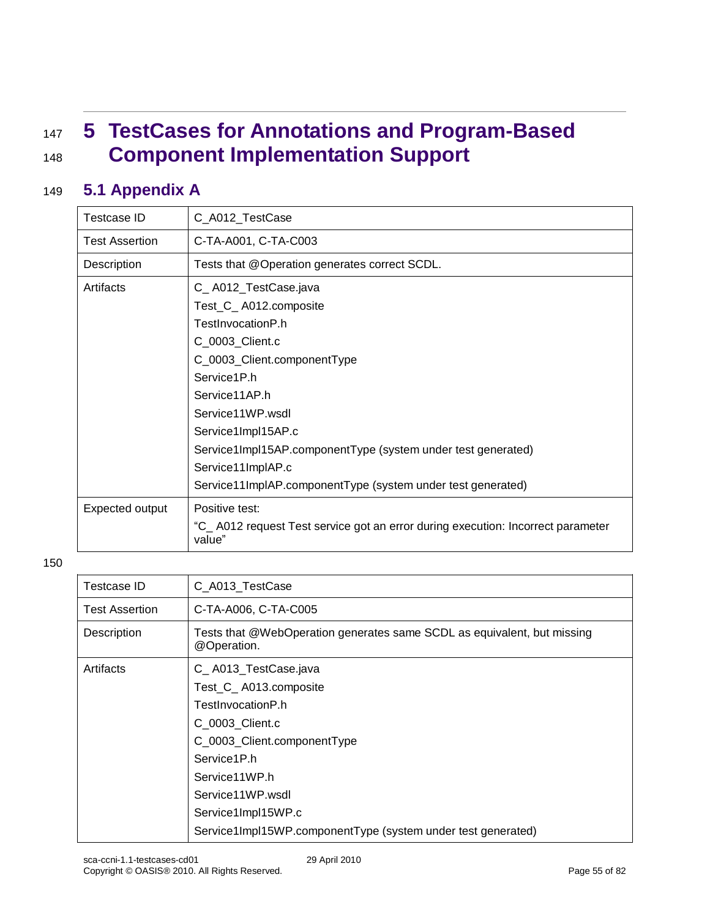## <sup>147</sup> **5 TestCases for Annotations and Program-Based**  <sup>148</sup> **Component Implementation Support**

### 149 **5.1 Appendix A**

| Testcase ID           | C_A012_TestCase                                                                            |
|-----------------------|--------------------------------------------------------------------------------------------|
| <b>Test Assertion</b> | C-TA-A001, C-TA-C003                                                                       |
| Description           | Tests that @Operation generates correct SCDL.                                              |
| Artifacts             | C_A012_TestCase.java                                                                       |
|                       | Test_C_A012.composite                                                                      |
|                       | TestInvocationP.h                                                                          |
|                       | C_0003_Client.c                                                                            |
|                       | C_0003_Client.componentType                                                                |
|                       | Service1P.h                                                                                |
|                       | Service11AP.h                                                                              |
|                       | Service11WP.wsdl                                                                           |
|                       | Service1Impl15AP.c                                                                         |
|                       | Service1ImpI15AP.componentType (system under test generated)                               |
|                       | Service11ImplAP.c                                                                          |
|                       | Service11ImpIAP.componentType (system under test generated)                                |
| Expected output       | Positive test:                                                                             |
|                       | "C_ A012 request Test service got an error during execution: Incorrect parameter<br>value" |

| Testcase ID           | C_A013_TestCase                                                                        |
|-----------------------|----------------------------------------------------------------------------------------|
| <b>Test Assertion</b> | C-TA-A006, C-TA-C005                                                                   |
| Description           | Tests that @WebOperation generates same SCDL as equivalent, but missing<br>@Operation. |
| Artifacts             | C_A013_TestCase.java                                                                   |
|                       | Test_C_A013.composite                                                                  |
|                       | TestInvocationP.h                                                                      |
|                       | C 0003 Client.c                                                                        |
|                       | C_0003_Client.componentType                                                            |
|                       | Service1P.h                                                                            |
|                       | Service11WP.h                                                                          |
|                       | Service11WP.wsdl                                                                       |
|                       | Service1Impl15WP.c                                                                     |
|                       | Service1Impl15WP.componentType (system under test generated)                           |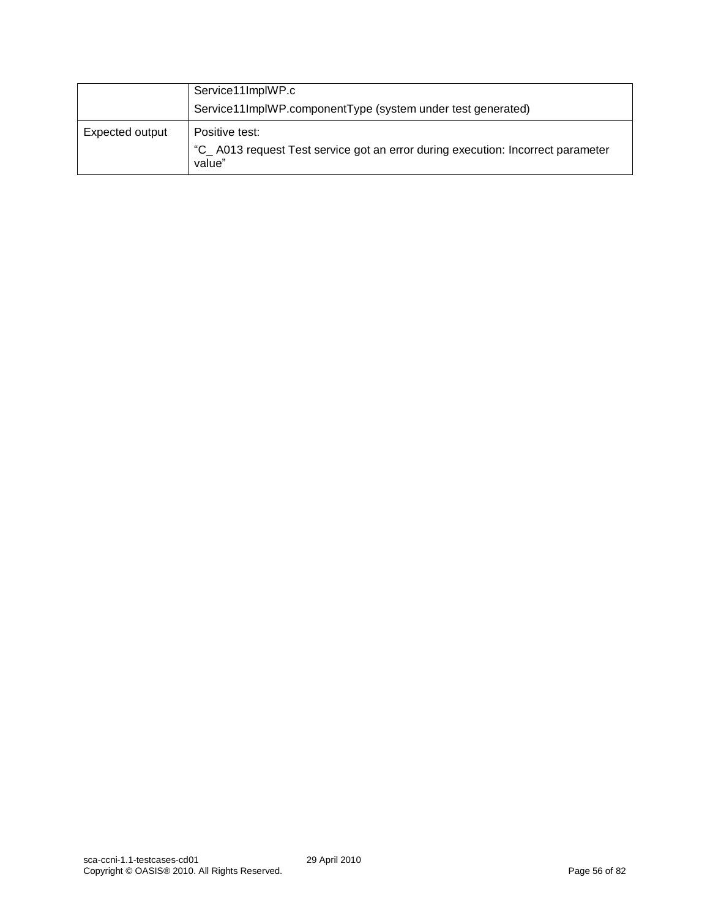|                 | Service11ImplWP.c<br>Service11ImplWP.componentType (system under test generated)                            |
|-----------------|-------------------------------------------------------------------------------------------------------------|
| Expected output | Positive test:<br>"C_A013 request Test service got an error during execution: Incorrect parameter<br>value" |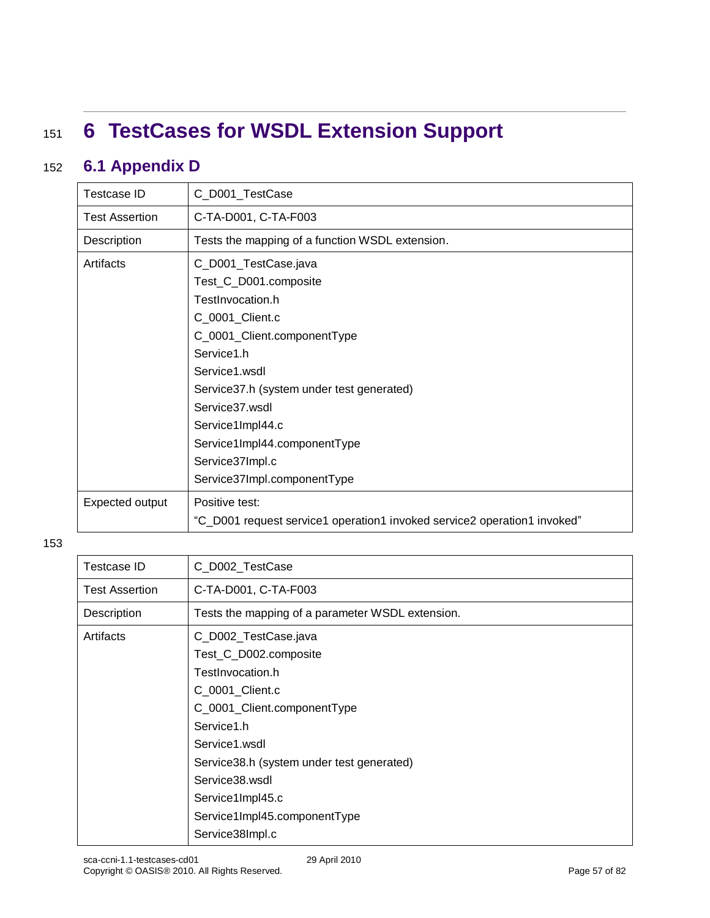# <sup>151</sup> **6 TestCases for WSDL Extension Support**

### 152 **6.1 Appendix D**

| Testcase ID           | C_D001_TestCase                                                          |
|-----------------------|--------------------------------------------------------------------------|
| <b>Test Assertion</b> | C-TA-D001, C-TA-F003                                                     |
| Description           | Tests the mapping of a function WSDL extension.                          |
| Artifacts             | C_D001_TestCase.java                                                     |
|                       | Test_C_D001.composite                                                    |
|                       | TestInvocation.h                                                         |
|                       | C_0001_Client.c                                                          |
|                       | C_0001_Client.componentType                                              |
|                       | Service1.h                                                               |
|                       | Service1.wsdl                                                            |
|                       | Service37.h (system under test generated)                                |
|                       | Service 37 wsdl                                                          |
|                       | Service1Impl44.c                                                         |
|                       | Service1Impl44.componentType                                             |
|                       | Service37Impl.c                                                          |
|                       | Service37Impl.componentType                                              |
| Expected output       | Positive test:                                                           |
|                       | "C_D001 request service1 operation1 invoked service2 operation1 invoked" |

| <b>Testcase ID</b>    | C_D002_TestCase                                  |
|-----------------------|--------------------------------------------------|
| <b>Test Assertion</b> | C-TA-D001, C-TA-F003                             |
| Description           | Tests the mapping of a parameter WSDL extension. |
| Artifacts             | C_D002_TestCase.java                             |
|                       | Test_C_D002.composite                            |
|                       | TestInvocation.h                                 |
|                       | C_0001_Client.c                                  |
|                       | C_0001_Client.componentType                      |
|                       | Service1.h                                       |
|                       | Service1.wsdl                                    |
|                       | Service38.h (system under test generated)        |
|                       | Service38.wsdl                                   |
|                       | Service1Impl45.c                                 |
|                       | Service1Impl45.componentType                     |
|                       | Service38Impl.c                                  |
|                       |                                                  |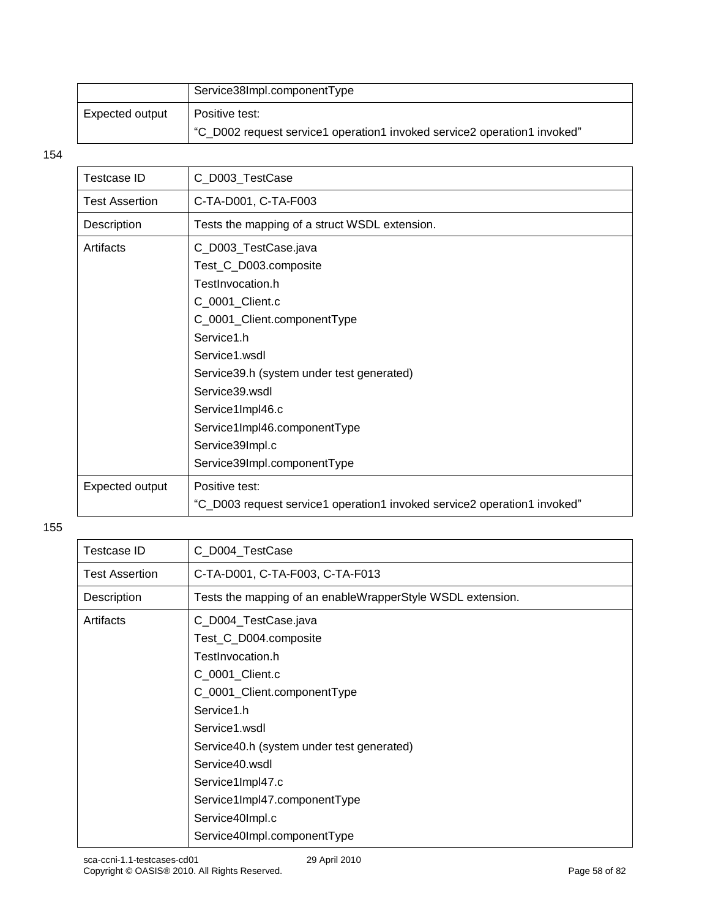|                 | Service38Impl.componentType                                              |
|-----------------|--------------------------------------------------------------------------|
| Expected output | Positive test:                                                           |
|                 | "C_D002 request service1 operation1 invoked service2 operation1 invoked" |

| Testcase ID           | C_D003_TestCase                                                          |
|-----------------------|--------------------------------------------------------------------------|
| <b>Test Assertion</b> | C-TA-D001, C-TA-F003                                                     |
| Description           | Tests the mapping of a struct WSDL extension.                            |
| Artifacts             | C_D003_TestCase.java                                                     |
|                       | Test_C_D003.composite                                                    |
|                       | TestInvocation.h                                                         |
|                       | C_0001_Client.c                                                          |
|                       | C_0001_Client.componentType                                              |
|                       | Service1.h                                                               |
|                       | Service1.wsdl                                                            |
|                       | Service39.h (system under test generated)                                |
|                       | Service39.wsdl                                                           |
|                       | Service1Impl46.c                                                         |
|                       | Service1Impl46.componentType                                             |
|                       | Service39Impl.c                                                          |
|                       | Service39Impl.componentType                                              |
| Expected output       | Positive test:                                                           |
|                       | "C_D003 request service1 operation1 invoked service2 operation1 invoked" |

| C_D004_TestCase                                            |
|------------------------------------------------------------|
| C-TA-D001, C-TA-F003, C-TA-F013                            |
| Tests the mapping of an enableWrapperStyle WSDL extension. |
| C_D004_TestCase.java                                       |
| Test_C_D004.composite                                      |
| TestInvocation.h                                           |
| C_0001_Client.c                                            |
| C_0001_Client.componentType                                |
| Service1.h                                                 |
| Service1.wsdl                                              |
| Service40.h (system under test generated)                  |
| Service40.wsdl                                             |
| Service1Impl47.c                                           |
| Service1Impl47.componentType                               |
| Service40Impl.c                                            |
| Service40Impl.componentType                                |
|                                                            |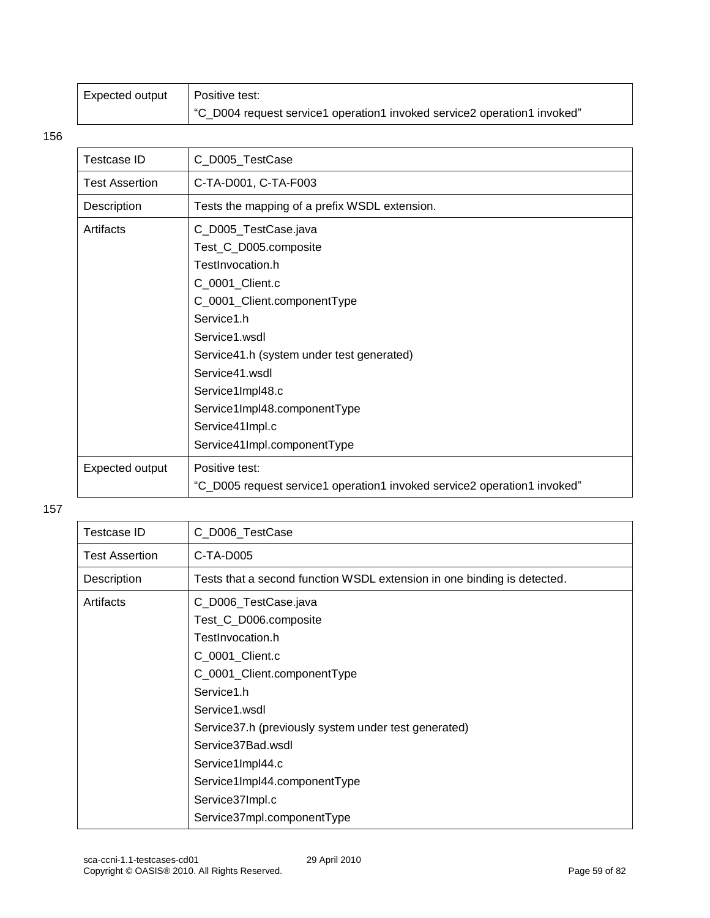| Expected output | Positive test:                                                           |
|-----------------|--------------------------------------------------------------------------|
|                 | "C D004 request service1 operation1 invoked service2 operation1 invoked" |

| Testcase ID           | C_D005_TestCase                                                                                                                                                                                                                                                                                                         |
|-----------------------|-------------------------------------------------------------------------------------------------------------------------------------------------------------------------------------------------------------------------------------------------------------------------------------------------------------------------|
| <b>Test Assertion</b> | C-TA-D001, C-TA-F003                                                                                                                                                                                                                                                                                                    |
| Description           | Tests the mapping of a prefix WSDL extension.                                                                                                                                                                                                                                                                           |
| Artifacts             | C_D005_TestCase.java<br>Test_C_D005.composite<br>TestInvocation.h<br>C_0001_Client.c<br>C_0001_Client.componentType<br>Service1.h<br>Service1.wsdl<br>Service41.h (system under test generated)<br>Service41.wsdl<br>Service1Impl48.c<br>Service1Impl48.componentType<br>Service41Impl.c<br>Service41Impl.componentType |
| Expected output       | Positive test:<br>"C_D005 request service1 operation1 invoked service2 operation1 invoked"                                                                                                                                                                                                                              |

| Testcase ID           | C_D006_TestCase                                                         |
|-----------------------|-------------------------------------------------------------------------|
| <b>Test Assertion</b> | C-TA-D005                                                               |
| Description           | Tests that a second function WSDL extension in one binding is detected. |
| Artifacts             | C_D006_TestCase.java                                                    |
|                       | Test_C_D006.composite                                                   |
|                       | TestInvocation.h                                                        |
|                       | C_0001_Client.c                                                         |
|                       | C_0001_Client.componentType                                             |
|                       | Service1.h                                                              |
|                       | Service1.wsdl                                                           |
|                       | Service 37.h (previously system under test generated)                   |
|                       | Service37Bad.wsdl                                                       |
|                       | Service1Impl44.c                                                        |
|                       | Service1Impl44.componentType                                            |
|                       | Service37Impl.c                                                         |
|                       | Service37mpl.componentType                                              |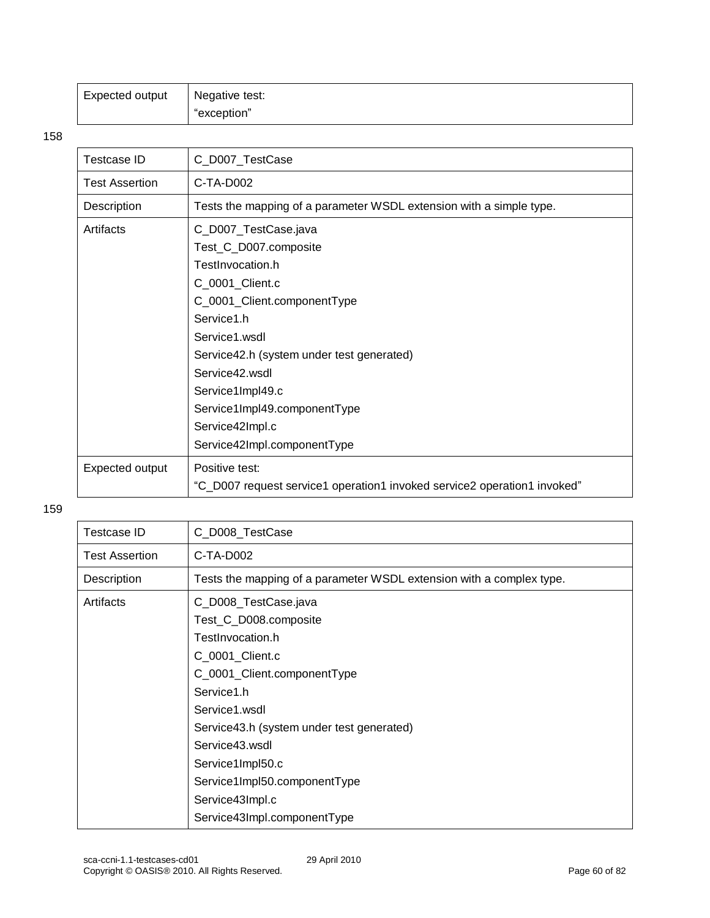| Expected output | Negative test: |
|-----------------|----------------|
|                 | "exception"    |

| <b>Testcase ID</b> | C_D007_TestCase                                                          |  |
|--------------------|--------------------------------------------------------------------------|--|
| Test Assertion     | $C-TA-DOO2$                                                              |  |
| Description        | Tests the mapping of a parameter WSDL extension with a simple type.      |  |
| Artifacts          | C_D007_TestCase.java                                                     |  |
|                    | Test_C_D007.composite                                                    |  |
|                    | TestInvocation.h                                                         |  |
|                    | C_0001_Client.c                                                          |  |
|                    | C_0001_Client.componentType                                              |  |
| Service1.h         |                                                                          |  |
|                    | Service1.wsdl                                                            |  |
|                    | Service42.h (system under test generated)                                |  |
| Service42.wsdl     |                                                                          |  |
|                    | Service1Impl49.c                                                         |  |
|                    | Service1Impl49.componentType                                             |  |
|                    | Service42Impl.c                                                          |  |
|                    | Service42Impl.componentType                                              |  |
| Expected output    | Positive test:                                                           |  |
|                    | "C_D007 request service1 operation1 invoked service2 operation1 invoked" |  |

| Testcase ID           | C_D008_TestCase                                                      |
|-----------------------|----------------------------------------------------------------------|
| <b>Test Assertion</b> | C-TA-D002                                                            |
| Description           | Tests the mapping of a parameter WSDL extension with a complex type. |
| Artifacts             | C_D008_TestCase.java                                                 |
|                       | Test_C_D008.composite                                                |
|                       | TestInvocation.h                                                     |
|                       | C_0001_Client.c                                                      |
|                       | C_0001_Client.componentType                                          |
|                       | Service1.h                                                           |
|                       | Service1.wsdl                                                        |
|                       | Service43.h (system under test generated)                            |
|                       | Service43.wsdl                                                       |
|                       | Service1Impl50.c                                                     |
|                       | Service1Impl50.componentType                                         |
|                       | Service43Impl.c                                                      |
|                       | Service43Impl.componentType                                          |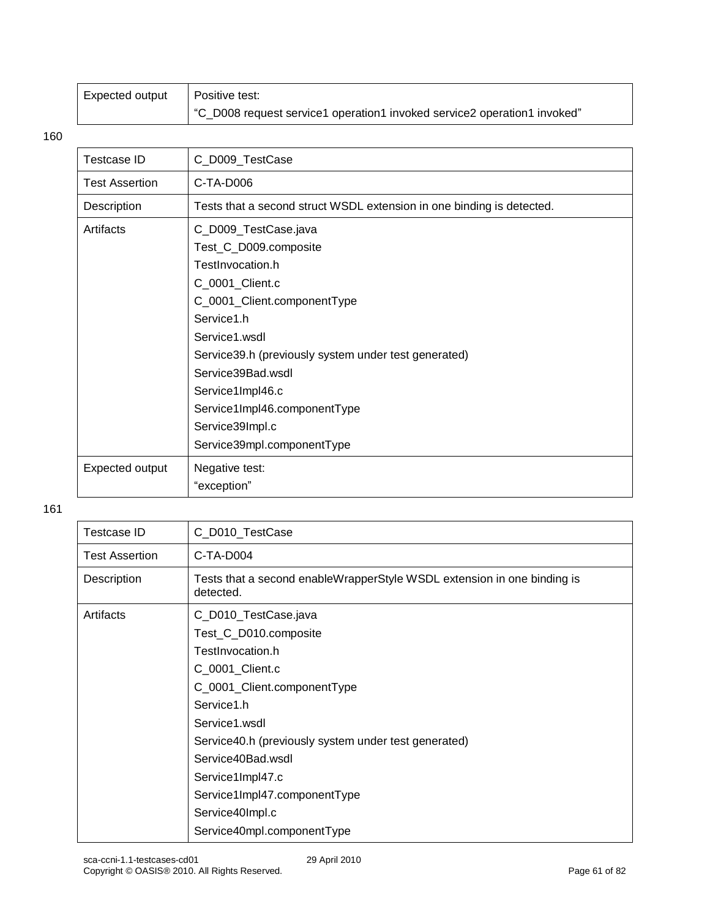| Expected output | Positive test:                                                           |  |
|-----------------|--------------------------------------------------------------------------|--|
|                 | "C_D008 request service1 operation1 invoked service2 operation1 invoked" |  |

| <b>Testcase ID</b>    | C_D009_TestCase                                                                                                                                                                                                                                                                                                                       |
|-----------------------|---------------------------------------------------------------------------------------------------------------------------------------------------------------------------------------------------------------------------------------------------------------------------------------------------------------------------------------|
| <b>Test Assertion</b> | C-TA-D006                                                                                                                                                                                                                                                                                                                             |
| Description           | Tests that a second struct WSDL extension in one binding is detected.                                                                                                                                                                                                                                                                 |
| Artifacts             | C_D009_TestCase.java<br>Test_C_D009.composite<br>TestInvocation.h<br>C_0001_Client.c<br>C_0001_Client.componentType<br>Service1.h<br>Service1.wsdl<br>Service 39.h (previously system under test generated)<br>Service39Bad.wsdl<br>Service1Impl46.c<br>Service1Impl46.componentType<br>Service39Impl.c<br>Service39mpl.componentType |
| Expected output       | Negative test:<br>"exception"                                                                                                                                                                                                                                                                                                         |

| <b>Testcase ID</b>    | C_D010_TestCase                                                                      |
|-----------------------|--------------------------------------------------------------------------------------|
| <b>Test Assertion</b> | C-TA-D004                                                                            |
| Description           | Tests that a second enableWrapperStyle WSDL extension in one binding is<br>detected. |
| Artifacts             | C_D010_TestCase.java                                                                 |
|                       | Test_C_D010.composite                                                                |
|                       | TestInvocation.h                                                                     |
|                       | C_0001_Client.c                                                                      |
|                       | C_0001_Client.componentType                                                          |
|                       | Service1.h                                                                           |
|                       | Service1.wsdl                                                                        |
|                       | Service40.h (previously system under test generated)                                 |
|                       | Service40Bad.wsdl                                                                    |
|                       | Service1Impl47.c                                                                     |
|                       | Service1Impl47.componentType                                                         |
|                       | Service40Impl.c                                                                      |
|                       | Service40mpl.componentType                                                           |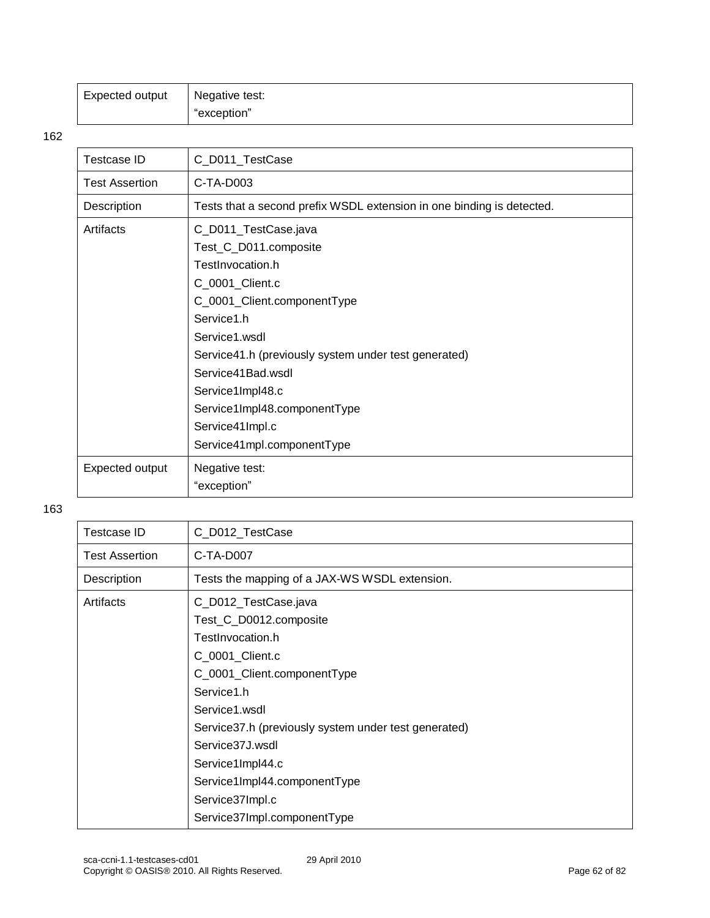| Expected output | Negative test: |
|-----------------|----------------|
|                 | "exception"    |

| <b>Testcase ID</b>                                   | C_D011_TestCase                                                       |  |
|------------------------------------------------------|-----------------------------------------------------------------------|--|
| <b>Test Assertion</b>                                | C-TA-D003                                                             |  |
| Description                                          | Tests that a second prefix WSDL extension in one binding is detected. |  |
| Artifacts                                            | C_D011_TestCase.java                                                  |  |
|                                                      | Test_C_D011.composite                                                 |  |
|                                                      | TestInvocation.h                                                      |  |
|                                                      | C_0001_Client.c                                                       |  |
|                                                      | C_0001_Client.componentType                                           |  |
| Service1.h                                           |                                                                       |  |
|                                                      | Service1.wsdl                                                         |  |
| Service41.h (previously system under test generated) |                                                                       |  |
|                                                      | Service41Bad.wsdl                                                     |  |
|                                                      | Service1Impl48.c                                                      |  |
|                                                      | Service1Impl48.componentType                                          |  |
| Service41Impl.c                                      |                                                                       |  |
|                                                      | Service41mpl.componentType                                            |  |
| Expected output                                      | Negative test:                                                        |  |
|                                                      | "exception"                                                           |  |

| Testcase ID           | C_D012_TestCase                                       |
|-----------------------|-------------------------------------------------------|
| <b>Test Assertion</b> | C-TA-D007                                             |
| Description           | Tests the mapping of a JAX-WS WSDL extension.         |
| Artifacts             | C_D012_TestCase.java                                  |
|                       | Test_C_D0012.composite                                |
|                       | TestInvocation.h                                      |
|                       | C_0001_Client.c                                       |
|                       | C_0001_Client.componentType                           |
|                       | Service1.h                                            |
|                       | Service1.wsdl                                         |
|                       | Service 37.h (previously system under test generated) |
|                       | Service37J.wsdl                                       |
|                       | Service1Impl44.c                                      |
|                       | Service1Impl44.componentType                          |
|                       | Service37Impl.c                                       |
|                       | Service37Impl.componentType                           |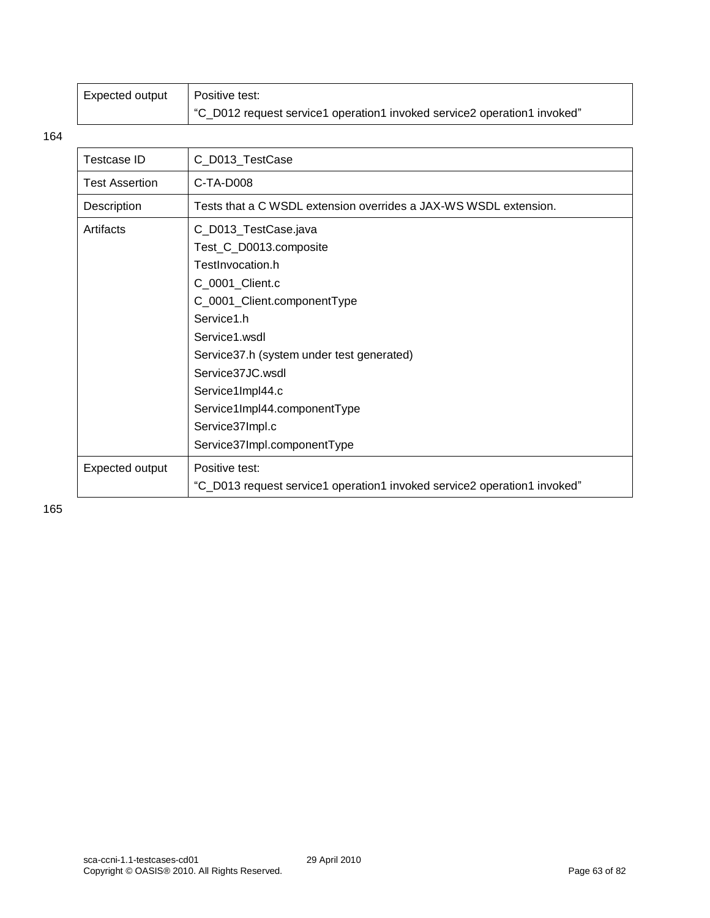| Expected output | Positive test:                                                           |  |
|-----------------|--------------------------------------------------------------------------|--|
|                 | "C_D012 request service1 operation1 invoked service2 operation1 invoked" |  |

| <b>Testcase ID</b>    | C_D013_TestCase                                                                                                                                                                                                      |  |
|-----------------------|----------------------------------------------------------------------------------------------------------------------------------------------------------------------------------------------------------------------|--|
| <b>Test Assertion</b> | C-TA-D008                                                                                                                                                                                                            |  |
| Description           | Tests that a C WSDL extension overrides a JAX-WS WSDL extension.                                                                                                                                                     |  |
| Artifacts             | C_D013_TestCase.java<br>Test_C_D0013.composite<br>TestInvocation.h<br>C_0001_Client.c<br>C_0001_Client.componentType<br>Service1.h<br>Service1.wsdl<br>Service37.h (system under test generated)<br>Service37JC.wsdl |  |
|                       | Service1Impl44.c<br>Service1Impl44.componentType<br>Service37Impl.c<br>Service37Impl.componentType                                                                                                                   |  |
| Expected output       | Positive test:<br>"C_D013 request service1 operation1 invoked service2 operation1 invoked"                                                                                                                           |  |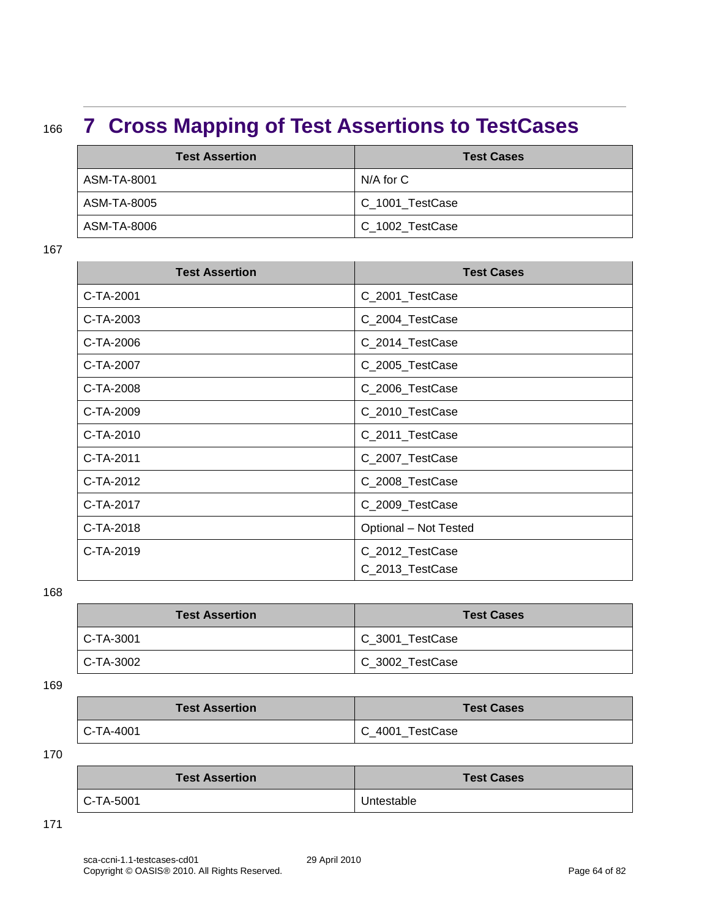## <sup>166</sup> **7 Cross Mapping of Test Assertions to TestCases**

| <b>Test Assertion</b> | <b>Test Cases</b> |
|-----------------------|-------------------|
| ASM-TA-8001           | N/A for C         |
| ASM-TA-8005           | C_1001_TestCase   |
| ASM-TA-8006           | C_1002_TestCase   |

167

| <b>Test Assertion</b> | <b>Test Cases</b>     |
|-----------------------|-----------------------|
| C-TA-2001             | C_2001_TestCase       |
| C-TA-2003             | C_2004_TestCase       |
| C-TA-2006             | C_2014_TestCase       |
| C-TA-2007             | C_2005_TestCase       |
| C-TA-2008             | C_2006_TestCase       |
| C-TA-2009             | C_2010_TestCase       |
| C-TA-2010             | C_2011_TestCase       |
| C-TA-2011             | C_2007_TestCase       |
| C-TA-2012             | C_2008_TestCase       |
| C-TA-2017             | C_2009_TestCase       |
| C-TA-2018             | Optional - Not Tested |
| C-TA-2019             | C_2012_TestCase       |
|                       | C_2013_TestCase       |

168

| <b>Test Assertion</b> | <b>Test Cases</b> |
|-----------------------|-------------------|
| C-TA-3001             | C_3001_TestCase   |
| $C-TA-3002$           | C_3002_TestCase   |

169

| <b>Test Assertion</b> | <b>Test Cases</b> |
|-----------------------|-------------------|
| C-TA-4001             | C 4001 TestCase   |

170

| <b>Test Assertion</b> | <b>Test Cases</b> |
|-----------------------|-------------------|
| C-TA-5001             | Untestable        |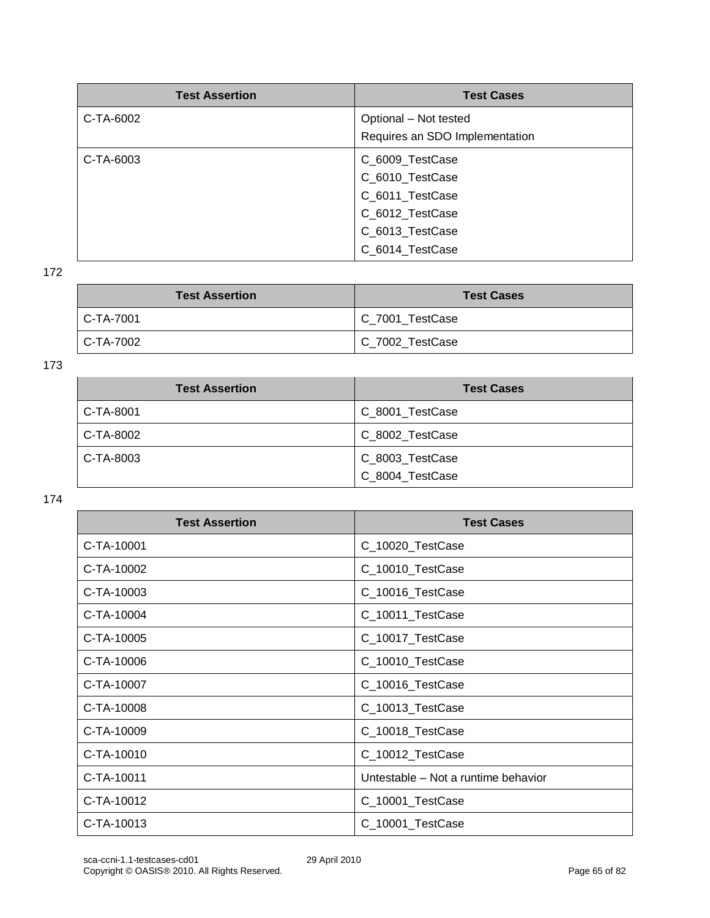| <b>Test Assertion</b> | <b>Test Cases</b>              |
|-----------------------|--------------------------------|
| C-TA-6002             | Optional - Not tested          |
|                       | Requires an SDO Implementation |
| C-TA-6003             | C_6009_TestCase                |
|                       | C_6010_TestCase                |
|                       | C_6011_TestCase                |
|                       | C_6012_TestCase                |
|                       | C_6013_TestCase                |
|                       | C 6014 TestCase                |

| <b>Test Assertion</b> | <b>Test Cases</b> |
|-----------------------|-------------------|
| C-TA-7001             | C_7001_TestCase   |
| C-TA-7002             | C_7002_TestCase   |

173

| <b>Test Assertion</b> | <b>Test Cases</b> |
|-----------------------|-------------------|
| C-TA-8001             | C_8001_TestCase   |
| C-TA-8002             | C_8002_TestCase   |
| C-TA-8003             | C_8003_TestCase   |
|                       | C 8004 TestCase   |

| <b>Test Assertion</b> | <b>Test Cases</b>                   |
|-----------------------|-------------------------------------|
| C-TA-10001            | C_10020_TestCase                    |
| C-TA-10002            | C_10010_TestCase                    |
| C-TA-10003            | C_10016_TestCase                    |
| C-TA-10004            | C_10011_TestCase                    |
| C-TA-10005            | C_10017_TestCase                    |
| C-TA-10006            | C_10010_TestCase                    |
| C-TA-10007            | C_10016_TestCase                    |
| C-TA-10008            | C_10013_TestCase                    |
| C-TA-10009            | C_10018_TestCase                    |
| C-TA-10010            | C_10012_TestCase                    |
| C-TA-10011            | Untestable - Not a runtime behavior |
| C-TA-10012            | C_10001_TestCase                    |
| C-TA-10013            | C_10001_TestCase                    |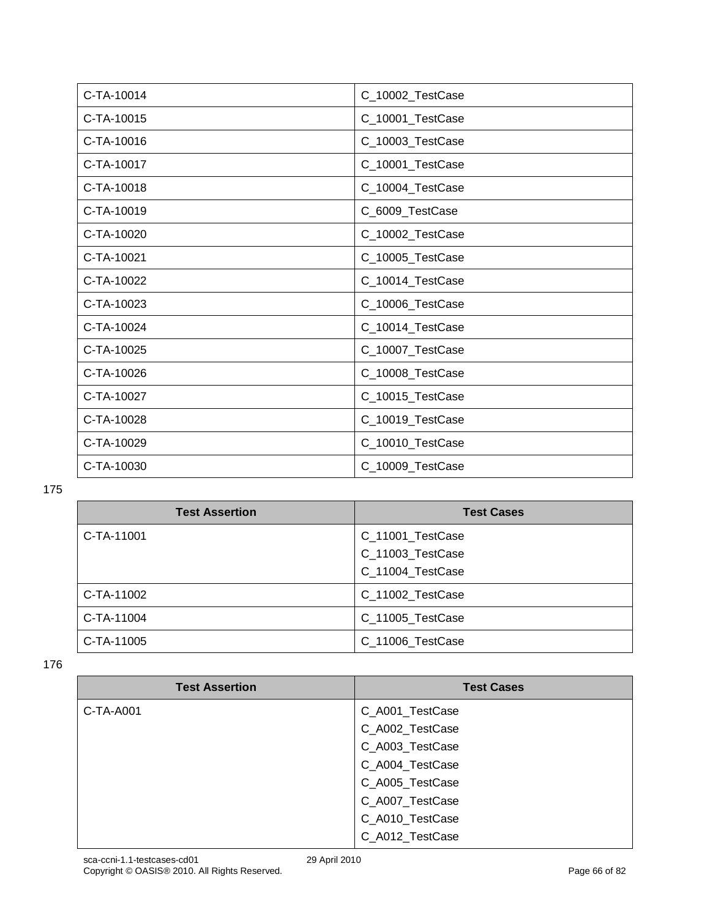| C-TA-10014 | C_10002_TestCase |
|------------|------------------|
| C-TA-10015 | C_10001_TestCase |
| C-TA-10016 | C_10003_TestCase |
| C-TA-10017 | C_10001_TestCase |
| C-TA-10018 | C_10004_TestCase |
| C-TA-10019 | C_6009_TestCase  |
| C-TA-10020 | C_10002_TestCase |
| C-TA-10021 | C_10005_TestCase |
| C-TA-10022 | C_10014_TestCase |
| C-TA-10023 | C_10006_TestCase |
| C-TA-10024 | C_10014_TestCase |
| C-TA-10025 | C_10007_TestCase |
| C-TA-10026 | C_10008_TestCase |
| C-TA-10027 | C_10015_TestCase |
| C-TA-10028 | C_10019_TestCase |
| C-TA-10029 | C_10010_TestCase |
| C-TA-10030 | C_10009_TestCase |

| <b>Test Assertion</b> | <b>Test Cases</b> |
|-----------------------|-------------------|
| C-TA-11001            | C_11001_TestCase  |
|                       | C_11003_TestCase  |
|                       | C_11004_TestCase  |
| C-TA-11002            | C_11002_TestCase  |
| C-TA-11004            | C_11005_TestCase  |
| C-TA-11005            | C_11006_TestCase  |

| <b>Test Assertion</b> | <b>Test Cases</b> |
|-----------------------|-------------------|
| C-TA-A001             | C_A001_TestCase   |
|                       | C_A002_TestCase   |
|                       | C_A003_TestCase   |
|                       | C_A004_TestCase   |
|                       | C_A005_TestCase   |
|                       | C_A007_TestCase   |
|                       | C_A010_TestCase   |
|                       | C_A012_TestCase   |
|                       |                   |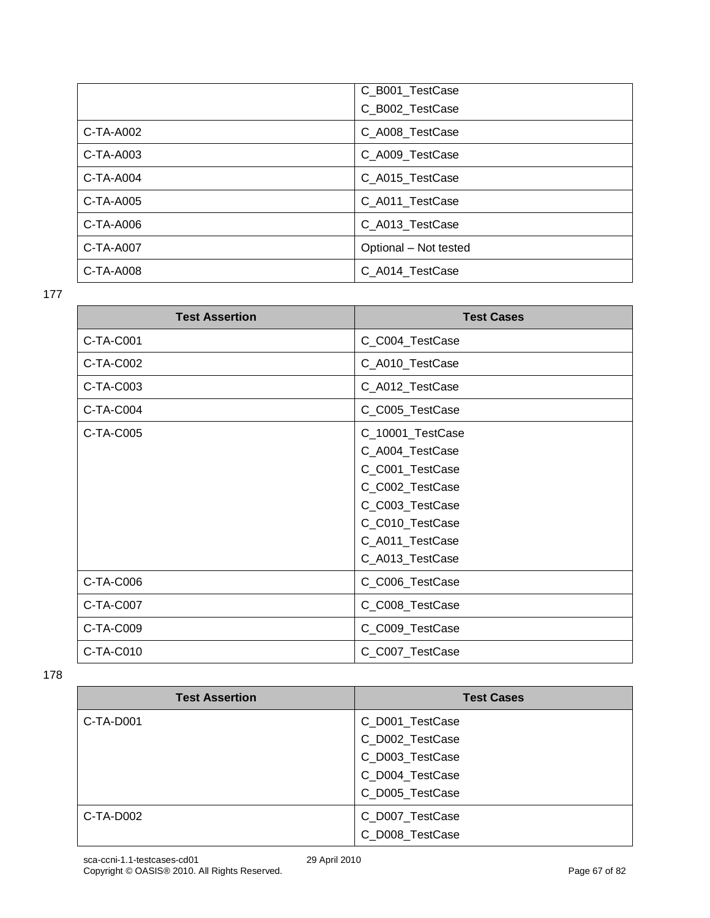|             | C_B001_TestCase       |
|-------------|-----------------------|
|             | C_B002_TestCase       |
| C-TA-A002   | C_A008_TestCase       |
| C-TA-A003   | C_A009_TestCase       |
| C-TA-A004   | C_A015_TestCase       |
| $C-TA-A005$ | C_A011_TestCase       |
| C-TA-A006   | C_A013_TestCase       |
| C-TA-A007   | Optional - Not tested |
| C-TA-A008   | C_A014_TestCase       |

| <b>Test Assertion</b> | <b>Test Cases</b> |
|-----------------------|-------------------|
| C-TA-C001             | C_C004_TestCase   |
| C-TA-C002             | C_A010_TestCase   |
| C-TA-C003             | C_A012_TestCase   |
| C-TA-C004             | C_C005_TestCase   |
| C-TA-C005             | C_10001_TestCase  |
|                       | C_A004_TestCase   |
|                       | C_C001_TestCase   |
|                       | C_C002_TestCase   |
|                       | C_C003_TestCase   |
|                       | C_C010_TestCase   |
|                       | C_A011_TestCase   |
|                       | C_A013_TestCase   |
| C-TA-C006             | C_C006_TestCase   |
| C-TA-C007             | C_C008_TestCase   |
| C-TA-C009             | C_C009_TestCase   |
| C-TA-C010             | C_C007_TestCase   |

| <b>Test Assertion</b> | <b>Test Cases</b> |
|-----------------------|-------------------|
| $C-TA-D001$           | C_D001_TestCase   |
|                       | C_D002_TestCase   |
|                       | C_D003_TestCase   |
|                       | C_D004_TestCase   |
|                       | C_D005_TestCase   |
| $C-TA-DOO2$           | C_D007_TestCase   |
|                       | C_D008_TestCase   |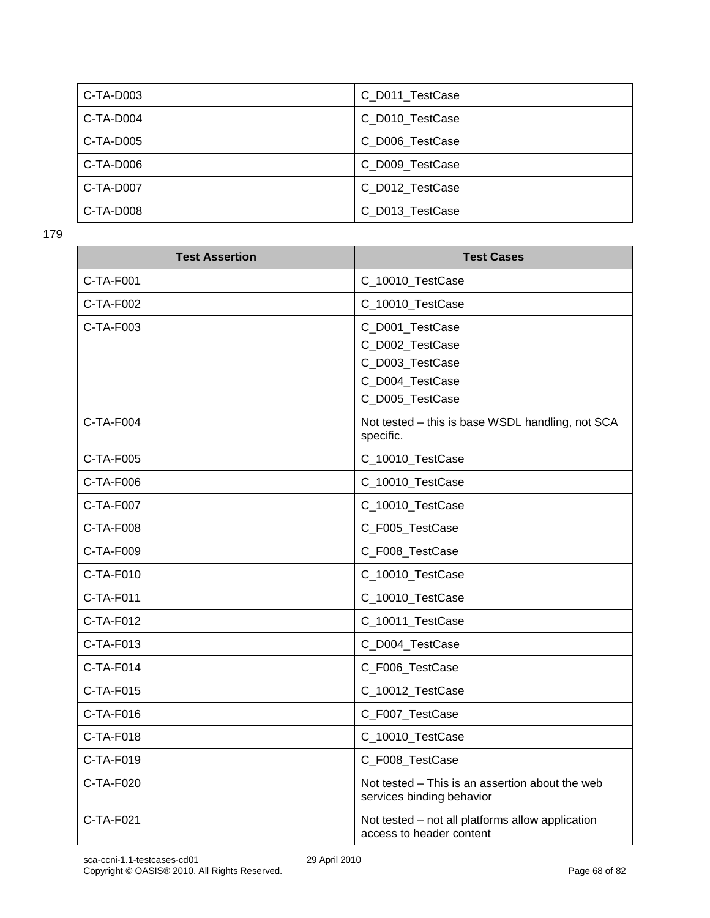| C-TA-D003 | C D011 TestCase |
|-----------|-----------------|
| C-TA-D004 | C_D010_TestCase |
| C-TA-D005 | C_D006_TestCase |
| C-TA-D006 | C_D009_TestCase |
| C-TA-D007 | C_D012_TestCase |
| C-TA-D008 | C_D013_TestCase |

| <b>Test Assertion</b> | <b>Test Cases</b>                                                                           |
|-----------------------|---------------------------------------------------------------------------------------------|
| $C-TA-F001$           | C_10010_TestCase                                                                            |
| C-TA-F002             | C_10010_TestCase                                                                            |
| C-TA-F003             | C_D001_TestCase<br>C_D002_TestCase<br>C_D003_TestCase<br>C_D004_TestCase<br>C_D005_TestCase |
| C-TA-F004             | Not tested - this is base WSDL handling, not SCA<br>specific.                               |
| C-TA-F005             | C_10010_TestCase                                                                            |
| $C-TA-F006$           | C_10010_TestCase                                                                            |
| C-TA-F007             | C_10010_TestCase                                                                            |
| C-TA-F008             | C_F005_TestCase                                                                             |
| C-TA-F009             | C_F008_TestCase                                                                             |
| C-TA-F010             | C_10010_TestCase                                                                            |
| C-TA-F011             | C_10010_TestCase                                                                            |
| C-TA-F012             | C_10011_TestCase                                                                            |
| C-TA-F013             | C_D004_TestCase                                                                             |
| C-TA-F014             | C_F006_TestCase                                                                             |
| C-TA-F015             | C_10012_TestCase                                                                            |
| C-TA-F016             | C_F007_TestCase                                                                             |
| $C-TA-F018$           | C_10010_TestCase                                                                            |
| C-TA-F019             | C F008 TestCase                                                                             |
| C-TA-F020             | Not tested - This is an assertion about the web<br>services binding behavior                |
| C-TA-F021             | Not tested - not all platforms allow application<br>access to header content                |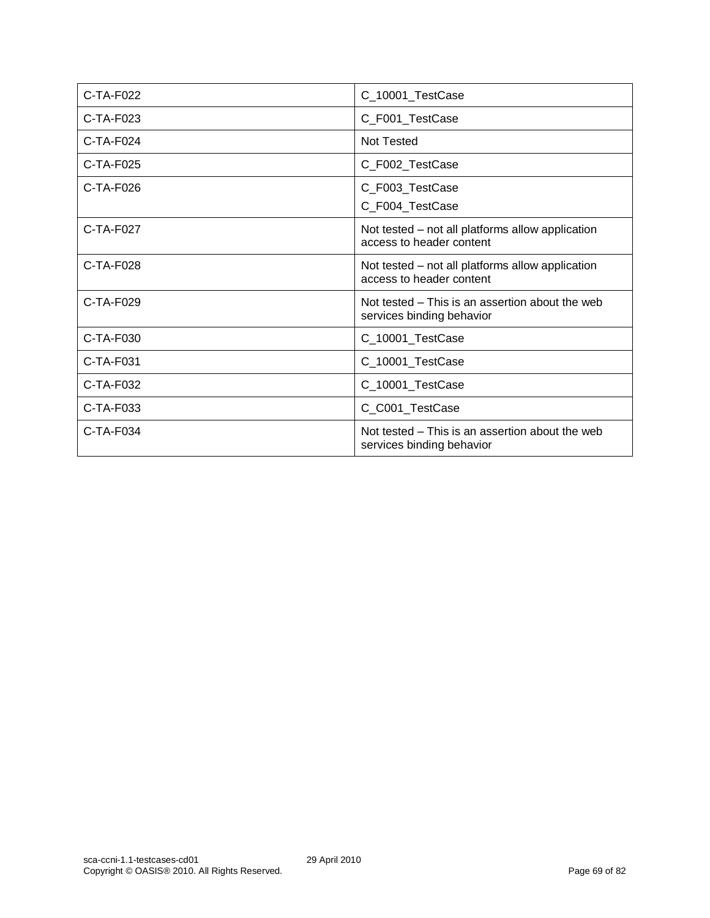| $C-TA-F022$ | C_10001_TestCase                                                             |
|-------------|------------------------------------------------------------------------------|
| $C-TA-F023$ | C_F001_TestCase                                                              |
| $C-TA-F024$ | Not Tested                                                                   |
| $C-TA-F025$ | C_F002_TestCase                                                              |
| $C-TA-F026$ | C_F003_TestCase<br>C_F004_TestCase                                           |
| $C-TA-F027$ | Not tested – not all platforms allow application<br>access to header content |
| $C-TA-F028$ | Not tested – not all platforms allow application<br>access to header content |
| C-TA-F029   | Not tested – This is an assertion about the web<br>services binding behavior |
| $C-TA-F030$ | C_10001_TestCase                                                             |
| C-TA-F031   | C_10001_TestCase                                                             |
| $C-TA-F032$ | C_10001_TestCase                                                             |
| $C-TA-F033$ | C_C001_TestCase                                                              |
| C-TA-F034   | Not tested – This is an assertion about the web<br>services binding behavior |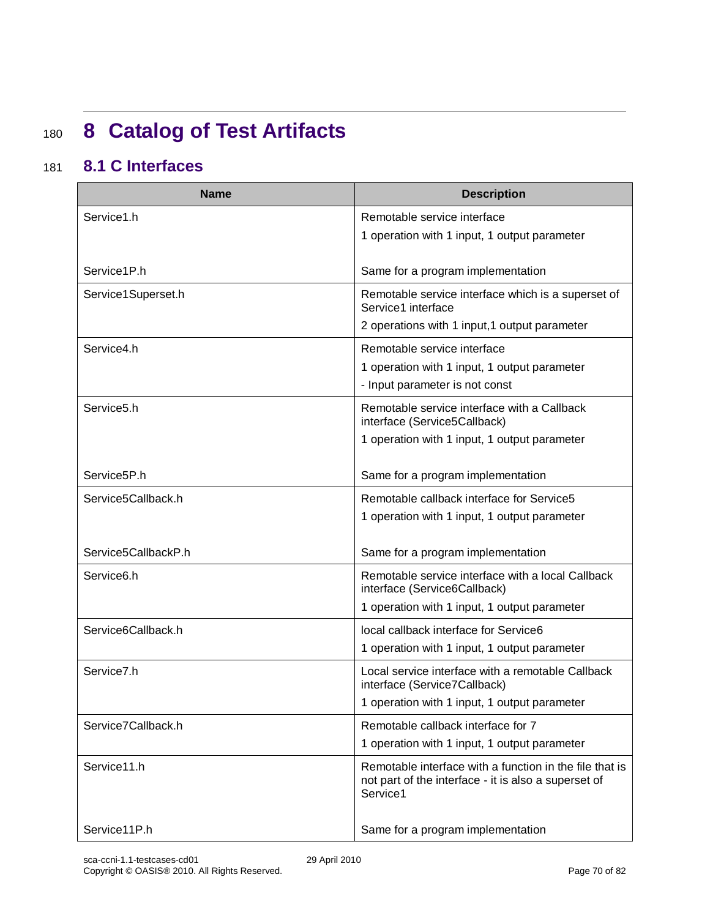## <sup>180</sup> **8 Catalog of Test Artifacts**

### 181 **8.1 C Interfaces**

| <b>Name</b>              | <b>Description</b>                                                                                                          |
|--------------------------|-----------------------------------------------------------------------------------------------------------------------------|
| Service1.h               | Remotable service interface                                                                                                 |
|                          | 1 operation with 1 input, 1 output parameter                                                                                |
| Service1P.h              | Same for a program implementation                                                                                           |
| Service1Superset.h       | Remotable service interface which is a superset of<br>Service1 interface                                                    |
|                          | 2 operations with 1 input, 1 output parameter                                                                               |
| Service4.h               | Remotable service interface                                                                                                 |
|                          | 1 operation with 1 input, 1 output parameter                                                                                |
|                          | - Input parameter is not const                                                                                              |
| Service5.h               | Remotable service interface with a Callback<br>interface (Service5Callback)                                                 |
|                          | 1 operation with 1 input, 1 output parameter                                                                                |
|                          |                                                                                                                             |
| Service <sub>5</sub> P.h | Same for a program implementation                                                                                           |
| Service5Callback.h       | Remotable callback interface for Service5                                                                                   |
|                          | 1 operation with 1 input, 1 output parameter                                                                                |
| Service5CallbackP.h      | Same for a program implementation                                                                                           |
| Service <sub>6.h</sub>   | Remotable service interface with a local Callback                                                                           |
|                          | interface (Service6Callback)                                                                                                |
|                          | 1 operation with 1 input, 1 output parameter                                                                                |
| Service6Callback.h       | local callback interface for Service6                                                                                       |
|                          | 1 operation with 1 input, 1 output parameter                                                                                |
| Service7.h               | Local service interface with a remotable Callback<br>interface (Service7Callback)                                           |
|                          | 1 operation with 1 input, 1 output parameter                                                                                |
| Service7Callback.h       | Remotable callback interface for 7                                                                                          |
|                          | 1 operation with 1 input, 1 output parameter                                                                                |
| Service11.h              | Remotable interface with a function in the file that is<br>not part of the interface - it is also a superset of<br>Service1 |
| Service11P.h             | Same for a program implementation                                                                                           |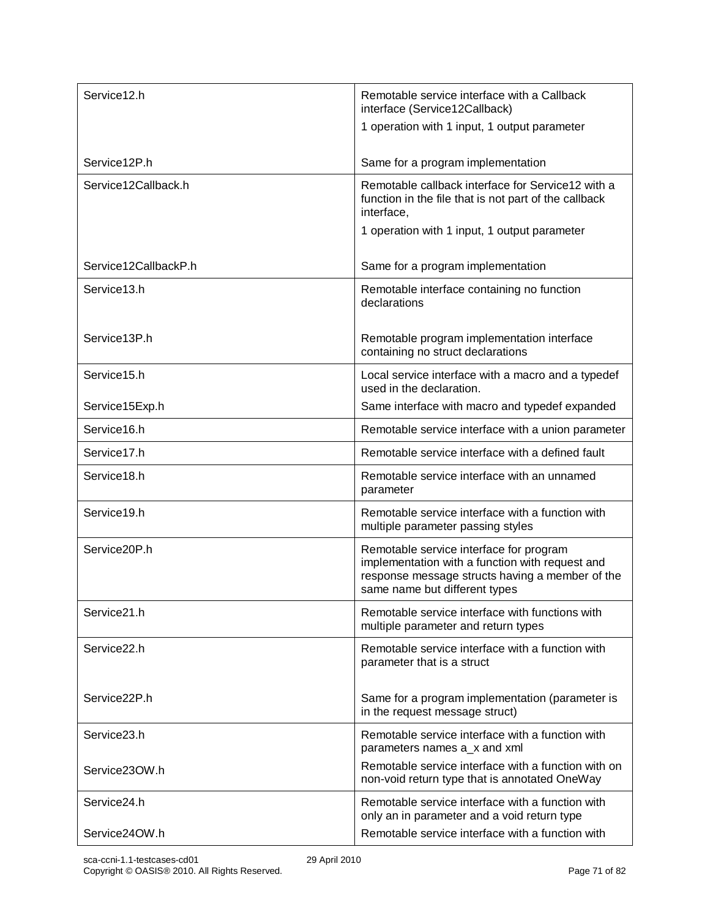| Service12.h          | Remotable service interface with a Callback<br>interface (Service12Callback)                                                                                                   |
|----------------------|--------------------------------------------------------------------------------------------------------------------------------------------------------------------------------|
|                      | 1 operation with 1 input, 1 output parameter                                                                                                                                   |
| Service12P.h         | Same for a program implementation                                                                                                                                              |
| Service12Callback.h  | Remotable callback interface for Service12 with a<br>function in the file that is not part of the callback<br>interface,                                                       |
|                      | 1 operation with 1 input, 1 output parameter                                                                                                                                   |
| Service12CallbackP.h | Same for a program implementation                                                                                                                                              |
| Service13.h          | Remotable interface containing no function<br>declarations                                                                                                                     |
| Service13P.h         | Remotable program implementation interface<br>containing no struct declarations                                                                                                |
| Service15.h          | Local service interface with a macro and a typedef<br>used in the declaration.                                                                                                 |
| Service15Exp.h       | Same interface with macro and typedef expanded                                                                                                                                 |
| Service16.h          | Remotable service interface with a union parameter                                                                                                                             |
| Service17.h          | Remotable service interface with a defined fault                                                                                                                               |
| Service18.h          | Remotable service interface with an unnamed<br>parameter                                                                                                                       |
| Service19.h          | Remotable service interface with a function with<br>multiple parameter passing styles                                                                                          |
| Service20P.h         | Remotable service interface for program<br>implementation with a function with request and<br>response message structs having a member of the<br>same name but different types |
| Service21.h          | Remotable service interface with functions with<br>multiple parameter and return types                                                                                         |
| Service22.h          | Remotable service interface with a function with<br>parameter that is a struct                                                                                                 |
| Service22P.h         | Same for a program implementation (parameter is<br>in the request message struct)                                                                                              |
| Service23.h          | Remotable service interface with a function with<br>parameters names a x and xml                                                                                               |
| Service230W.h        | Remotable service interface with a function with on<br>non-void return type that is annotated OneWay                                                                           |
| Service24.h          | Remotable service interface with a function with<br>only an in parameter and a void return type                                                                                |
| Service24OW.h        | Remotable service interface with a function with                                                                                                                               |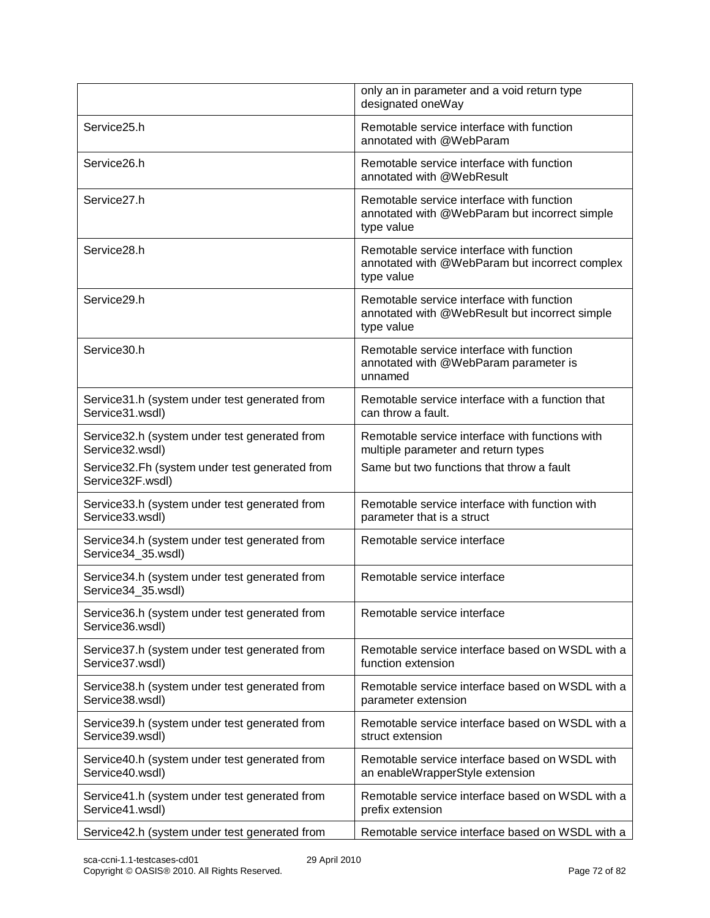|                                                                     | only an in parameter and a void return type<br>designated oneWay                                          |
|---------------------------------------------------------------------|-----------------------------------------------------------------------------------------------------------|
| Service25.h                                                         | Remotable service interface with function<br>annotated with @WebParam                                     |
| Service26.h                                                         | Remotable service interface with function<br>annotated with @WebResult                                    |
| Service27.h                                                         | Remotable service interface with function<br>annotated with @WebParam but incorrect simple<br>type value  |
| Service28.h                                                         | Remotable service interface with function<br>annotated with @WebParam but incorrect complex<br>type value |
| Service29.h                                                         | Remotable service interface with function<br>annotated with @WebResult but incorrect simple<br>type value |
| Service30.h                                                         | Remotable service interface with function<br>annotated with @WebParam parameter is<br>unnamed             |
| Service31.h (system under test generated from<br>Service31.wsdl)    | Remotable service interface with a function that<br>can throw a fault.                                    |
| Service32.h (system under test generated from<br>Service32.wsdl)    | Remotable service interface with functions with<br>multiple parameter and return types                    |
| Service32.Fh (system under test generated from<br>Service32F.wsdl)  | Same but two functions that throw a fault                                                                 |
| Service33.h (system under test generated from<br>Service33.wsdl)    | Remotable service interface with function with<br>parameter that is a struct                              |
| Service34.h (system under test generated from<br>Service34_35.wsdl) | Remotable service interface                                                                               |
| Service34.h (system under test generated from<br>Service34_35.wsdl) | Remotable service interface                                                                               |
| Service36.h (system under test generated from<br>Service36.wsdl)    | Remotable service interface                                                                               |
| Service37.h (system under test generated from<br>Service37.wsdl)    | Remotable service interface based on WSDL with a<br>function extension                                    |
| Service38.h (system under test generated from<br>Service38.wsdl)    | Remotable service interface based on WSDL with a<br>parameter extension                                   |
| Service39.h (system under test generated from<br>Service39.wsdl)    | Remotable service interface based on WSDL with a<br>struct extension                                      |
| Service40.h (system under test generated from<br>Service40.wsdl)    | Remotable service interface based on WSDL with<br>an enableWrapperStyle extension                         |
| Service41.h (system under test generated from<br>Service41.wsdl)    | Remotable service interface based on WSDL with a<br>prefix extension                                      |
| Service42.h (system under test generated from                       | Remotable service interface based on WSDL with a                                                          |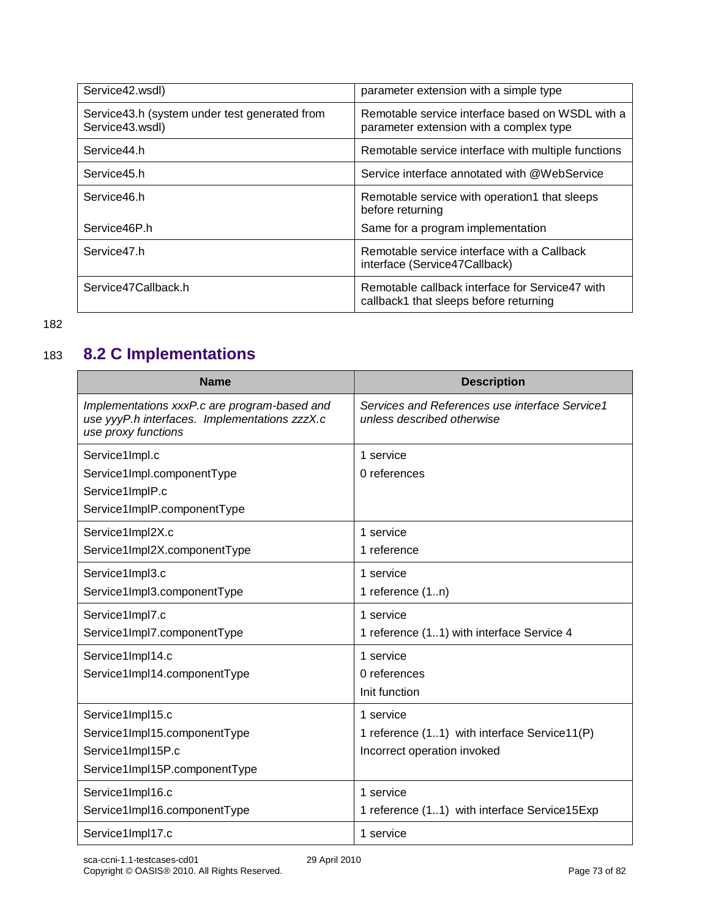| Service42.wsdl)                                                  | parameter extension with a simple type                                                      |
|------------------------------------------------------------------|---------------------------------------------------------------------------------------------|
| Service43.h (system under test generated from<br>Service43.wsdl) | Remotable service interface based on WSDL with a<br>parameter extension with a complex type |
| Service44.h                                                      | Remotable service interface with multiple functions                                         |
| Service45.h                                                      | Service interface annotated with @WebService                                                |
| Service46.h                                                      | Remotable service with operation1 that sleeps<br>before returning                           |
| Service46P.h                                                     | Same for a program implementation                                                           |
| Service47.h                                                      | Remotable service interface with a Callback<br>interface (Service47Callback)                |
| Service47Callback.h                                              | Remotable callback interface for Service47 with<br>callback1 that sleeps before returning   |

<sup>182</sup>

## 183 **8.2 C Implementations**

| <b>Name</b>                                                                                                          | <b>Description</b>                                                           |
|----------------------------------------------------------------------------------------------------------------------|------------------------------------------------------------------------------|
| Implementations xxxP.c are program-based and<br>use yyyP.h interfaces. Implementations zzzX.c<br>use proxy functions | Services and References use interface Service1<br>unless described otherwise |
| Service1Impl.c                                                                                                       | 1 service                                                                    |
| Service1Impl.componentType                                                                                           | 0 references                                                                 |
| Service1ImplP.c                                                                                                      |                                                                              |
| Service1ImplP.componentType                                                                                          |                                                                              |
| Service1Impl2X.c                                                                                                     | 1 service                                                                    |
| Service1Impl2X.componentType                                                                                         | 1 reference                                                                  |
| Service1Impl3.c                                                                                                      | 1 service                                                                    |
| Service1Impl3.componentType                                                                                          | 1 reference (1n)                                                             |
| Service1Impl7.c                                                                                                      | 1 service                                                                    |
| Service1Impl7.componentType                                                                                          | 1 reference (11) with interface Service 4                                    |
| Service1Impl14.c                                                                                                     | 1 service                                                                    |
| Service1Impl14.componentType                                                                                         | 0 references                                                                 |
|                                                                                                                      | Init function                                                                |
| Service1Impl15.c                                                                                                     | 1 service                                                                    |
| Service1Impl15.componentType                                                                                         | 1 reference (11) with interface Service11(P)                                 |
| Service1Impl15P.c                                                                                                    | Incorrect operation invoked                                                  |
| Service1Impl15P.componentType                                                                                        |                                                                              |
| Service1Impl16.c                                                                                                     | 1 service                                                                    |
| Service1Impl16.componentType                                                                                         | 1 reference (11) with interface Service15Exp                                 |
| Service1Impl17.c                                                                                                     | 1 service                                                                    |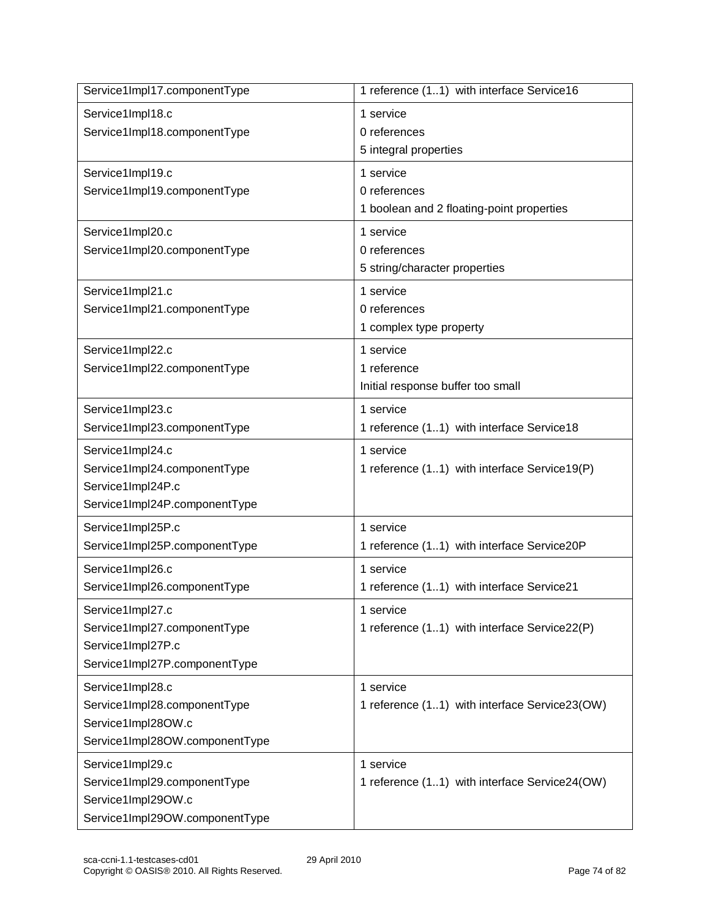| Service1Impl17.componentType   | 1 reference (11) with interface Service16     |
|--------------------------------|-----------------------------------------------|
| Service1Impl18.c               | 1 service                                     |
| Service1Impl18.componentType   | 0 references<br>5 integral properties         |
| Service1Impl19.c               | 1 service                                     |
| Service1Impl19.componentType   | 0 references                                  |
|                                | 1 boolean and 2 floating-point properties     |
| Service1Impl20.c               | 1 service                                     |
| Service1Impl20.componentType   | 0 references                                  |
|                                | 5 string/character properties                 |
| Service1Impl21.c               | 1 service                                     |
| Service1Impl21.componentType   | 0 references                                  |
|                                | 1 complex type property                       |
| Service1Impl22.c               | 1 service                                     |
| Service1Impl22.componentType   | 1 reference                                   |
|                                | Initial response buffer too small             |
| Service1Impl23.c               | 1 service                                     |
| Service1Impl23.componentType   | 1 reference (11) with interface Service18     |
| Service1Impl24.c               | 1 service                                     |
| Service1Impl24.componentType   | 1 reference (11) with interface Service19(P)  |
| Service1Impl24P.c              |                                               |
| Service1Impl24P.componentType  |                                               |
| Service1Impl25P.c              | 1 service                                     |
| Service1Impl25P.componentType  | 1 reference (11) with interface Service20P    |
| Service1Impl26.c               | 1 service                                     |
| Service1Impl26.componentType   | 1 reference (11) with interface Service21     |
| Service1Impl27.c               | 1 service                                     |
| Service1Impl27.componentType   | 1 reference (11) with interface Service22(P)  |
| Service1Impl27P.c              |                                               |
| Service1Impl27P.componentType  |                                               |
| Service1Impl28.c               | 1 service                                     |
| Service1Impl28.componentType   | 1 reference (11) with interface Service23(OW) |
| Service1Impl28OW.c             |                                               |
| Service1Impl28OW.componentType |                                               |
| Service1Impl29.c               | 1 service                                     |
| Service1Impl29.componentType   | 1 reference (11) with interface Service24(OW) |
| Service1Impl29OW.c             |                                               |
| Service1Impl29OW.componentType |                                               |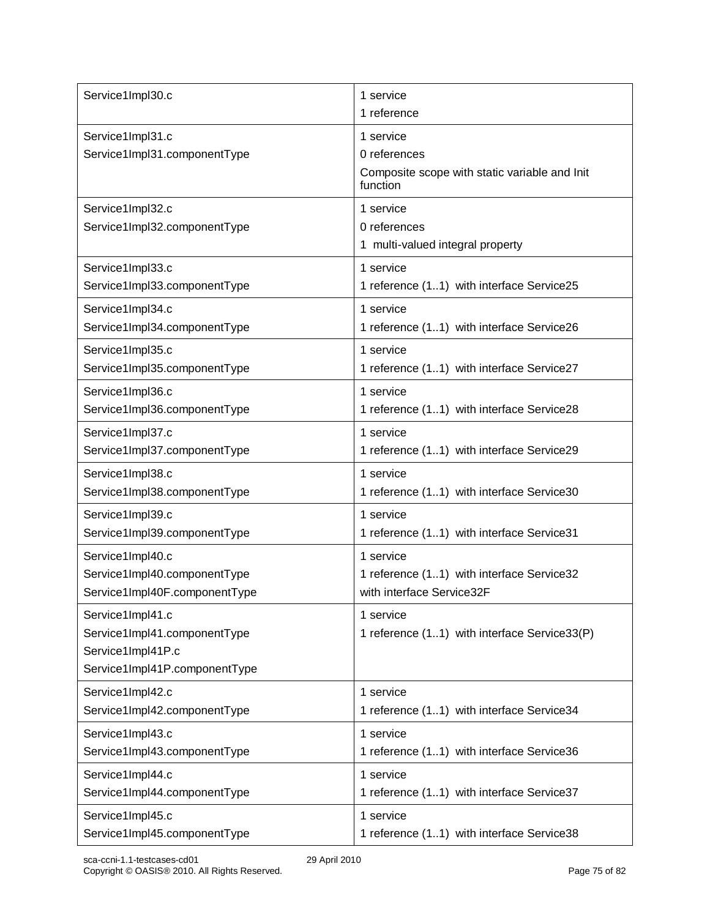| Service1Impl30.c                                                                                       | 1 service<br>1 reference                                                               |
|--------------------------------------------------------------------------------------------------------|----------------------------------------------------------------------------------------|
| Service1Impl31.c<br>Service1Impl31.componentType                                                       | 1 service<br>0 references<br>Composite scope with static variable and Init<br>function |
| Service1Impl32.c<br>Service1Impl32.componentType                                                       | 1 service<br>0 references<br>1 multi-valued integral property                          |
| Service1Impl33.c                                                                                       | 1 service                                                                              |
| Service1Impl33.componentType                                                                           | 1 reference (11) with interface Service25                                              |
| Service1Impl34.c                                                                                       | 1 service                                                                              |
| Service1Impl34.componentType                                                                           | 1 reference (11) with interface Service26                                              |
| Service1Impl35.c                                                                                       | 1 service                                                                              |
| Service1Impl35.componentType                                                                           | 1 reference (11) with interface Service27                                              |
| Service1Impl36.c                                                                                       | 1 service                                                                              |
| Service1Impl36.componentType                                                                           | 1 reference (11) with interface Service28                                              |
| Service1Impl37.c                                                                                       | 1 service                                                                              |
| Service1Impl37.componentType                                                                           | 1 reference (11) with interface Service29                                              |
| Service1Impl38.c                                                                                       | 1 service                                                                              |
| Service1Impl38.componentType                                                                           | 1 reference (11) with interface Service30                                              |
| Service1Impl39.c                                                                                       | 1 service                                                                              |
| Service1Impl39.componentType                                                                           | 1 reference (11) with interface Service31                                              |
| Service1Impl40.c                                                                                       | 1 service                                                                              |
| Service1Impl40.componentType                                                                           | 1 reference (11) with interface Service32                                              |
| Service1Impl40F.componentType                                                                          | with interface Service32F                                                              |
| Service1Impl41.c<br>Service1Impl41.componentType<br>Service1Impl41P.c<br>Service1Impl41P.componentType | 1 service<br>1 reference (11) with interface Service33(P)                              |
| Service1Impl42.c                                                                                       | 1 service                                                                              |
| Service1Impl42.componentType                                                                           | 1 reference (11) with interface Service34                                              |
| Service1Impl43.c                                                                                       | 1 service                                                                              |
| Service1Impl43.componentType                                                                           | 1 reference (11) with interface Service36                                              |
| Service1Impl44.c                                                                                       | 1 service                                                                              |
| Service1Impl44.componentType                                                                           | 1 reference (11) with interface Service37                                              |
| Service1Impl45.c                                                                                       | 1 service                                                                              |
| Service1Impl45.componentType                                                                           | 1 reference (11) with interface Service38                                              |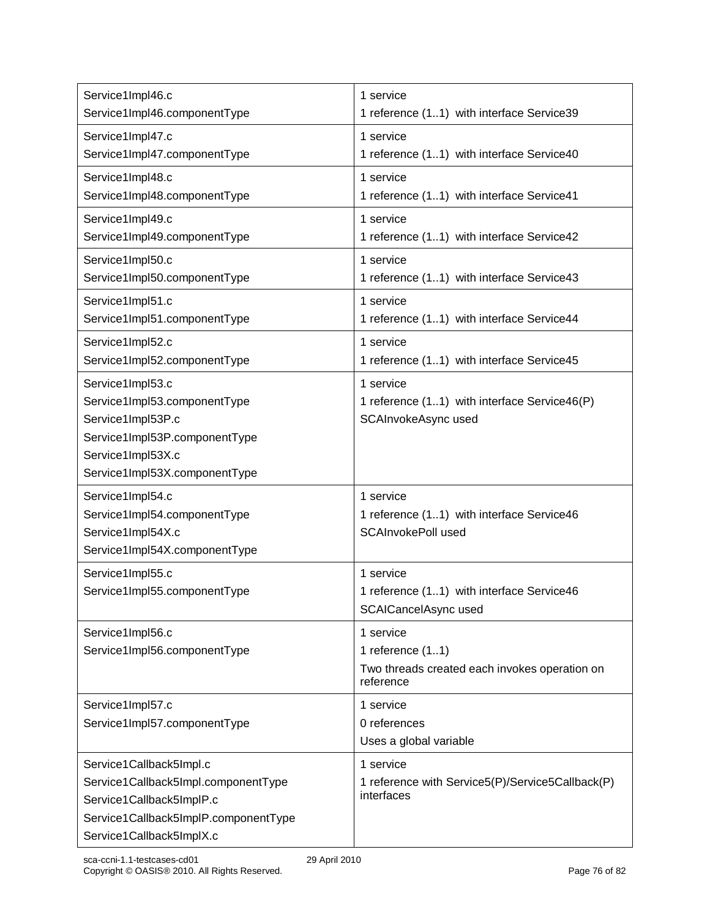| Service1Impl46.c<br>Service1Impl46.componentType | 1 service<br>1 reference (11) with interface Service39     |
|--------------------------------------------------|------------------------------------------------------------|
| Service1Impl47.c                                 | 1 service                                                  |
| Service1Impl47.componentType                     | 1 reference (11) with interface Service40                  |
| Service1Impl48.c                                 | 1 service                                                  |
| Service1Impl48.componentType                     | 1 reference (11) with interface Service41                  |
| Service1Impl49.c                                 | 1 service                                                  |
| Service1Impl49.componentType                     | 1 reference (11) with interface Service42                  |
| Service1Impl50.c                                 | 1 service                                                  |
| Service1Impl50.componentType                     | 1 reference (11) with interface Service43                  |
| Service1Impl51.c                                 | 1 service                                                  |
| Service1Impl51.componentType                     | 1 reference (11) with interface Service44                  |
| Service1Impl52.c                                 | 1 service                                                  |
| Service1Impl52.componentType                     | 1 reference (11) with interface Service45                  |
| Service1Impl53.c                                 | 1 service                                                  |
| Service1Impl53.componentType                     | 1 reference (11) with interface Service46(P)               |
| Service1Impl53P.c                                | SCAInvokeAsync used                                        |
| Service1Impl53P.componentType                    |                                                            |
| Service1Impl53X.c                                |                                                            |
| Service1Impl53X.componentType                    |                                                            |
| Service1Impl54.c                                 | 1 service                                                  |
| Service1Impl54.componentType                     | 1 reference (11) with interface Service46                  |
| Service1Impl54X.c                                | <b>SCAInvokePoll used</b>                                  |
| Service1Impl54X.componentType                    |                                                            |
| Service1Impl55.c                                 | 1 service                                                  |
| Service1Impl55.componentType                     | 1 reference (11) with interface Service46                  |
|                                                  | SCAICancelAsync used                                       |
| Service1Impl56.c                                 | 1 service                                                  |
| Service1Impl56.componentType                     | 1 reference $(11)$                                         |
|                                                  | Two threads created each invokes operation on<br>reference |
| Service1Impl57.c                                 | 1 service                                                  |
| Service1Impl57.componentType                     | 0 references                                               |
|                                                  | Uses a global variable                                     |
| Service1Callback5Impl.c                          | 1 service                                                  |
| Service1Callback5Impl.componentType              | 1 reference with Service5(P)/Service5Callback(P)           |
| Service1Callback5ImplP.c                         | interfaces                                                 |
| Service1Callback5ImplP.componentType             |                                                            |
| Service1Callback5ImplX.c                         |                                                            |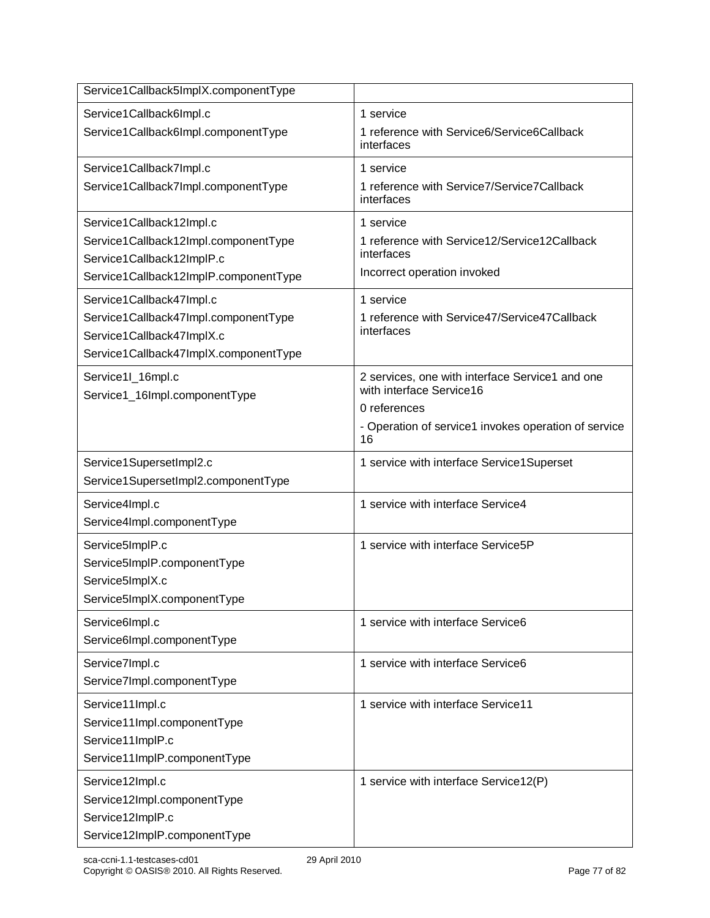| Service1Callback5ImplX.componentType  |                                                                             |
|---------------------------------------|-----------------------------------------------------------------------------|
| Service1Callback6Impl.c               | 1 service                                                                   |
| Service1Callback6Impl.componentType   | 1 reference with Service6/Service6Callback<br>interfaces                    |
| Service1Callback7Impl.c               | 1 service                                                                   |
| Service1Callback7Impl.componentType   | 1 reference with Service7/Service7Callback<br>interfaces                    |
| Service1Callback12Impl.c              | 1 service                                                                   |
| Service1Callback12Impl.componentType  | 1 reference with Service12/Service12Callback                                |
| Service1Callback12ImplP.c             | interfaces<br>Incorrect operation invoked                                   |
| Service1Callback12ImplP.componentType |                                                                             |
| Service1Callback47Impl.c              | 1 service                                                                   |
| Service1Callback47Impl.componentType  | 1 reference with Service47/Service47Callback<br>interfaces                  |
| Service1Callback47ImplX.c             |                                                                             |
| Service1Callback47ImplX.componentType |                                                                             |
| Service1I_16mpl.c                     | 2 services, one with interface Service1 and one<br>with interface Service16 |
| Service1_16Impl.componentType         | 0 references                                                                |
|                                       | - Operation of service1 invokes operation of service                        |
|                                       | 16                                                                          |
| Service1SupersetImpl2.c               | 1 service with interface Service1Superset                                   |
| Service1SupersetImpl2.componentType   |                                                                             |
| Service4Impl.c                        | 1 service with interface Service4                                           |
| Service4Impl.componentType            |                                                                             |
| Service5ImplP.c                       | 1 service with interface Service5P                                          |
| Service5ImplP.componentType           |                                                                             |
| Service5ImplX.c                       |                                                                             |
| Service5ImplX.componentType           |                                                                             |
| Service6Impl.c                        | 1 service with interface Service6                                           |
| Service6Impl.componentType            |                                                                             |
| Service7Impl.c                        | 1 service with interface Service6                                           |
| Service7Impl.componentType            |                                                                             |
| Service11Impl.c                       | 1 service with interface Service11                                          |
| Service11Impl.componentType           |                                                                             |
| Service11ImplP.c                      |                                                                             |
| Service11ImplP.componentType          |                                                                             |
| Service12Impl.c                       | 1 service with interface Service12(P)                                       |
| Service12Impl.componentType           |                                                                             |
| Service12ImplP.c                      |                                                                             |
| Service12ImplP.componentType          |                                                                             |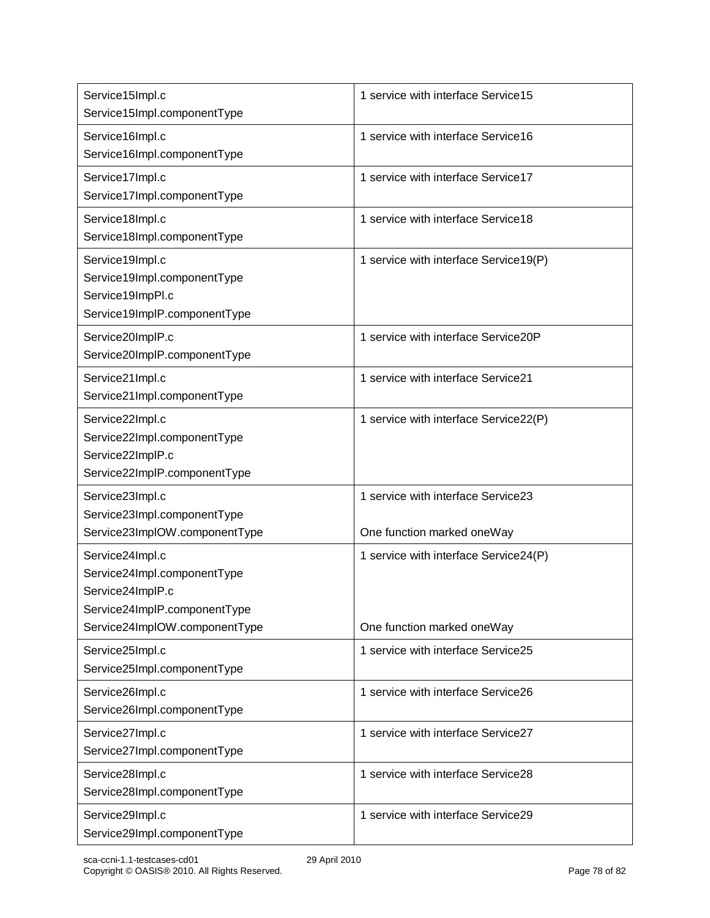| Service15Impl.c<br>Service15Impl.componentType                                                                                      | 1 service with interface Service15                                  |
|-------------------------------------------------------------------------------------------------------------------------------------|---------------------------------------------------------------------|
| Service16Impl.c<br>Service16Impl.componentType                                                                                      | 1 service with interface Service16                                  |
| Service17Impl.c<br>Service17Impl.componentType                                                                                      | 1 service with interface Service17                                  |
| Service18Impl.c<br>Service18Impl.componentType                                                                                      | 1 service with interface Service18                                  |
| Service19Impl.c<br>Service19Impl.componentType<br>Service19ImpPI.c<br>Service19ImplP.componentType                                  | 1 service with interface Service19(P)                               |
| Service20ImplP.c<br>Service20ImplP.componentType                                                                                    | 1 service with interface Service20P                                 |
| Service21Impl.c<br>Service21Impl.componentType                                                                                      | 1 service with interface Service21                                  |
| Service22Impl.c<br>Service22Impl.componentType<br>Service22ImplP.c<br>Service22ImplP.componentType                                  | 1 service with interface Service22(P)                               |
| Service23Impl.c<br>Service23Impl.componentType<br>Service23ImpIOW.componentType                                                     | 1 service with interface Service23<br>One function marked oneWay    |
| Service24Impl.c<br>Service24Impl.componentType<br>Service24ImplP.c<br>Service24ImplP.componentType<br>Service24ImpIOW.componentType | 1 service with interface Service24(P)<br>One function marked oneWay |
| Service25Impl.c<br>Service25Impl.componentType                                                                                      | 1 service with interface Service25                                  |
| Service26Impl.c<br>Service26Impl.componentType                                                                                      | 1 service with interface Service26                                  |
| Service27Impl.c<br>Service27Impl.componentType                                                                                      | 1 service with interface Service27                                  |
| Service28Impl.c<br>Service28Impl.componentType                                                                                      | 1 service with interface Service28                                  |
| Service29Impl.c<br>Service29Impl.componentType                                                                                      | 1 service with interface Service29                                  |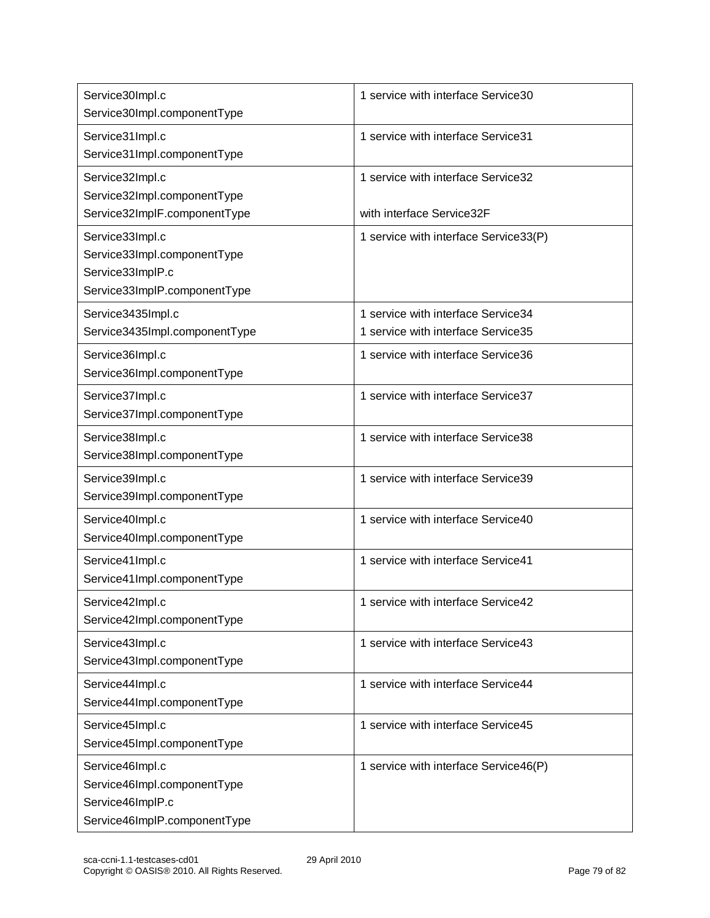| Service30Impl.c<br>Service30Impl.componentType                                                     | 1 service with interface Service30                                       |
|----------------------------------------------------------------------------------------------------|--------------------------------------------------------------------------|
| Service31Impl.c<br>Service31Impl.componentType                                                     | 1 service with interface Service31                                       |
| Service32Impl.c<br>Service32Impl.componentType<br>Service32ImplF.componentType                     | 1 service with interface Service32<br>with interface Service32F          |
| Service33Impl.c<br>Service33Impl.componentType<br>Service33ImplP.c<br>Service33ImplP.componentType | 1 service with interface Service33(P)                                    |
| Service3435Impl.c<br>Service3435Impl.componentType                                                 | 1 service with interface Service34<br>1 service with interface Service35 |
| Service36Impl.c<br>Service36Impl.componentType                                                     | 1 service with interface Service36                                       |
| Service37Impl.c<br>Service37Impl.componentType                                                     | 1 service with interface Service37                                       |
| Service38Impl.c<br>Service38Impl.componentType                                                     | 1 service with interface Service38                                       |
| Service39Impl.c<br>Service39Impl.componentType                                                     | 1 service with interface Service39                                       |
| Service40Impl.c<br>Service40Impl.componentType                                                     | 1 service with interface Service40                                       |
| Service41Impl.c<br>Service41Impl.componentType                                                     | 1 service with interface Service41                                       |
| Service42Impl.c<br>Service42Impl.componentType                                                     | 1 service with interface Service42                                       |
| Service43Impl.c<br>Service43Impl.componentType                                                     | 1 service with interface Service43                                       |
| Service44Impl.c<br>Service44Impl.componentType                                                     | 1 service with interface Service44                                       |
| Service45Impl.c<br>Service45Impl.componentType                                                     | 1 service with interface Service45                                       |
| Service46Impl.c<br>Service46Impl.componentType<br>Service46ImplP.c<br>Service46ImplP.componentType | 1 service with interface Service46(P)                                    |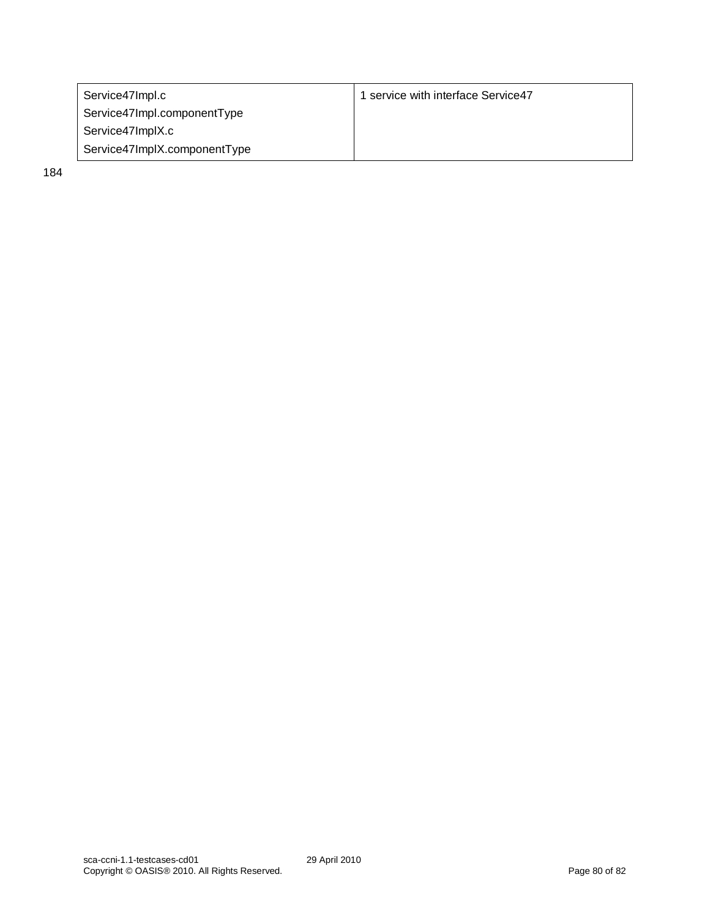| Service47Impl.c              | 1 service with interface Service47 |
|------------------------------|------------------------------------|
| Service47Impl.componentType  |                                    |
| Service47ImplX.c             |                                    |
| Service47ImplX.componentType |                                    |

184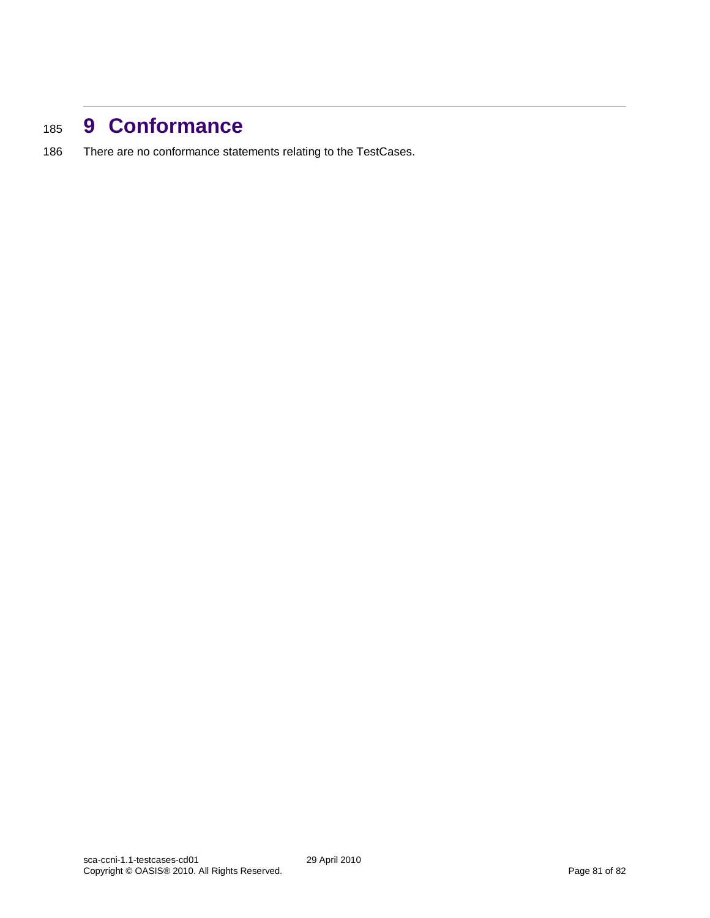## <sup>185</sup> **9 Conformance**

186 There are no conformance statements relating to the TestCases.